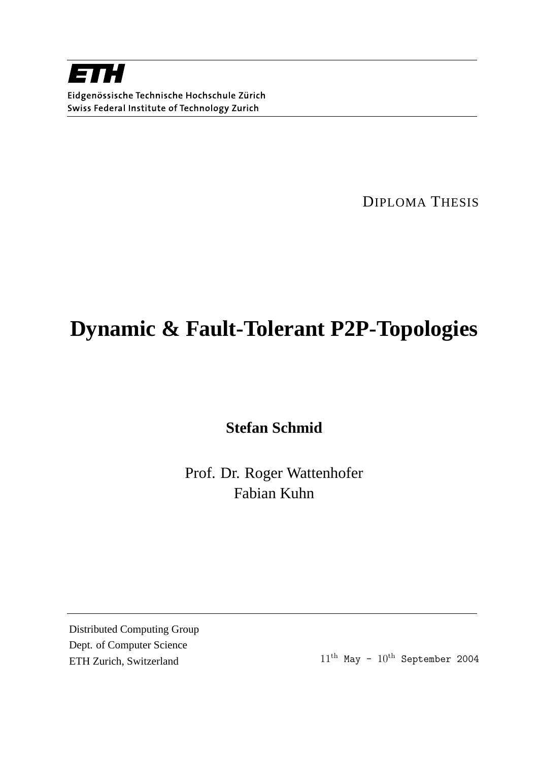

DIPLOMA THESIS

## **Dynamic & Fault-Tolerant P2P-Topologies**

**Stefan Schmid**

Prof. Dr. Roger Wattenhofer Fabian Kuhn

Distributed Computing Group Dept. of Computer Science ETH Zurich, Switzerland  $11<sup>th</sup>$  May -  $10<sup>th</sup>$  September 2004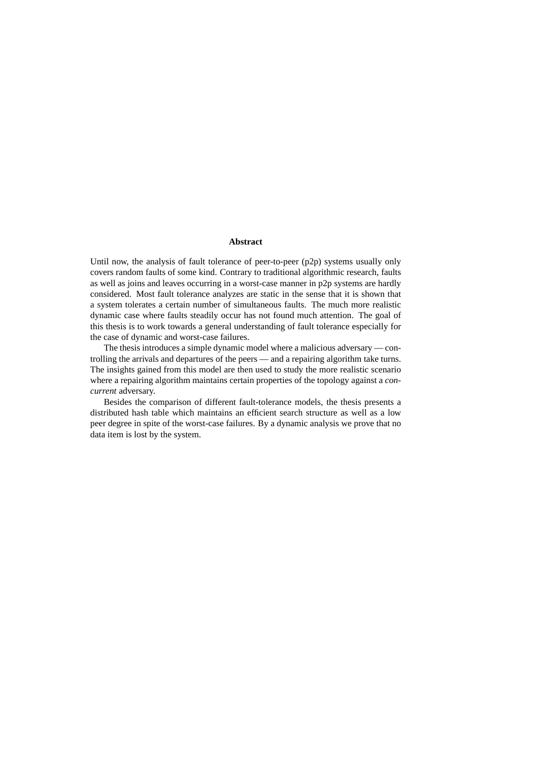### **Abstract**

Until now, the analysis of fault tolerance of peer-to-peer (p2p) systems usually only covers random faults of some kind. Contrary to traditional algorithmic research, faults as well as joins and leaves occurring in a worst-case manner in p2p systems are hardly considered. Most fault tolerance analyzes are static in the sense that it is shown that a system tolerates a certain number of simultaneous faults. The much more realistic dynamic case where faults steadily occur has not found much attention. The goal of this thesis is to work towards a general understanding of fault tolerance especially for the case of dynamic and worst-case failures.

The thesis introduces a simple dynamic model where a malicious adversary — controlling the arrivals and departures of the peers — and a repairing algorithm take turns. The insights gained from this model are then used to study the more realistic scenario where a repairing algorithm maintains certain properties of the topology against a *concurrent* adversary.

Besides the comparison of different fault-tolerance models, the thesis presents a distributed hash table which maintains an efficient search structure as well as a low peer degree in spite of the worst-case failures. By a dynamic analysis we prove that no data item is lost by the system.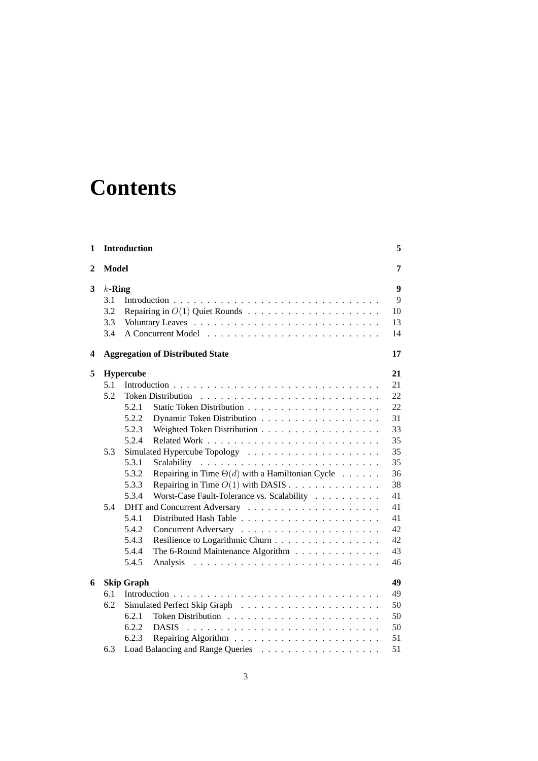## **Contents**

| 1              | <b>Introduction</b> |                         |                                                                        | 5        |  |
|----------------|---------------------|-------------------------|------------------------------------------------------------------------|----------|--|
| $\overline{2}$ | <b>Model</b>        |                         |                                                                        |          |  |
| 3              | $k$ -Ring<br>3.1    |                         |                                                                        |          |  |
|                | 3.2                 |                         |                                                                        | 10       |  |
|                | 3.3                 |                         |                                                                        | 13       |  |
|                | 3.4                 |                         |                                                                        | 14       |  |
| 4              |                     |                         | <b>Aggregation of Distributed State</b>                                | 17       |  |
| 5              |                     | <b>Hypercube</b>        |                                                                        | 21       |  |
|                | 5.1                 |                         |                                                                        | 21       |  |
|                | 5.2                 |                         |                                                                        | 22       |  |
|                |                     | 5.2.1                   |                                                                        | 22       |  |
|                |                     | 5.2.2                   |                                                                        | 31       |  |
|                |                     | 5.2.3                   |                                                                        | 33       |  |
|                |                     | 5.2.4                   |                                                                        | 35       |  |
|                | 5.3                 |                         |                                                                        | 35       |  |
|                |                     | 5.3.1                   | Scalability                                                            | 35       |  |
|                |                     | 5.3.2                   | Repairing in Time $\Theta(d)$ with a Hamiltonian Cycle $\ldots \ldots$ | 36       |  |
|                |                     | 5.3.3                   | Repairing in Time $O(1)$ with DASIS                                    | 38       |  |
|                |                     | 5.3.4                   | Worst-Case Fault-Tolerance vs. Scalability                             | 41<br>41 |  |
|                |                     | 5.4                     |                                                                        |          |  |
|                |                     | 5.4.1                   |                                                                        | 41       |  |
|                |                     | 5.4.2                   |                                                                        | 42       |  |
|                |                     | 5.4.3                   | Resilience to Logarithmic Churn                                        | 42       |  |
|                |                     | 5.4.4                   | The 6-Round Maintenance Algorithm                                      | 43       |  |
|                |                     | 5.4.5                   | Analysis                                                               | 46       |  |
| 6              |                     | 49<br><b>Skip Graph</b> |                                                                        |          |  |
|                | 6.1                 |                         |                                                                        | 49       |  |
|                | 6.2                 |                         |                                                                        | 50       |  |
|                |                     | 6.2.1                   |                                                                        | 50       |  |
|                |                     | 6.2.2                   | <b>DASIS</b>                                                           | 50       |  |
|                |                     | 6.2.3                   |                                                                        | 51       |  |
|                | 6.3                 |                         |                                                                        | 51       |  |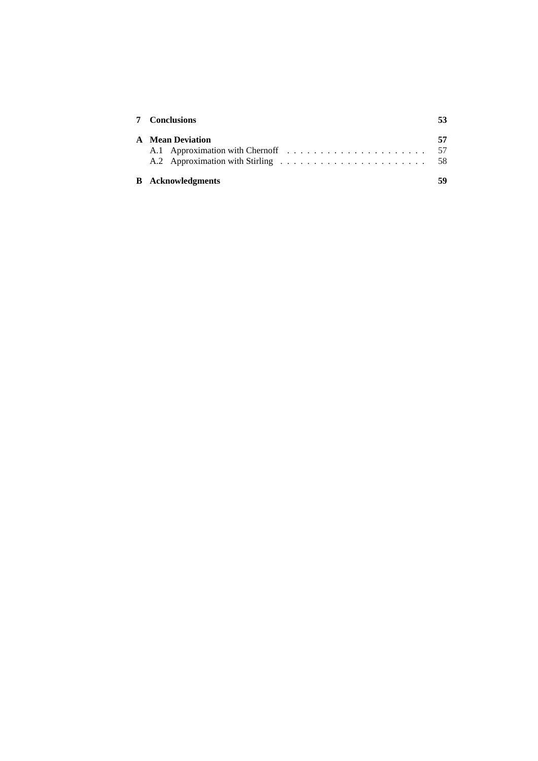| <b>7</b> Conclusions     |          |  |  |  |
|--------------------------|----------|--|--|--|
| <b>A</b> Mean Deviation  | 57<br>58 |  |  |  |
| <b>B</b> Acknowledgments | 59       |  |  |  |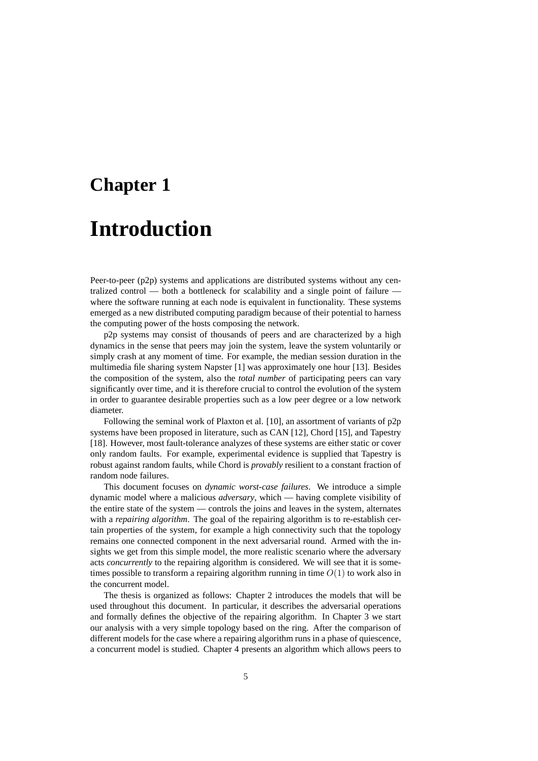# **Chapter 1 Introduction**

Peer-to-peer (p2p) systems and applications are distributed systems without any centralized control — both a bottleneck for scalability and a single point of failure where the software running at each node is equivalent in functionality. These systems emerged as a new distributed computing paradigm because of their potential to harness the computing power of the hosts composing the network.

p2p systems may consist of thousands of peers and are characterized by a high dynamics in the sense that peers may join the system, leave the system voluntarily or simply crash at any moment of time. For example, the median session duration in the multimedia file sharing system Napster [1] was approximately one hour [13]. Besides the composition of the system, also the *total number* of participating peers can vary significantly over time, and it is therefore crucial to control the evolution of the system in order to guarantee desirable properties such as a low peer degree or a low network diameter.

Following the seminal work of Plaxton et al. [10], an assortment of variants of p2p systems have been proposed in literature, such as CAN [12], Chord [15], and Tapestry [18]. However, most fault-tolerance analyzes of these systems are either static or cover only random faults. For example, experimental evidence is supplied that Tapestry is robust against random faults, while Chord is *provably* resilient to a constant fraction of random node failures.

This document focuses on *dynamic worst-case failures*. We introduce a simple dynamic model where a malicious *adversary*, which — having complete visibility of the entire state of the system — controls the joins and leaves in the system, alternates with a *repairing algorithm*. The goal of the repairing algorithm is to re-establish certain properties of the system, for example a high connectivity such that the topology remains one connected component in the next adversarial round. Armed with the insights we get from this simple model, the more realistic scenario where the adversary acts *concurrently* to the repairing algorithm is considered. We will see that it is sometimes possible to transform a repairing algorithm running in time  $O(1)$  to work also in the concurrent model.

The thesis is organized as follows: Chapter 2 introduces the models that will be used throughout this document. In particular, it describes the adversarial operations and formally defines the objective of the repairing algorithm. In Chapter 3 we start our analysis with a very simple topology based on the ring. After the comparison of different models for the case where a repairing algorithm runs in a phase of quiescence, a concurrent model is studied. Chapter 4 presents an algorithm which allows peers to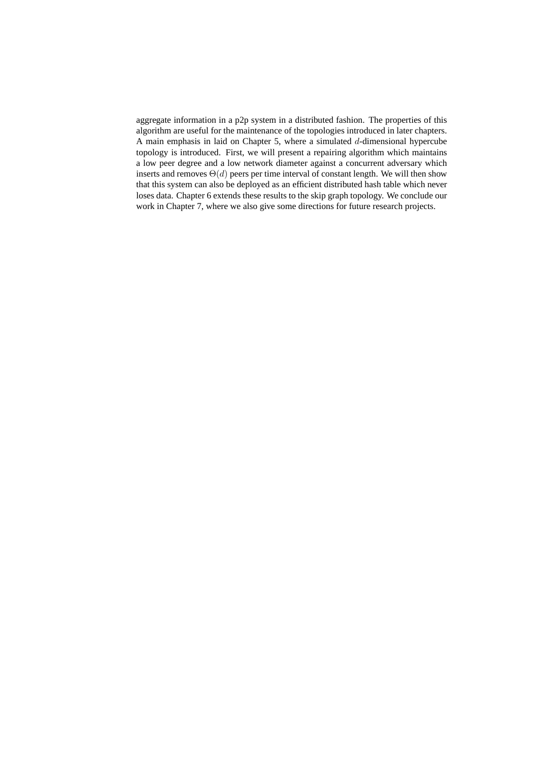aggregate information in a p2p system in a distributed fashion. The properties of this algorithm are useful for the maintenance of the topologies introduced in later chapters. A main emphasis in laid on Chapter 5, where a simulated  $d$ -dimensional hypercube topology is introduced. First, we will present a repairing algorithm which maintains a low peer degree and a low network diameter against a concurrent adversary which inserts and removes  $\Theta(d)$  peers per time interval of constant length. We will then show that this system can also be deployed as an efficient distributed hash table which never loses data. Chapter 6 extends these results to the skip graph topology. We conclude our work in Chapter 7, where we also give some directions for future research projects.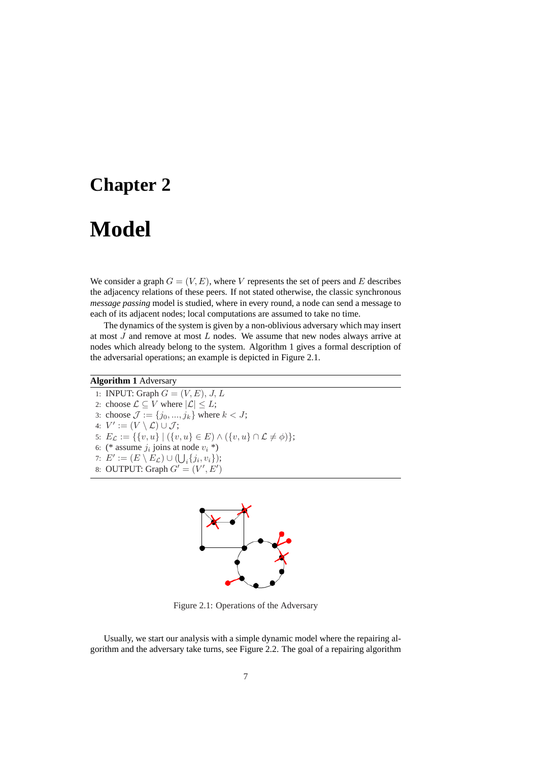## **Chapter 2**

## **Model**

We consider a graph  $G = (V, E)$ , where V represents the set of peers and E describes the adjacency relations of these peers. If not stated otherwise, the classic synchronous *message passing* model is studied, where in every round, a node can send a message to each of its adjacent nodes; local computations are assumed to take no time.

The dynamics of the system is given by a non-oblivious adversary which may insert at most J and remove at most L nodes. We assume that new nodes always arrive at nodes which already belong to the system. Algorithm 1 gives a formal description of the adversarial operations; an example is depicted in Figure 2.1.

### **Algorithm 1** Adversary

1: INPUT: Graph  $G = (V, E), J, L$ 2: choose  $\mathcal{L} \subseteq V$  where  $|\mathcal{L}| \leq L$ ; 3: choose  $J := \{j_0, ..., j_k\}$  where  $k < J$ ; 4:  $V' := (V \setminus \mathcal{L}) \cup \mathcal{J};$ 5:  $E_{\mathcal{L}} := \{ \{v, u\} \mid (\{v, u\} \in E) \wedge (\{v, u\} \cap \mathcal{L} \neq \emptyset) \};$ 6: (\* assume  $j_i$  joins at node  $v_i$  \*) 7:  $E' := (E \setminus E_{\mathcal{L}}) \cup (\bigcup_i \{j_i, v_i\});$ 8: OUTPUT: Graph  $G' = (V', E')$ 



Figure 2.1: Operations of the Adversary

Usually, we start our analysis with a simple dynamic model where the repairing algorithm and the adversary take turns, see Figure 2.2. The goal of a repairing algorithm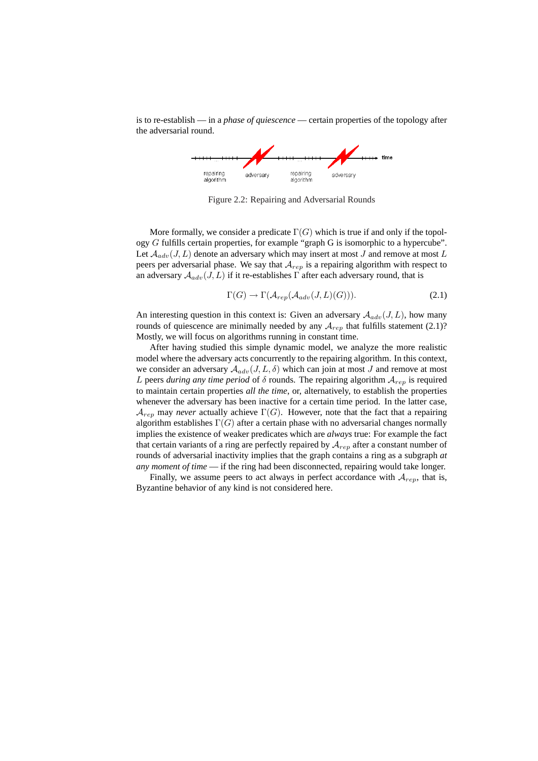is to re-establish — in a *phase of quiescence* — certain properties of the topology after the adversarial round.



Figure 2.2: Repairing and Adversarial Rounds

More formally, we consider a predicate  $\Gamma(G)$  which is true if and only if the topology G fulfills certain properties, for example "graph G is isomorphic to a hypercube". Let  $A_{adv}(J, L)$  denote an adversary which may insert at most J and remove at most L peers per adversarial phase. We say that  $A_{rep}$  is a repairing algorithm with respect to an adversary  $A_{adv}(J, L)$  if it re-establishes  $\Gamma$  after each adversary round, that is

$$
\Gamma(G) \to \Gamma(\mathcal{A}_{rep}(\mathcal{A}_{adv}(J, L)(G))). \tag{2.1}
$$

An interesting question in this context is: Given an adversary  $A_{adv}(J, L)$ , how many rounds of quiescence are minimally needed by any  $A_{rep}$  that fulfills statement (2.1)? Mostly, we will focus on algorithms running in constant time.

After having studied this simple dynamic model, we analyze the more realistic model where the adversary acts concurrently to the repairing algorithm. In this context, we consider an adversary  $A_{adv}(J, L, \delta)$  which can join at most J and remove at most L peers *during any time period* of  $\delta$  rounds. The repairing algorithm  $A_{rep}$  is required to maintain certain properties *all the time*, or, alternatively, to establish the properties whenever the adversary has been inactive for a certain time period. In the latter case,  $\mathcal{A}_{ren}$  may *never* actually achieve  $\Gamma(G)$ . However, note that the fact that a repairing algorithm establishes  $\Gamma(G)$  after a certain phase with no adversarial changes normally implies the existence of weaker predicates which are *always* true: For example the fact that certain variants of a ring are perfectly repaired by  $A_{rep}$  after a constant number of rounds of adversarial inactivity implies that the graph contains a ring as a subgraph *at any moment of time* — if the ring had been disconnected, repairing would take longer.

Finally, we assume peers to act always in perfect accordance with  $A_{rep}$ , that is, Byzantine behavior of any kind is not considered here.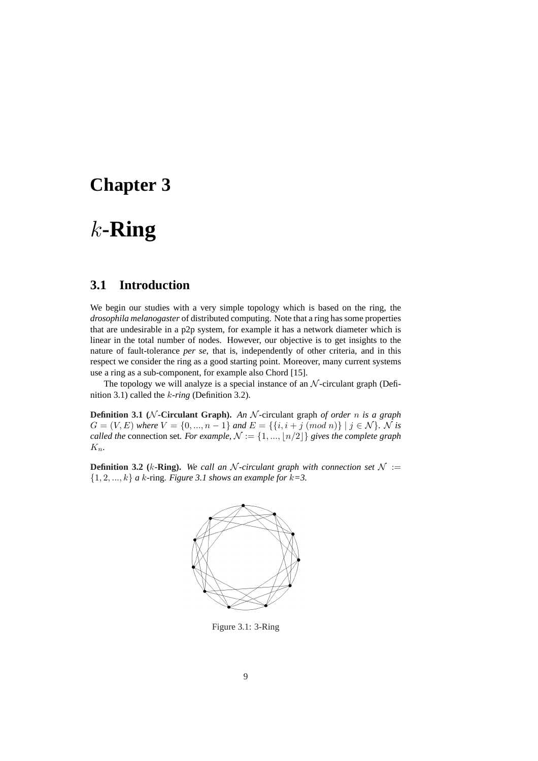## **Chapter 3**

## k**-Ring**

## **3.1 Introduction**

We begin our studies with a very simple topology which is based on the ring, the *drosophila melanogaster* of distributed computing. Note that a ring has some properties that are undesirable in a p2p system, for example it has a network diameter which is linear in the total number of nodes. However, our objective is to get insights to the nature of fault-tolerance *per se*, that is, independently of other criteria, and in this respect we consider the ring as a good starting point. Moreover, many current systems use a ring as a sub-component, for example also Chord [15].

The topology we will analyze is a special instance of an  $N$ -circulant graph (Definition 3.1) called the k*-ring* (Definition 3.2).

**Definition 3.1 (**N **-Circulant Graph).** *An* N -circulant graph *of order* n *is a graph*  $G = (V, E)$  *where*  $V = \{0, ..., n-1\}$  *and*  $E = \{\{i, i + j \pmod{n}\} \mid j \in \mathcal{N}\}\)$ *.* N is *called the* connection set. For example,  $N := \{1, ..., \lfloor n/2 \rfloor\}$  gives the complete graph Kn*.*

**Definition 3.2** (k-Ring). We call an N-circulant graph with connection set  $\mathcal{N}$  :=  $\{1, 2, \ldots, k\}$  *a* k-ring. Figure 3.1 shows an example for  $k=3$ .



Figure 3.1: 3-Ring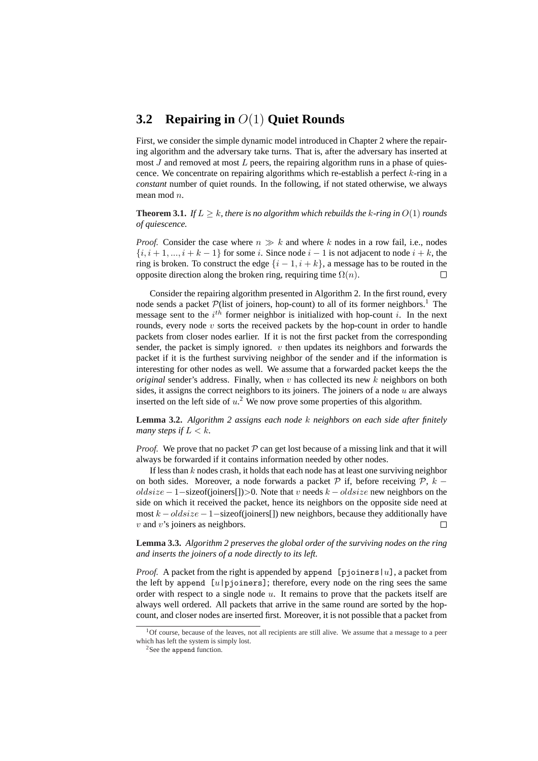## **3.2 Repairing in** O(1) **Quiet Rounds**

First, we consider the simple dynamic model introduced in Chapter 2 where the repairing algorithm and the adversary take turns. That is, after the adversary has inserted at most  $J$  and removed at most  $L$  peers, the repairing algorithm runs in a phase of quiescence. We concentrate on repairing algorithms which re-establish a perfect  $k$ -ring in a *constant* number of quiet rounds. In the following, if not stated otherwise, we always mean mod n.

**Theorem 3.1.** *If*  $L > k$ *, there is no algorithm which rebuilds the k-ring in*  $O(1)$  *rounds of quiescence.*

*Proof.* Consider the case where  $n \gg k$  and where k nodes in a row fail, i.e., nodes  $\{i, i+1, ..., i+k-1\}$  for some i. Since node  $i-1$  is not adjacent to node  $i+k$ , the ring is broken. To construct the edge  $\{i-1, i+k\}$ , a message has to be routed in the opposite direction along the broken ring, requiring time  $\Omega(n)$ .  $\Box$ 

Consider the repairing algorithm presented in Algorithm 2. In the first round, every node sends a packet  $P$ (list of joiners, hop-count) to all of its former neighbors.<sup>1</sup> The message sent to the  $i^{th}$  former neighbor is initialized with hop-count i. In the next rounds, every node  $v$  sorts the received packets by the hop-count in order to handle packets from closer nodes earlier. If it is not the first packet from the corresponding sender, the packet is simply ignored.  $v$  then updates its neighbors and forwards the packet if it is the furthest surviving neighbor of the sender and if the information is interesting for other nodes as well. We assume that a forwarded packet keeps the the *original* sender's address. Finally, when v has collected its new k neighbors on both sides, it assigns the correct neighbors to its joiners. The joiners of a node  $u$  are always inserted on the left side of  $u$ <sup>2</sup>. We now prove some properties of this algorithm.

**Lemma 3.2.** *Algorithm 2 assigns each node* k *neighbors on each side after finitely many steps if*  $L < k$ .

*Proof.* We prove that no packet  $P$  can get lost because of a missing link and that it will always be forwarded if it contains information needed by other nodes.

If less than  $k$  nodes crash, it holds that each node has at least one surviving neighbor on both sides. Moreover, a node forwards a packet P if, before receiving  $\mathcal{P}, k$  $oldsize - 1 - sizeof(joiners[]) > 0$ . Note that v needs  $k - oldsize$  new neighbors on the side on which it received the packet, hence its neighbors on the opposite side need at most  $k - oldsize - 1 - sizeof(ioiners])$  new neighbors, because they additionally have  $v$  and  $v$ 's joiners as neighbors.  $\Box$ 

**Lemma 3.3.** *Algorithm 2 preserves the global order of the surviving nodes on the ring and inserts the joiners of a node directly to its left.*

*Proof.* A packet from the right is appended by append [pjoiners  $|u|$ , a packet from the left by append  $[u]$  pjoiners]; therefore, every node on the ring sees the same order with respect to a single node  $u$ . It remains to prove that the packets itself are always well ordered. All packets that arrive in the same round are sorted by the hopcount, and closer nodes are inserted first. Moreover, it is not possible that a packet from

<sup>&</sup>lt;sup>1</sup>Of course, because of the leaves, not all recipients are still alive. We assume that a message to a peer which has left the system is simply lost.

<sup>&</sup>lt;sup>2</sup>See the append function.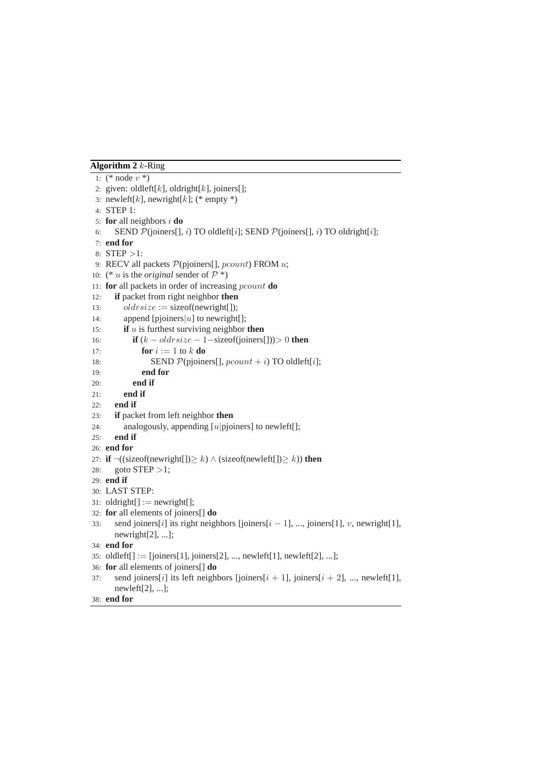### **Algorithm 2** k-Ring

```
1: (* node v^*)
 2: given: oldleft[k], oldright[k], joiners[];
 3: newleft[k], newright[k]; (* empty *)
 4: STEP 1:
 5: for all neighbors i do
 6: SEND \mathcal{P}(\text{joiners}[, i) TO oldleft[i]; SEND \mathcal{P}(\text{joiners}[, i) TO oldright[i];
 7: end for
 8: STEP >1:
 9: RECV all packets P(p\text{joiners}[], pcount) FROM u;
10: (* u is the original sender of \mathcal{P} *)
11: for all packets in order of increasing pcount do
12: if packet from right neighbor then
13: oldrsize := sizeof(newright[]);
14: append [pjoiners]u] to newright[];
15: if u is furthest surviving neighbor then
16: if (k - oldrsize - 1 - sizeof(joiners[]) > 0 then
17: for i := 1 to k do
18: SEND \mathcal{P}(\text{p}|\text{o}|\text{iners}|\text{], } \text{pcount} + i) \text{TO} \text{old}\text{left}[i];19: end for
20: end if
21: end if
22: end if
23: if packet from left neighbor then
24: analogously, appending [u|p]oiners] to newleft[];
25: end if
26: end for
27: if \neg((\text{sizeof}(newright[])) \ge k) \land (\text{sizeof}(newleft[])) \ge k)) then
28: goto STEP > 1;
29: end if
30: LAST STEP:
31: oldright[] := \text{newright}[];
32: for all elements of joiners[] do
33: send joiners[i] its right neighbors [joiners[i - 1], ..., joiners[1], v, newright[1],
       newright[2], ...];
34: end for
35: oldleft[] := [joiners[1], joiners[2], ..., new left[1], new left[2], ...];
36: for all elements of joiners[] do
37: send joiners[i] its left neighbors [joiners[i + 1], joiners[i + 2], ..., newleft[1],
       newleft[2], ...];
38: end for
```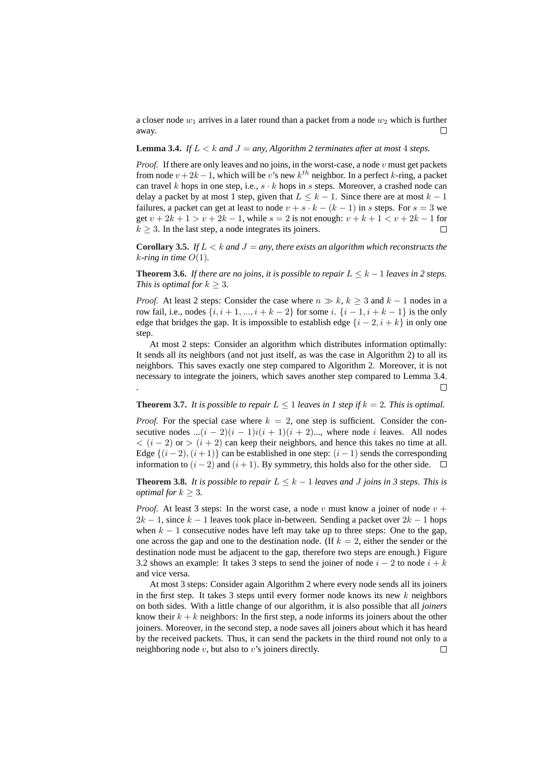a closer node  $w_1$  arrives in a later round than a packet from a node  $w_2$  which is further away.  $\Box$ 

#### **Lemma 3.4.** *If*  $L < k$  *and*  $J = any$ , *Algorithm 2 terminates after at most* 4 *steps.*

*Proof.* If there are only leaves and no joins, in the worst-case, a node  $v$  must get packets from node  $v + 2k - 1$ , which will be v's new  $k^{th}$  neighbor. In a perfect k-ring, a packet can travel k hops in one step, i.e.,  $s \cdot k$  hops in s steps. Moreover, a crashed node can delay a packet by at most 1 step, given that  $L \leq k - 1$ . Since there are at most  $k - 1$ failures, a packet can get at least to node  $v + s \cdot k - (k - 1)$  in s steps. For  $s = 3$  we get  $v + 2k + 1 > v + 2k - 1$ , while  $s = 2$  is not enough:  $v + k + 1 < v + 2k - 1$  for  $\Box$  $k \geq 3$ . In the last step, a node integrates its joiners.

**Corollary 3.5.** *If*  $L < k$  *and*  $J = any$ *, there exists an algorithm which reconstructs the k*-ring in time  $O(1)$ .

**Theorem 3.6.** *If there are no joins, it is possible to repair*  $L \leq k - 1$  *leaves in 2 steps. This is optimal for*  $k > 3$ *.* 

*Proof.* At least 2 steps: Consider the case where  $n \gg k, k \geq 3$  and  $k - 1$  nodes in a row fail, i.e., nodes  $\{i, i+1, ..., i+k-2\}$  for some i.  $\{i-1, i+k-1\}$  is the only edge that bridges the gap. It is impossible to establish edge  $\{i-2, i+k\}$  in only one step.

At most 2 steps: Consider an algorithm which distributes information optimally: It sends all its neighbors (and not just itself, as was the case in Algorithm 2) to all its neighbors. This saves exactly one step compared to Algorithm 2. Moreover, it is not necessary to integrate the joiners, which saves another step compared to Lemma 3.4. .  $\Box$ 

#### **Theorem 3.7.** It is possible to repair  $L \leq 1$  leaves in 1 step if  $k = 2$ . This is optimal.

*Proof.* For the special case where  $k = 2$ , one step is sufficient. Consider the consecutive nodes  $...(i - 2)(i - 1)i(i + 1)(i + 2)...$ , where node *i* leaves. All nodes  $\langle (i-2) \text{ or } (i+2) \text{ can keep their neighbors, and hence this takes no time at all.}$ Edge  $\{(i-2), (i+1)\}\)$  can be established in one step:  $(i-1)$  sends the corresponding information to  $(i - 2)$  and  $(i + 1)$ . By symmetry, this holds also for the other side. □

**Theorem 3.8.** It is possible to repair  $L \leq k - 1$  leaves and J joins in 3 steps. This is *optimal for*  $k > 3$ *.* 

*Proof.* At least 3 steps: In the worst case, a node v must know a joiner of node  $v +$  $2k - 1$ , since  $k - 1$  leaves took place in-between. Sending a packet over  $2k - 1$  hops when  $k - 1$  consecutive nodes have left may take up to three steps: One to the gap, one across the gap and one to the destination node. (If  $k = 2$ , either the sender or the destination node must be adjacent to the gap, therefore two steps are enough.) Figure 3.2 shows an example: It takes 3 steps to send the joiner of node  $i - 2$  to node  $i + k$ and vice versa.

At most 3 steps: Consider again Algorithm 2 where every node sends all its joiners in the first step. It takes 3 steps until every former node knows its new  $k$  neighbors on both sides. With a little change of our algorithm, it is also possible that all *joiners* know their  $k + k$  neighbors: In the first step, a node informs its joiners about the other joiners. Moreover, in the second step, a node saves all joiners about which it has heard by the received packets. Thus, it can send the packets in the third round not only to a neighboring node  $v$ , but also to  $v$ 's joiners directly.  $\Box$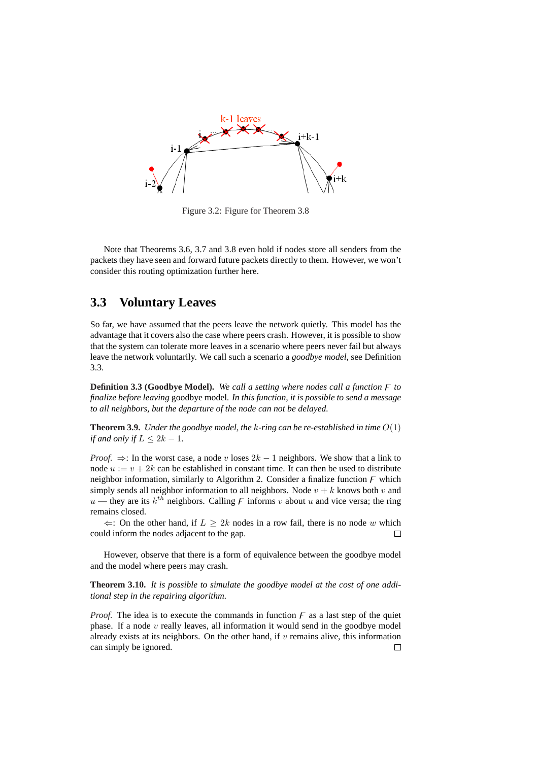

Figure 3.2: Figure for Theorem 3.8

Note that Theorems 3.6, 3.7 and 3.8 even hold if nodes store all senders from the packets they have seen and forward future packets directly to them. However, we won't consider this routing optimization further here.

## **3.3 Voluntary Leaves**

So far, we have assumed that the peers leave the network quietly. This model has the advantage that it covers also the case where peers crash. However, it is possible to show that the system can tolerate more leaves in a scenario where peers never fail but always leave the network voluntarily. We call such a scenario a *goodbye model*, see Definition 3.3.

**Definition 3.3 (Goodbye Model).** We call a setting where nodes call a function  $\overline{F}$  to *finalize before leaving* goodbye model*. In this function, it is possible to send a message to all neighbors, but the departure of the node can not be delayed.*

**Theorem 3.9.** *Under the goodbye model, the* k*-ring can be re-established in time* O(1) *if and only if*  $L \leq 2k - 1$ *.* 

*Proof.*  $\Rightarrow$ : In the worst case, a node v loses  $2k - 1$  neighbors. We show that a link to node  $u := v + 2k$  can be established in constant time. It can then be used to distribute neighbor information, similarly to Algorithm 2. Consider a finalize function  $\overline{F}$  which simply sends all neighbor information to all neighbors. Node  $v + k$  knows both v and  $u$  — they are its  $k^{th}$  neighbors. Calling F informs v about u and vice versa; the ring remains closed.

 $\Leftarrow$ : On the other hand, if  $L \geq 2k$  nodes in a row fail, there is no node w which could inform the nodes adjacent to the gap.  $\Box$ 

However, observe that there is a form of equivalence between the goodbye model and the model where peers may crash.

**Theorem 3.10.** *It is possible to simulate the goodbye model at the cost of one additional step in the repairing algorithm.*

*Proof.* The idea is to execute the commands in function  $F$  as a last step of the quiet phase. If a node  $v$  really leaves, all information it would send in the goodbye model already exists at its neighbors. On the other hand, if  $v$  remains alive, this information can simply be ignored. $\Box$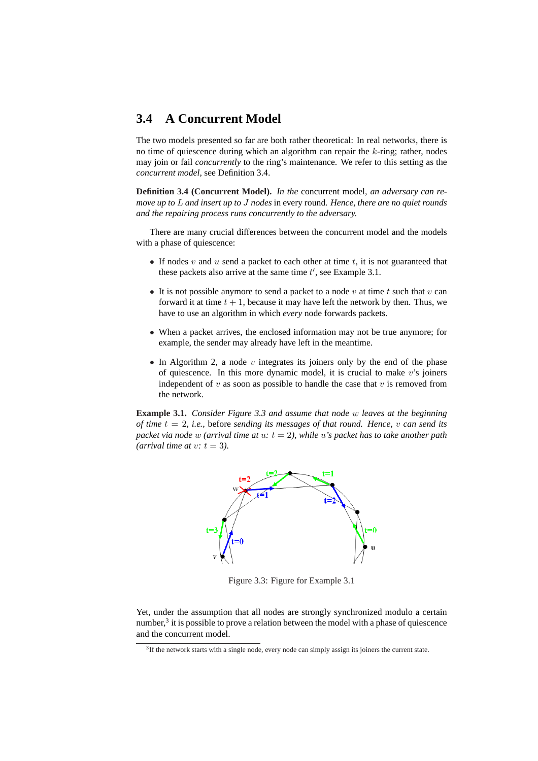## **3.4 A Concurrent Model**

The two models presented so far are both rather theoretical: In real networks, there is no time of quiescence during which an algorithm can repair the  $k$ -ring; rather, nodes may join or fail *concurrently* to the ring's maintenance. We refer to this setting as the *concurrent model*, see Definition 3.4.

**Definition 3.4 (Concurrent Model).** *In the* concurrent model*, an adversary can remove up to* L *and insert up to* J *nodes* in every round*. Hence, there are no quiet rounds and the repairing process runs concurrently to the adversary.*

There are many crucial differences between the concurrent model and the models with a phase of quiescence:

- If nodes  $v$  and  $u$  send a packet to each other at time  $t$ , it is not guaranteed that these packets also arrive at the same time  $t'$ , see Example 3.1.
- It is not possible anymore to send a packet to a node  $v$  at time  $t$  such that  $v$  can forward it at time  $t + 1$ , because it may have left the network by then. Thus, we have to use an algorithm in which *every* node forwards packets.
- When a packet arrives, the enclosed information may not be true anymore; for example, the sender may already have left in the meantime.
- In Algorithm 2, a node v integrates its joiners only by the end of the phase of quiescence. In this more dynamic model, it is crucial to make  $v$ 's joiners independent of  $v$  as soon as possible to handle the case that  $v$  is removed from the network.

**Example 3.1.** *Consider Figure 3.3 and assume that node* w *leaves at the beginning of time* t = 2*, i.e.,* before *sending its messages of that round. Hence,* v *can send its packet via node* w *(arrival time at* u*:* t = 2*), while* u*'s packet has to take another path (arrival time at v: t = 3).* 



Figure 3.3: Figure for Example 3.1

Yet, under the assumption that all nodes are strongly synchronized modulo a certain number, $3$  it is possible to prove a relation between the model with a phase of quiescence and the concurrent model.

<sup>&</sup>lt;sup>3</sup>If the network starts with a single node, every node can simply assign its joiners the current state.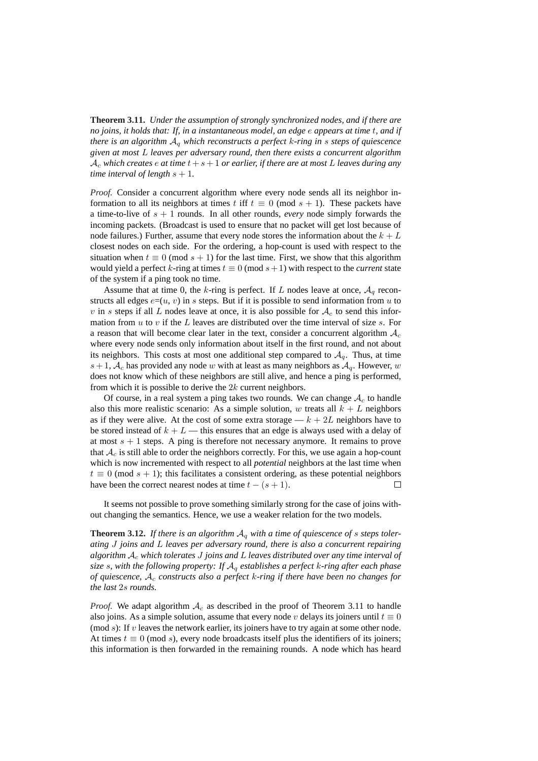**Theorem 3.11.** *Under the assumption of strongly synchronized nodes, and if there are no joins, it holds that: If, in a instantaneous model, an edge* e *appears at time* t*, and if there is an algorithm* A<sup>q</sup> *which reconstructs a perfect* k*-ring in* s *steps of quiescence given at most* L *leaves per adversary round, then there exists a concurrent algorithm*  $\mathcal{A}_c$  *which creates*  $e$  *at time*  $t + s + 1$  *or earlier, if there are at most* L *leaves during any time interval of length*  $s + 1$ *.* 

*Proof.* Consider a concurrent algorithm where every node sends all its neighbor information to all its neighbors at times t iff  $t \equiv 0 \pmod{s+1}$ . These packets have a time-to-live of  $s + 1$  rounds. In all other rounds, *every* node simply forwards the incoming packets. (Broadcast is used to ensure that no packet will get lost because of node failures.) Further, assume that every node stores the information about the  $k + L$ closest nodes on each side. For the ordering, a hop-count is used with respect to the situation when  $t \equiv 0 \pmod{s + 1}$  for the last time. First, we show that this algorithm would yield a perfect k-ring at times  $t \equiv 0 \pmod{s+1}$  with respect to the *current* state of the system if a ping took no time.

Assume that at time 0, the k-ring is perfect. If L nodes leave at once,  $A_q$  reconstructs all edges  $e=(u, v)$  in s steps. But if it is possible to send information from u to v in s steps if all L nodes leave at once, it is also possible for  $A_c$  to send this information from  $u$  to  $v$  if the  $L$  leaves are distributed over the time interval of size  $s$ . For a reason that will become clear later in the text, consider a concurrent algorithm  $A_c$ where every node sends only information about itself in the first round, and not about its neighbors. This costs at most one additional step compared to  $A<sub>a</sub>$ . Thus, at time  $s+1$ ,  $A_c$  has provided any node w with at least as many neighbors as  $A_q$ . However, w does not know which of these neighbors are still alive, and hence a ping is performed, from which it is possible to derive the  $2k$  current neighbors.

Of course, in a real system a ping takes two rounds. We can change  $A_c$  to handle also this more realistic scenario: As a simple solution, w treats all  $k + L$  neighbors as if they were alive. At the cost of some extra storage  $-k+2L$  neighbors have to be stored instead of  $k + L$  — this ensures that an edge is always used with a delay of at most  $s + 1$  steps. A ping is therefore not necessary anymore. It remains to prove that  $A_c$  is still able to order the neighbors correctly. For this, we use again a hop-count which is now incremented with respect to all *potential* neighbors at the last time when  $t \equiv 0 \pmod{s+1}$ ; this facilitates a consistent ordering, as these potential neighbors have been the correct nearest nodes at time  $t - (s + 1)$ .  $\Box$ 

It seems not possible to prove something similarly strong for the case of joins without changing the semantics. Hence, we use a weaker relation for the two models.

**Theorem 3.12.** If there is an algorithm  $A_q$  with a time of quiescence of s steps toler*ating* J *joins and* L *leaves per adversary round, there is also a concurrent repairing algorithm* A<sup>c</sup> *which tolerates* J *joins and* L *leaves distributed over any time interval of size* s*, with the following property: If* A<sup>q</sup> *establishes a perfect* k*-ring after each phase of quiescence,* A<sup>c</sup> *constructs also a perfect* k*-ring if there have been no changes for the last* 2s *rounds.*

*Proof.* We adapt algorithm  $A_c$  as described in the proof of Theorem 3.11 to handle also joins. As a simple solution, assume that every node v delays its joiners until  $t \equiv 0$ (mod  $s$ ): If  $v$  leaves the network earlier, its joiners have to try again at some other node. At times  $t \equiv 0 \pmod{s}$ , every node broadcasts itself plus the identifiers of its joiners; this information is then forwarded in the remaining rounds. A node which has heard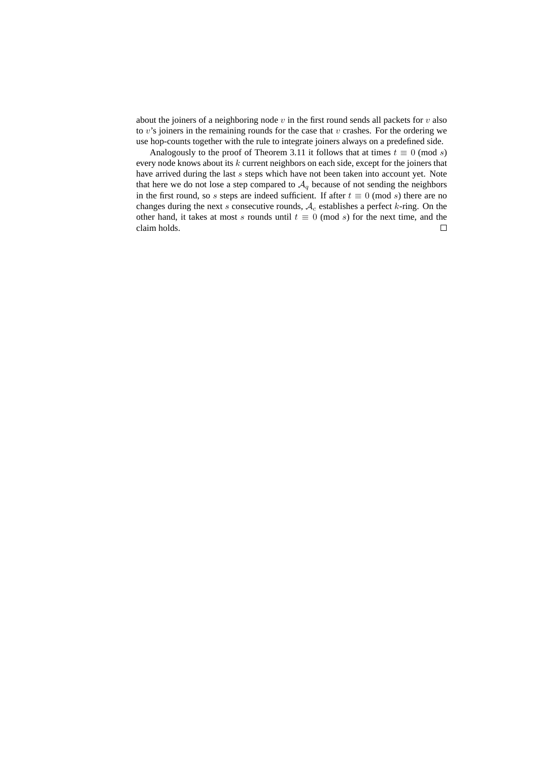about the joiners of a neighboring node  $v$  in the first round sends all packets for  $v$  also to  $v$ 's joiners in the remaining rounds for the case that  $v$  crashes. For the ordering we use hop-counts together with the rule to integrate joiners always on a predefined side.

Analogously to the proof of Theorem 3.11 it follows that at times  $t \equiv 0 \pmod{s}$ every node knows about its  $k$  current neighbors on each side, except for the joiners that have arrived during the last s steps which have not been taken into account yet. Note that here we do not lose a step compared to  $A_q$  because of not sending the neighbors in the first round, so s steps are indeed sufficient. If after  $t \equiv 0 \pmod{s}$  there are no changes during the next  $s$  consecutive rounds,  $A_c$  establishes a perfect  $k$ -ring. On the other hand, it takes at most s rounds until  $t \equiv 0 \pmod{s}$  for the next time, and the claim holds. $\Box$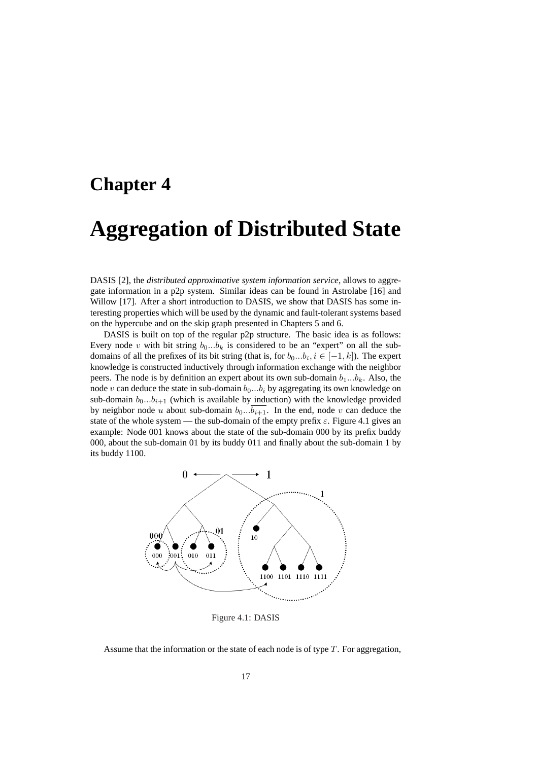## **Chapter 4**

## **Aggregation of Distributed State**

DASIS [2], the *distributed approximative system information service*, allows to aggregate information in a p2p system. Similar ideas can be found in Astrolabe [16] and Willow [17]. After a short introduction to DASIS, we show that DASIS has some interesting properties which will be used by the dynamic and fault-tolerant systems based on the hypercube and on the skip graph presented in Chapters 5 and 6.

DASIS is built on top of the regular p2p structure. The basic idea is as follows: Every node v with bit string  $b_0...b_k$  is considered to be an "expert" on all the subdomains of all the prefixes of its bit string (that is, for  $b_0...b_i$ ,  $i \in [-1, k]$ ). The expert knowledge is constructed inductively through information exchange with the neighbor peers. The node is by definition an expert about its own sub-domain  $b_1...b_k$ . Also, the node v can deduce the state in sub-domain  $b_0...b_i$  by aggregating its own knowledge on sub-domain  $b_0...b_{i+1}$  (which is available by induction) with the knowledge provided by neighbor node u about sub-domain  $b_0...b_{i+1}$ . In the end, node v can deduce the state of the whole system — the sub-domain of the empty prefix  $\varepsilon$ . Figure 4.1 gives an example: Node 001 knows about the state of the sub-domain 000 by its prefix buddy 000, about the sub-domain 01 by its buddy 011 and finally about the sub-domain 1 by its buddy 1100.



Figure 4.1: DASIS

Assume that the information or the state of each node is of type  $T$ . For aggregation,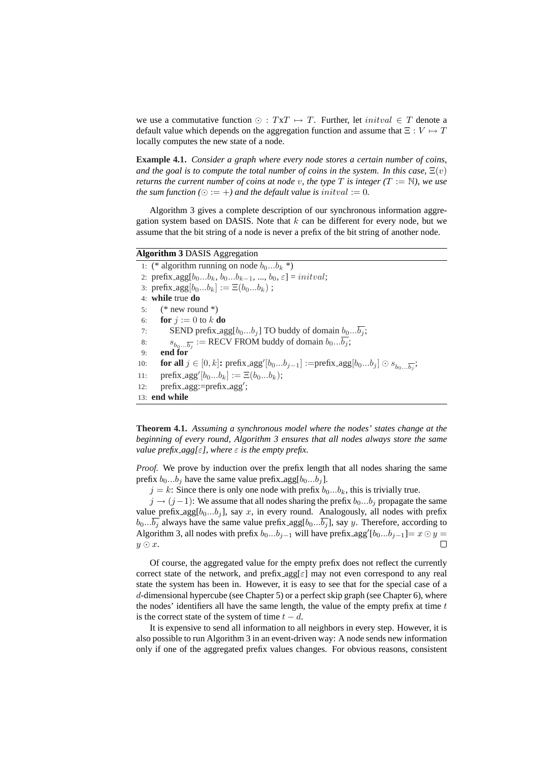we use a commutative function  $\odot$  :  $TxT \mapsto T$ . Further, let *initval*  $\in T$  denote a default value which depends on the aggregation function and assume that  $\Xi : V \mapsto T$ locally computes the new state of a node.

**Example 4.1.** *Consider a graph where every node stores a certain number of coins, and the goal is to compute the total number of coins in the system. In this case,*  $\Xi(v)$ *returns the current number of coins at node* v, the type T is integer  $(T := N)$ , we use *the sum function* ( $\odot := +$ *) and the default value is initval := 0.* 

Algorithm 3 gives a complete description of our synchronous information aggregation system based on DASIS. Note that  $k$  can be different for every node, but we assume that the bit string of a node is never a prefix of the bit string of another node.

## **Algorithm 3** DASIS Aggregation

1: (\* algorithm running on node  $b_0...b_k$  \*) 2: prefix\_agg[ $b_0...b_k$ ,  $b_0...b_{k-1}$ , ...,  $b_0$ ,  $\varepsilon$ ] = initval; 3:  $\text{prefix\_agg}[b_0...b_k] := \Xi(b_0...b_k)$ ; 4: **while** true **do** 5:  $(* new round *)$ 6: **for**  $i := 0$  to k **do** 7: SEND prefix  $\arg[b_0...b_j]$  TO buddy of domain  $b_0...\overline{b_j}$ ; 8:  $s_{b_0...b_j}$  := RECV FROM buddy of domain  $b_0...b_j$ ; 9: **end for** 10: **for all**  $j \in [0, k]$ **:** prefix\_agg' $[b_0...b_{j-1}]$  :=prefix\_agg $[b_0...b_j] \odot s_{b_0...b_j}$ ; 11:  $\text{prefix\_agg'}[b_0...b_k] := \Xi(b_0...b_k);$ 12: prefix\_agg:=prefix\_agg'; 13: **end while**

**Theorem 4.1.** *Assuming a synchronous model where the nodes' states change at the beginning of every round, Algorithm 3 ensures that all nodes always store the same value prefix\_agg[* $\varepsilon$ *], where*  $\varepsilon$  *is the empty prefix.* 

*Proof.* We prove by induction over the prefix length that all nodes sharing the same prefix  $b_0...b_j$  have the same value prefix agg[ $b_0...b_j$ ].

 $j = k$ : Since there is only one node with prefix  $b_0...b_k$ , this is trivially true.

 $j \rightarrow (j-1)$ : We assume that all nodes sharing the prefix  $b_0...b_j$  propagate the same value prefix  $\arg[b_0...b_j]$ , say x, in every round. Analogously, all nodes with prefix  $b_0...b_j$  always have the same value prefix agg[ $b_0...b_j$ ], say y. Therefore, according to Algorithm 3, all nodes with prefix  $b_0...b_{j-1}$  will have prefix agg' $[b_0...b_{j-1}]=x\odot y=$  $y \odot x$ .  $\Box$ 

Of course, the aggregated value for the empty prefix does not reflect the currently correct state of the network, and prefix  $\arg[\varepsilon]$  may not even correspond to any real state the system has been in. However, it is easy to see that for the special case of a d-dimensional hypercube (see Chapter 5) or a perfect skip graph (see Chapter 6), where the nodes' identifiers all have the same length, the value of the empty prefix at time  $t$ is the correct state of the system of time  $t - d$ .

It is expensive to send all information to all neighbors in every step. However, it is also possible to run Algorithm 3 in an event-driven way: A node sends new information only if one of the aggregated prefix values changes. For obvious reasons, consistent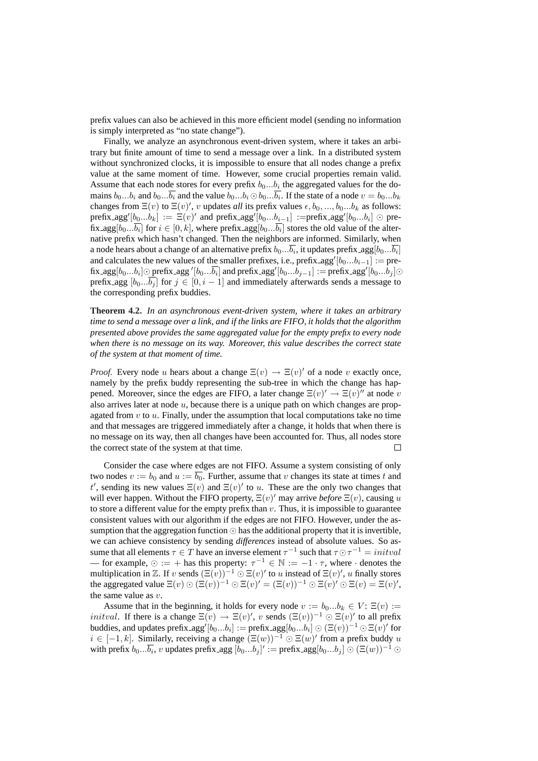prefix values can also be achieved in this more efficient model (sending no information is simply interpreted as "no state change").

Finally, we analyze an asynchronous event-driven system, where it takes an arbitrary but finite amount of time to send a message over a link. In a distributed system without synchronized clocks, it is impossible to ensure that all nodes change a prefix value at the same moment of time. However, some crucial properties remain valid. Assume that each node stores for every prefix  $b_0...b_i$  the aggregated values for the domains  $b_0...b_i$  and  $b_0...\overline{b_i}$  and the value  $b_0...b_i \odot b_0...\overline{b_i}$ . If the state of a node  $v = b_0...b_k$ changes from  $\Xi(v)$  to  $\Xi(v)'$ , v updates *all* its prefix values  $\epsilon, b_0, ..., b_0...b_k$  as follows: prefix\_agg' $[b_0...b_k] := \Xi(v)'$  and prefix\_agg' $[b_0...b_{i-1}] :=$ prefix\_agg' $[b_0...b_i] \odot$  prefix\_agg $[b_0... \overline{b_i}]$  for  $i \in [0,k]$ , where prefix\_agg $[b_0... \overline{b_i}]$  stores the old value of the alternative prefix which hasn't changed. Then the neighbors are informed. Similarly, when a node hears about a change of an alternative prefix  $b_0...\overline{b_i}$ , it updates prefix\_agg $[b_0...\overline{b_i}]$ and calculates the new values of the smaller prefixes, i.e., prefix\_agg' $[b_0...b_{i-1}] := \text{pre}$ fix\_agg $[b_0...b_i]$ ⊙ prefix\_agg ' $[b_0...\overline{b_i}]$  and prefix\_agg' $[b_0...b_{j-1}]$  := prefix\_agg' $[b_0...b_j]$ ⊙ prefix agg  $[b_0...b_i]$  for  $j \in [0, i-1]$  and immediately afterwards sends a message to the corresponding prefix buddies.

**Theorem 4.2.** *In an asynchronous event-driven system, where it takes an arbitrary time to send a message over a link, and if the links are FIFO, it holds that the algorithm presented above provides the same aggregated value for the empty prefix to every node when there is no message on its way. Moreover, this value describes the correct state of the system at that moment of time.*

*Proof.* Every node u hears about a change  $\Xi(v) \to \Xi(v)'$  of a node v exactly once, namely by the prefix buddy representing the sub-tree in which the change has happened. Moreover, since the edges are FIFO, a later change  $\Xi(v)' \to \Xi(v)'$  at node v also arrives later at node  $u$ , because there is a unique path on which changes are propagated from  $v$  to  $u$ . Finally, under the assumption that local computations take no time and that messages are triggered immediately after a change, it holds that when there is no message on its way, then all changes have been accounted for. Thus, all nodes store the correct state of the system at that time.  $\Box$ 

Consider the case where edges are not FIFO. Assume a system consisting of only two nodes  $v := b_0$  and  $u := \overline{b_0}$ . Further, assume that v changes its state at times t and t', sending its new values  $\Xi(v)$  and  $\Xi(v)'$  to u. These are the only two changes that will ever happen. Without the FIFO property,  $\Xi(v)'$  may arrive *before*  $\Xi(v)$ , causing u to store a different value for the empty prefix than  $v$ . Thus, it is impossible to guarantee consistent values with our algorithm if the edges are not FIFO. However, under the assumption that the aggregation function  $\odot$  has the additional property that it is invertible, we can achieve consistency by sending *differences* instead of absolute values. So assume that all elements  $\tau \in T$  have an inverse element  $\tau^{-1}$  such that  $\tau \odot \tau^{-1} = \text{initial}$ — for example,  $\odot := +$  has this property:  $\tau^{-1} \in \mathbb{N} := -1 \cdot \tau$ , where  $\cdot$  denotes the multiplication in Z. If v sends  $(\Xi(v))^{-1} \odot \Xi(v)'$  to u instead of  $\Xi(v)'$ , u finally stores the aggregated value  $\Xi(v) \odot (\Xi(v))^{-1} \odot \Xi(v)' = (\Xi(v))^{-1} \odot \Xi(v)' \odot \Xi(v) = \Xi(v)'$ , the same value as  $v$ .

Assume that in the beginning, it holds for every node  $v := b_0...b_k \in V$ :  $\Xi(v) :=$ *initval.* If there is a change  $\Xi(v) \to \Xi(v)'$ , v sends  $(\Xi(v))^{-1} \odot \Xi(v)'$  to all prefix buddies, and updates prefix\_agg′ $[b_0...b_i]:=\text{prefix\_agg}[b_0...b_i] \odot (\Xi(v))^{-1} \odot \Xi(v)'$  for  $i \in [-1, k]$ . Similarly, receiving a change  $(\Xi(w))^{-1} \odot \Xi(w)'$  from a prefix buddy u with prefix  $b_0... \overline{b_i}$ ,  $v$  updates prefix\_agg  $[b_0... b_j]' := \text{prefix\_agg}[b_0... b_j] \odot (\Xi(w))^{-1} \odot$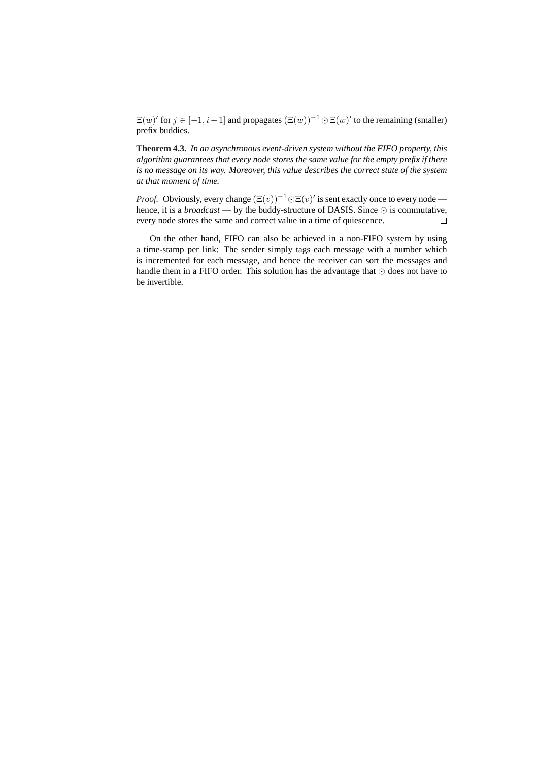$\Xi(w)'$  for  $j \in [-1, i-1]$  and propagates  $(\Xi(w))^{-1} \odot \Xi(w)'$  to the remaining (smaller) prefix buddies.

**Theorem 4.3.** *In an asynchronous event-driven system without the FIFO property, this algorithm guarantees that every node stores the same value for the empty prefix if there is no message on its way. Moreover, this value describes the correct state of the system at that moment of time.*

*Proof.* Obviously, every change  $(\Xi(v))^{-1} \odot \Xi(v)'$  is sent exactly once to every node hence, it is a *broadcast* — by the buddy-structure of DASIS. Since  $\odot$  is commutative, every node stores the same and correct value in a time of quiescence.  $\Box$ 

On the other hand, FIFO can also be achieved in a non-FIFO system by using a time-stamp per link: The sender simply tags each message with a number which is incremented for each message, and hence the receiver can sort the messages and handle them in a FIFO order. This solution has the advantage that  $\odot$  does not have to be invertible.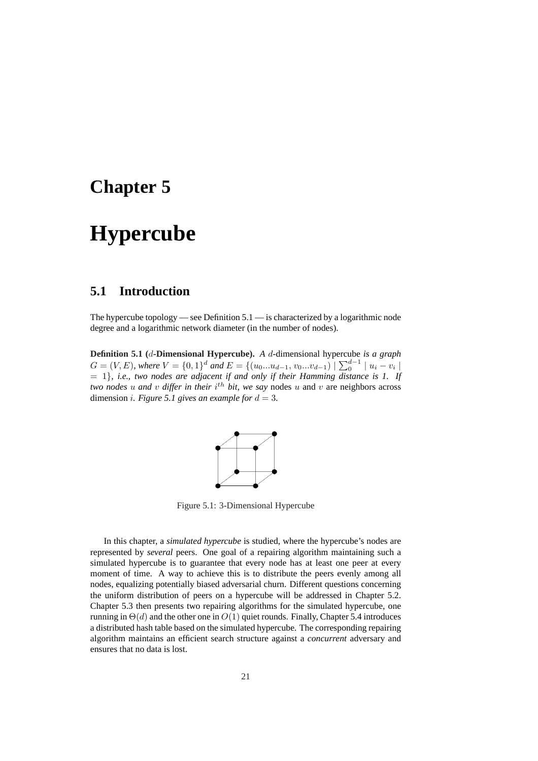## **Chapter 5**

## **Hypercube**

## **5.1 Introduction**

The hypercube topology — see Definition 5.1 — is characterized by a logarithmic node degree and a logarithmic network diameter (in the number of nodes).

**Definition 5.1 (**d**-Dimensional Hypercube).** *A* d-dimensional hypercube *is a graph* **C** = (V, E), where  $V = \{0, 1\}^d$  and  $E = \{(u_0...u_{d-1}, v_0...v_{d-1}) \mid \sum_0^{d-1} |u_i - v_i|$ = 1}*, i.e., two nodes are adjacent if and only if their Hamming distance is 1. If two nodes*  $u$  *and*  $v$  *differ in their*  $i^{th}$  *bit, we say* nodes  $u$  and  $v$  are neighbors across dimension *i*. Figure 5.1 gives an example for  $d = 3$ .



Figure 5.1: 3-Dimensional Hypercube

In this chapter, a *simulated hypercube* is studied, where the hypercube's nodes are represented by *several* peers. One goal of a repairing algorithm maintaining such a simulated hypercube is to guarantee that every node has at least one peer at every moment of time. A way to achieve this is to distribute the peers evenly among all nodes, equalizing potentially biased adversarial churn. Different questions concerning the uniform distribution of peers on a hypercube will be addressed in Chapter 5.2. Chapter 5.3 then presents two repairing algorithms for the simulated hypercube, one running in  $\Theta(d)$  and the other one in  $O(1)$  quiet rounds. Finally, Chapter 5.4 introduces a distributed hash table based on the simulated hypercube. The corresponding repairing algorithm maintains an efficient search structure against a *concurrent* adversary and ensures that no data is lost.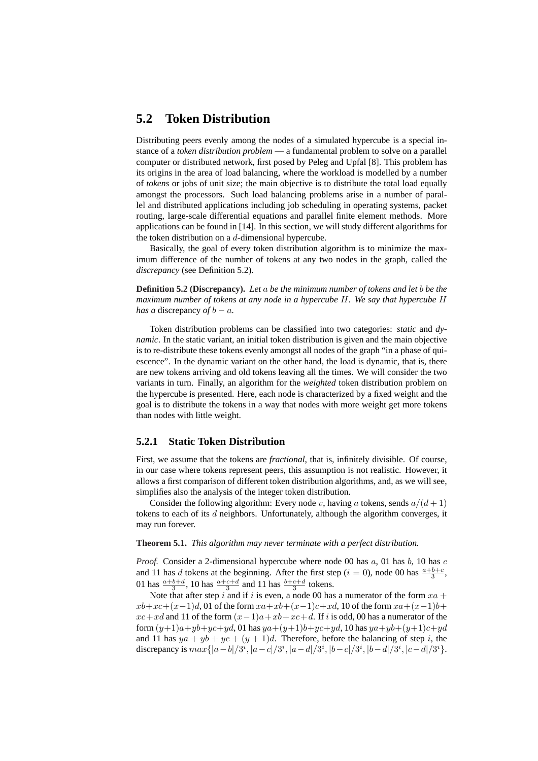## **5.2 Token Distribution**

Distributing peers evenly among the nodes of a simulated hypercube is a special instance of a *token distribution problem* — a fundamental problem to solve on a parallel computer or distributed network, first posed by Peleg and Upfal [8]. This problem has its origins in the area of load balancing, where the workload is modelled by a number of *tokens* or jobs of unit size; the main objective is to distribute the total load equally amongst the processors. Such load balancing problems arise in a number of parallel and distributed applications including job scheduling in operating systems, packet routing, large-scale differential equations and parallel finite element methods. More applications can be found in [14]. In this section, we will study different algorithms for the token distribution on a  $d$ -dimensional hypercube.

Basically, the goal of every token distribution algorithm is to minimize the maximum difference of the number of tokens at any two nodes in the graph, called the *discrepancy* (see Definition 5.2).

**Definition 5.2 (Discrepancy).** *Let* a *be the minimum number of tokens and let* b *be the maximum number of tokens at any node in a hypercube* H*. We say that hypercube* H *has a* discrepancy *of*  $b - a$ *.* 

Token distribution problems can be classified into two categories: *static* and *dynamic*. In the static variant, an initial token distribution is given and the main objective is to re-distribute these tokens evenly amongst all nodes of the graph "in a phase of quiescence". In the dynamic variant on the other hand, the load is dynamic, that is, there are new tokens arriving and old tokens leaving all the times. We will consider the two variants in turn. Finally, an algorithm for the *weighted* token distribution problem on the hypercube is presented. Here, each node is characterized by a fixed weight and the goal is to distribute the tokens in a way that nodes with more weight get more tokens than nodes with little weight.

## **5.2.1 Static Token Distribution**

First, we assume that the tokens are *fractional*, that is, infinitely divisible. Of course, in our case where tokens represent peers, this assumption is not realistic. However, it allows a first comparison of different token distribution algorithms, and, as we will see, simplifies also the analysis of the integer token distribution.

Consider the following algorithm: Every node v, having a tokens, sends  $a/(d+1)$ tokens to each of its  $d$  neighbors. Unfortunately, although the algorithm converges, it may run forever.

#### **Theorem 5.1.** *This algorithm may never terminate with a perfect distribution.*

*Proof.* Consider a 2-dimensional hypercube where node 00 has  $a$ , 01 has  $b$ , 10 has  $c$ and 11 has d tokens at the beginning. After the first step ( $i = 0$ ), node 00 has  $\frac{a+b+c}{3}$ , 01 has  $\frac{a+b+d}{3}$ , 10 has  $\frac{a+c+d}{3}$  and 11 has  $\frac{b+c+d}{3}$  tokens.

Note that after step i and if i is even, a node 00 has a numerator of the form  $xa +$  $xb+xc+(x-1)d$ , 01 of the form  $xa+xb+(x-1)c+xd$ , 10 of the form  $xa+(x-1)b+$  $xc+xd$  and 11 of the form  $(x-1)a+xb+xc+d$ . If i is odd, 00 has a numerator of the form  $(y+1)a+yb+yc+yd$ , 01 has  $ya+(y+1)b+yc+yd$ , 10 has  $ya+yb+(y+1)c+yd$ and 11 has  $ya + yb + yc + (y + 1)d$ . Therefore, before the balancing of step i, the discrepancy is  $max\{|a-b|/3^i, |a-c|/3^i, |a-d|/3^i, |b-c|/3^i, |b-d|/3^i, |c-d|/3^i\}.$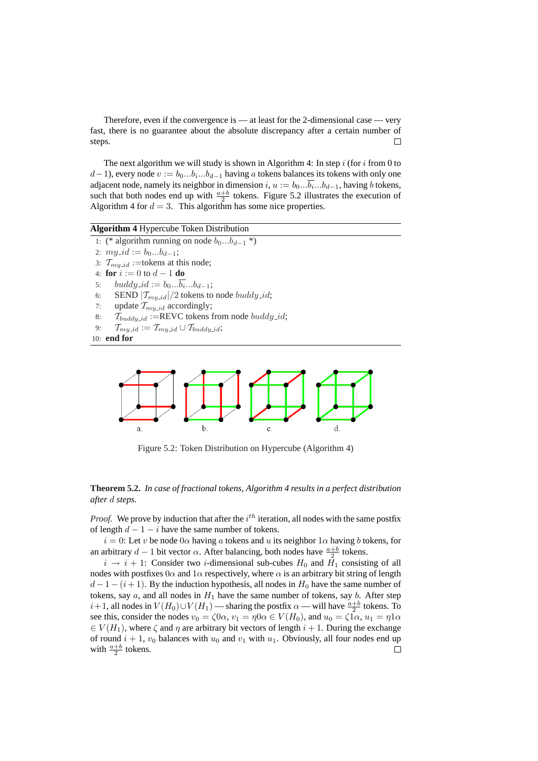Therefore, even if the convergence is — at least for the 2-dimensional case — very fast, there is no guarantee about the absolute discrepancy after a certain number of steps.  $\Box$ 

The next algorithm we will study is shown in Algorithm 4: In step  $i$  (for  $i$  from 0 to  $(d-1)$ , every node  $v := b_0...b_i...b_{d-1}$  having a tokens balances its tokens with only one adjacent node, namely its neighbor in dimension  $i, u := b_0... \overline{b_i}...b_{d-1}$ , having b tokens, such that both nodes end up with  $\frac{a+b}{2}$  tokens. Figure 5.2 illustrates the execution of Algorithm 4 for  $d = 3$ . This algorithm has some nice properties.

**Algorithm 4** Hypercube Token Distribution

- 1: (\* algorithm running on node  $b_0...b_{d-1}$  \*)
- 2:  $my\_id := b_0...b_{d-1};$
- 3:  $\mathcal{T}_{m u \text{-} id}$  :=tokens at this node;
- 4: **for**  $i := 0$  to  $d 1$  **do**
- 5:  $buddy_id := b_0...b_i...b_{d-1};$
- 6: SEND  $|T_{my\_id}|/2$  tokens to node *buddy\_id*;
- 7: update  $T_{my\_id}$  accordingly;
- 8:  $\mathcal{T}_{\text{buddy_id}}$  :=REVC tokens from node  $\text{buddy_id}$ ;
- 9:  $\mathcal{T}_{my\_id} := \mathcal{T}_{my\_id} \cup \mathcal{T}_{buddy\_id};$

```
10: end for
```


Figure 5.2: Token Distribution on Hypercube (Algorithm 4)

### **Theorem 5.2.** *In case of fractional tokens, Algorithm 4 results in a perfect distribution after* d *steps.*

*Proof.* We prove by induction that after the  $i^{th}$  iteration, all nodes with the same postfix of length  $d - 1 - i$  have the same number of tokens.

 $i = 0$ : Let v be node  $0\alpha$  having a tokens and u its neighbor  $1\alpha$  having b tokens, for an arbitrary  $d-1$  bit vector  $\alpha$ . After balancing, both nodes have  $\frac{a+b}{2}$  tokens.

 $i \rightarrow i + 1$ : Consider two *i*-dimensional sub-cubes  $H_0$  and  $H_1$  consisting of all nodes with postfixes  $0\alpha$  and  $1\alpha$  respectively, where  $\alpha$  is an arbitrary bit string of length  $d-1-(i+1)$ . By the induction hypothesis, all nodes in  $H_0$  have the same number of tokens, say a, and all nodes in  $H_1$  have the same number of tokens, say b. After step  $i+1$ , all nodes in  $V(H_0)\cup V(H_1)$  — sharing the postfix  $\alpha$  — will have  $\frac{a+b}{2}$  tokens. To see this, consider the nodes  $v_0 = \zeta 0 \alpha$ ,  $v_1 = \eta 0 \alpha \in V(H_0)$ , and  $u_0 = \zeta 1 \alpha$ ,  $u_1 = \eta 1 \alpha$  $\in V(H_1)$ , where  $\zeta$  and  $\eta$  are arbitrary bit vectors of length  $i + 1$ . During the exchange of round  $i + 1$ ,  $v_0$  balances with  $u_0$  and  $v_1$  with  $u_1$ . Obviously, all four nodes end up with  $\frac{a+b}{2}$  tokens.  $\Box$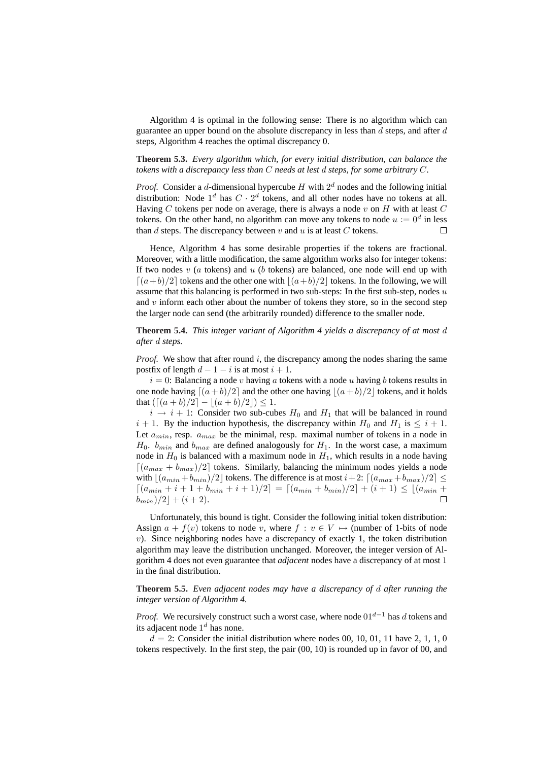Algorithm 4 is optimal in the following sense: There is no algorithm which can guarantee an upper bound on the absolute discrepancy in less than  $d$  steps, and after  $d$ steps, Algorithm 4 reaches the optimal discrepancy 0.

### **Theorem 5.3.** *Every algorithm which, for every initial distribution, can balance the tokens with a discrepancy less than* C *needs at lest* d *steps, for some arbitrary* C*.*

*Proof.* Consider a d-dimensional hypercube  $H$  with  $2<sup>d</sup>$  nodes and the following initial distribution: Node  $1^d$  has  $C \cdot 2^d$  tokens, and all other nodes have no tokens at all. Having  $C$  tokens per node on average, there is always a node  $v$  on  $H$  with at least  $C$ tokens. On the other hand, no algorithm can move any tokens to node  $u := 0^d$  in less than  $d$  steps. The discrepancy between  $v$  and  $u$  is at least  $C$  tokens.  $\Box$ 

Hence, Algorithm 4 has some desirable properties if the tokens are fractional. Moreover, with a little modification, the same algorithm works also for integer tokens: If two nodes  $v$  (a tokens) and  $u$  (b tokens) are balanced, one node will end up with  $\lfloor (a+b)/2 \rfloor$  tokens and the other one with  $\lfloor (a+b)/2 \rfloor$  tokens. In the following, we will assume that this balancing is performed in two sub-steps: In the first sub-step, nodes  $u$ and  $v$  inform each other about the number of tokens they store, so in the second step the larger node can send (the arbitrarily rounded) difference to the smaller node.

### **Theorem 5.4.** *This integer variant of Algorithm 4 yields a discrepancy of at most* d *after* d *steps.*

*Proof.* We show that after round i, the discrepancy among the nodes sharing the same postfix of length  $d-1-i$  is at most  $i+1$ .

 $i = 0$ : Balancing a node v having a tokens with a node u having b tokens results in one node having  $\lfloor (a + b)/2 \rfloor$  and the other one having  $\lfloor (a + b)/2 \rfloor$  tokens, and it holds that  $(\lceil (a + b)/2 \rceil - \lceil (a + b)/2 \rceil) \leq 1$ .

 $i \rightarrow i + 1$ : Consider two sub-cubes  $H_0$  and  $H_1$  that will be balanced in round  $i + 1$ . By the induction hypothesis, the discrepancy within  $H_0$  and  $H_1$  is  $\leq i + 1$ . Let  $a_{min}$ , resp.  $a_{max}$  be the minimal, resp. maximal number of tokens in a node in  $H_0$ .  $b_{min}$  and  $b_{max}$  are defined analogously for  $H_1$ . In the worst case, a maximum node in  $H_0$  is balanced with a maximum node in  $H_1$ , which results in a node having  $\left\lceil \frac{a_{max} + b_{max}}{2} \right\rceil$  tokens. Similarly, balancing the minimum nodes yields a node with  $\lfloor (a_{min} + b_{min})/2 \rfloor$  tokens. The difference is at most  $i+2$ :  $\lfloor (a_{max} + b_{max})/2 \rfloor \le$  $\left\lceil \frac{(a_{min} + i + 1 + b_{min} + i + 1)}{2} \right\rceil = \left\lceil \frac{(a_{min} + b_{min})}{2} \right\rceil + (i + 1) \leq \left\lfloor \frac{(a_{min} + b_{min})}{2} \right\rfloor$  $(b_{min})/2| + (i + 2).$  $\Box$ 

Unfortunately, this bound is tight. Consider the following initial token distribution: Assign  $a + f(v)$  tokens to node v, where  $f : v \in V \mapsto$  (number of 1-bits of node  $v$ ). Since neighboring nodes have a discrepancy of exactly 1, the token distribution algorithm may leave the distribution unchanged. Moreover, the integer version of Algorithm 4 does not even guarantee that *adjacent* nodes have a discrepancy of at most 1 in the final distribution.

**Theorem 5.5.** *Even adjacent nodes may have a discrepancy of* d *after running the integer version of Algorithm 4.*

*Proof.* We recursively construct such a worst case, where node  $01^{d-1}$  has d tokens and its adjacent node  $1^d$  has none.

 $d = 2$ : Consider the initial distribution where nodes 00, 10, 01, 11 have 2, 1, 1, 0 tokens respectively. In the first step, the pair (00, 10) is rounded up in favor of 00, and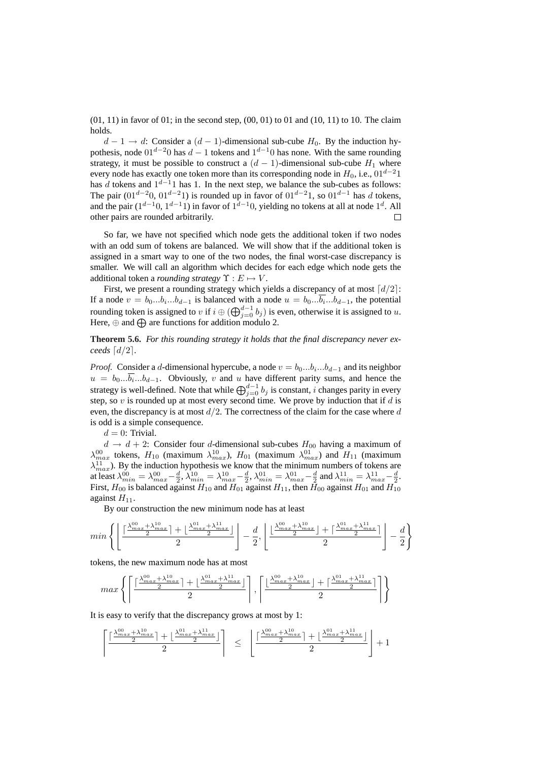$(01, 11)$  in favor of 01; in the second step,  $(00, 01)$  to 01 and  $(10, 11)$  to 10. The claim holds.

 $d-1 \rightarrow d$ : Consider a  $(d-1)$ -dimensional sub-cube  $H_0$ . By the induction hypothesis, node  $01^{d-2}0$  has  $d-1$  tokens and  $1^{d-1}0$  has none. With the same rounding strategy, it must be possible to construct a  $(d - 1)$ -dimensional sub-cube  $H_1$  where every node has exactly one token more than its corresponding node in  $H_0$ , i.e., 01<sup>d-2</sup>1 has d tokens and  $1^{d-1}1$  has 1. In the next step, we balance the sub-cubes as follows: The pair  $(01^{d-2}0, 01^{d-2}1)$  is rounded up in favor of  $01^{d-2}1$ , so  $01^{d-1}$  has d tokens, and the pair  $(1^{d-1}0, 1^{d-1}1)$  in favor of  $1^{d-1}0$ , yielding no tokens at all at node  $1^d$ . All other pairs are rounded arbitrarily.  $\Box$ 

So far, we have not specified which node gets the additional token if two nodes with an odd sum of tokens are balanced. We will show that if the additional token is assigned in a smart way to one of the two nodes, the final worst-case discrepancy is smaller. We will call an algorithm which decides for each edge which node gets the additional token a *rounding strategy*  $\Upsilon : E \mapsto V$ .

First, we present a rounding strategy which yields a discrepancy of at most  $\lceil d/2 \rceil$ : If a node  $v = b_0...b_i...b_{d-1}$  is balanced with a node  $u = b_0...\overline{b_i}...b_{d-1}$ , the potential ra node  $v = 0$ ,  $v_1...v_{d-1}$  is balanced while node  $u = 0$ ,  $v_1...v_{d-1}$ , the potential rounding token is assigned to v if  $i \oplus (\bigoplus_{j=0}^{d-1} b_j)$  is even, otherwise it is assigned to u. Here,  $\oplus$  and  $\bigoplus$  are functions for addition modulo 2.

**Theorem 5.6.** *For this rounding strategy it holds that the final discrepancy never exceeds*  $\lceil d/2 \rceil$ *.* 

*Proof.* Consider a d-dimensional hypercube, a node  $v = b_0...b_i...b_{d-1}$  and its neighbor  $u = b_0...b_i...b_{d-1}$ . Obviously, v and u have different parity sums, and hence the  $a = b_0...b_i...b_{d-1}$ . Obviously, b and a natural party sums, and netted the strategy is well-defined. Note that while  $\bigoplus_{j=0}^{d-1} b_j$  is constant, i changes parity in every step, so  $v$  is rounded up at most every second time. We prove by induction that if  $d$  is even, the discrepancy is at most  $d/2$ . The correctness of the claim for the case where  $d$ is odd is a simple consequence.

 $d = 0$ : Trivial.

 $d \rightarrow d + 2$ : Consider four *d*-dimensional sub-cubes  $H_{00}$  having a maximum of  $\lambda_{max}^{00}$  tokens,  $H_{10}$  (maximum  $\lambda_{max}^{10}$ ),  $H_{01}$  (maximum  $\lambda_{max}^{01}$ ) and  $H_{11}$  (maximum  $\lambda_{max}^{11}$ ). By the induction hypothesis we know that the minimum numbers of tokens are at least  $\lambda_{min}^{00} = \lambda_{max}^{00} - \frac{d}{2}, \lambda_{min}^{10} = \lambda_{max}^{10} - \frac{d}{2}, \lambda_{min}^{01} = \lambda_{max}^{01} - \frac{d}{2}$  and  $\lambda_{min}^{11} = \lambda_{max}^{11} - \frac{d}{2}$ . First,  $H_{00}$  is balanced against  $H_{10}$  and  $H_{01}$  against  $H_{11}$ , then  $H_{00}$  against  $H_{01}$  and  $H_{10}$ against  $H_{11}$ .

By our construction the new minimum node has at least

$$
min\left\{\left\lfloor \frac{\lceil\frac{\lambda_{max}^{00}+\lambda_{max}^{10}}{2}\rceil+\lfloor\frac{\lambda_{max}^{01}+\lambda_{max}^{11}}{2}\rfloor}{2}\right\rfloor-\frac{d}{2},\left\lfloor \frac{\lfloor\frac{\lambda_{max}^{00}+\lambda_{max}^{10}}{2}\rfloor+\lceil\frac{\lambda_{max}^{01}+\lambda_{max}^{11}}{2}\rceil}{2}\right\rfloor-\frac{d}{2}\right\}
$$

tokens, the new maximum node has at most

$$
max\left\{\left\lceil\frac{\lceil\frac{\lambda_{max}^{00}+\lambda_{max}^{10}}{2}\rceil+\lfloor\frac{\lambda_{max}^{01}+\lambda_{max}^{11}}{2}\rfloor}{2}\right\rceil, \left\lceil\frac{\lfloor\frac{\lambda_{max}^{00}+\lambda_{max}^{10}}{2}\rfloor+\lceil\frac{\lambda_{max}^{01}+\lambda_{max}^{11}}{2}\rceil}{2}\right\rceil\right\}
$$

It is easy to verify that the discrepancy grows at most by 1:

$$
\left\lceil\frac{\lceil\frac{\lambda_{max}^{00}+\lambda_{max}^{10}\rceil+\lfloor\frac{\lambda_{max}^{01}+\lambda_{max}^{11}\rceil}{2}\rfloor}{2}\right\rceil ~\leq ~ \left\lfloor\frac{\lceil\frac{\lambda_{max}^{00}+\lambda_{max}^{10}\rceil+\lfloor\frac{\lambda_{max}^{01}+\lambda_{max}^{11}\rceil}{2}\rfloor}{2}\right\rfloor+1
$$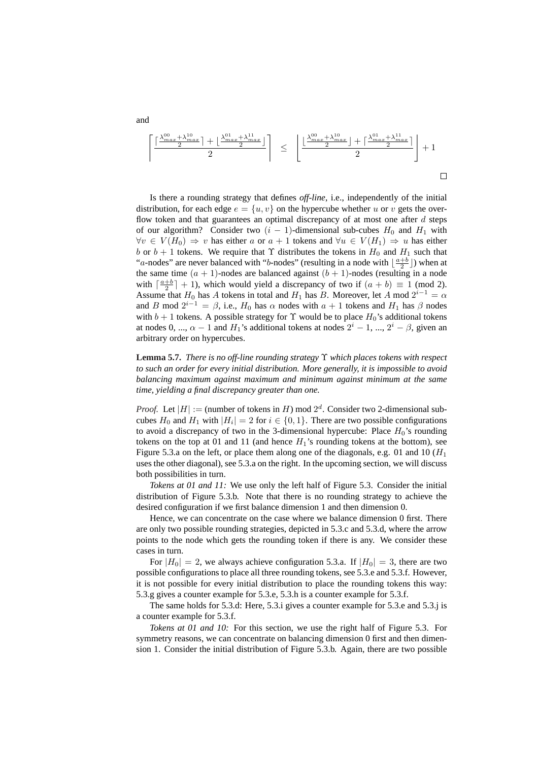$$
\left\lceil\frac{\lceil\frac{\lambda_{max}^{00} + \lambda_{max}^{10}\rceil + \lfloor\frac{\lambda_{max}^{01} + \lambda_{max}^{11}\rceil}{2}\rfloor}{2}\right\rceil \le \left\lfloor\frac{\lfloor\frac{\lambda_{max}^{00} + \lambda_{max}^{10}\rceil + \lceil\frac{\lambda_{max}^{01} + \lambda_{max}^{11}\rceil}{2}\rceil}{2}\right\rfloor + 1
$$

Is there a rounding strategy that defines *off-line*, i.e., independently of the initial distribution, for each edge  $e = \{u, v\}$  on the hypercube whether u or v gets the overflow token and that guarantees an optimal discrepancy of at most one after  $d$  steps of our algorithm? Consider two  $(i - 1)$ -dimensional sub-cubes  $H_0$  and  $H_1$  with  $\forall v \in V(H_0) \Rightarrow v$  has either a or  $a + 1$  tokens and  $\forall u \in V(H_1) \Rightarrow u$  has either b or  $b + 1$  tokens. We require that  $\Upsilon$  distributes the tokens in  $H_0$  and  $H_1$  such that "a-nodes" are never balanced with "b-nodes" (resulting in a node with  $\lfloor \frac{a+b}{2} \rfloor$ ) when at the same time  $(a + 1)$ -nodes are balanced against  $(b + 1)$ -nodes (resulting in a node with  $\lceil \frac{a+b}{2} \rceil + 1$ , which would yield a discrepancy of two if  $(a + b) \equiv 1 \pmod{2}$ . Assume that  $H_0$  has A tokens in total and  $H_1$  has B. Moreover, let A mod  $2^{i-1} = \alpha$ and B mod  $2^{i-1} = \beta$ , i.e.,  $H_0$  has  $\alpha$  nodes with  $a + 1$  tokens and  $H_1$  has  $\beta$  nodes with  $b + 1$  tokens. A possible strategy for  $\Upsilon$  would be to place  $H_0$ 's additional tokens at nodes 0, ...,  $\alpha - 1$  and  $H_1$ 's additional tokens at nodes  $2^i - 1$ , ...,  $2^i - \beta$ , given an arbitrary order on hypercubes.

**Lemma 5.7.** *There is no off-line rounding strategy* Υ *which places tokens with respect to such an order for every initial distribution. More generally, it is impossible to avoid balancing maximum against maximum and minimum against minimum at the same time, yielding a final discrepancy greater than one.*

*Proof.* Let  $|H| :=$  (number of tokens in H) mod  $2^d$ . Consider two 2-dimensional subcubes  $H_0$  and  $H_1$  with  $|H_i| = 2$  for  $i \in \{0, 1\}$ . There are two possible configurations to avoid a discrepancy of two in the 3-dimensional hypercube: Place  $H_0$ 's rounding tokens on the top at 01 and 11 (and hence  $H_1$ 's rounding tokens at the bottom), see Figure 5.3.a on the left, or place them along one of the diagonals, e.g. 01 and 10  $(H_1)$ uses the other diagonal), see 5.3.a on the right. In the upcoming section, we will discuss both possibilities in turn.

*Tokens at 01 and 11:* We use only the left half of Figure 5.3. Consider the initial distribution of Figure 5.3.b. Note that there is no rounding strategy to achieve the desired configuration if we first balance dimension 1 and then dimension 0.

Hence, we can concentrate on the case where we balance dimension 0 first. There are only two possible rounding strategies, depicted in 5.3.c and 5.3.d, where the arrow points to the node which gets the rounding token if there is any. We consider these cases in turn.

For  $|H_0| = 2$ , we always achieve configuration 5.3.a. If  $|H_0| = 3$ , there are two possible configurations to place all three rounding tokens, see 5.3.e and 5.3.f. However, it is not possible for every initial distribution to place the rounding tokens this way: 5.3.g gives a counter example for 5.3.e, 5.3.h is a counter example for 5.3.f.

The same holds for 5.3.d: Here, 5.3.i gives a counter example for 5.3.e and 5.3.j is a counter example for 5.3.f.

*Tokens at 01 and 10:* For this section, we use the right half of Figure 5.3. For symmetry reasons, we can concentrate on balancing dimension 0 first and then dimension 1. Consider the initial distribution of Figure 5.3.b. Again, there are two possible

and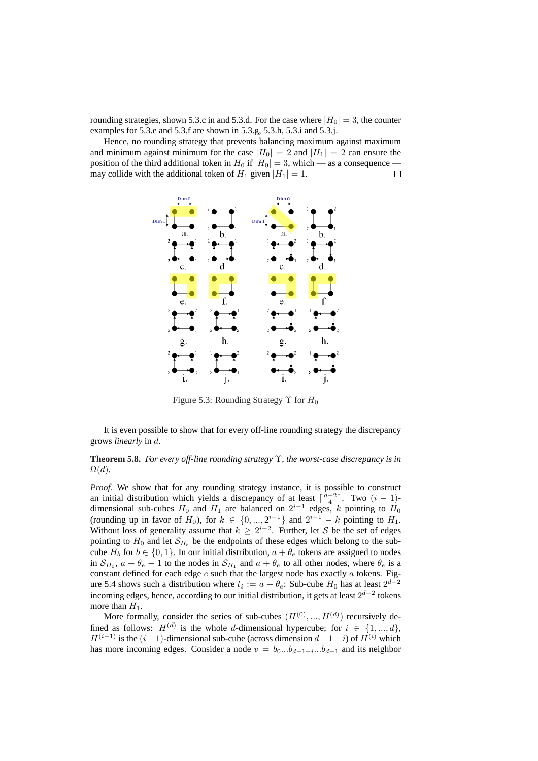rounding strategies, shown 5.3.c in and 5.3.d. For the case where  $|H_0| = 3$ , the counter examples for 5.3.e and 5.3.f are shown in 5.3.g, 5.3.h, 5.3.i and 5.3.j.

Hence, no rounding strategy that prevents balancing maximum against maximum and minimum against minimum for the case  $|H_0| = 2$  and  $|H_1| = 2$  can ensure the position of the third additional token in  $H_0$  if  $|H_0| = 3$ , which — as a consequence may collide with the additional token of  $H_1$  given  $|H_1| = 1$ .  $\Box$ 



Figure 5.3: Rounding Strategy  $\Upsilon$  for  $H_0$ 

It is even possible to show that for every off-line rounding strategy the discrepancy grows *linearly* in d.

### **Theorem 5.8.** *For every off-line rounding strategy* Υ*, the worst-case discrepancy is in*  $\Omega(d)$ .

*Proof.* We show that for any rounding strategy instance, it is possible to construct an initial distribution which yields a discrepancy of at least  $\lceil \frac{d+2}{4} \rceil$ . Two  $(i - 1)$ dimensional sub-cubes  $H_0$  and  $H_1$  are balanced on  $2^{i-1}$  edges, k pointing to  $H_0$ (rounding up in favor of  $H_0$ ), for  $k \in \{0, ..., 2^{i-1}\}\$  and  $2^{i-1} - k$  pointing to  $H_1$ . Without loss of generality assume that  $k \geq 2^{i-2}$ . Further, let S be the set of edges pointing to  $H_0$  and let  $\mathcal{S}_{H_b}$  be the endpoints of these edges which belong to the subcube  $H_b$  for  $b \in \{0, 1\}$ . In our initial distribution,  $a + \theta_e$  tokens are assigned to nodes in  $S_{H_0}$ ,  $a + \theta_e - 1$  to the nodes in  $S_{H_1}$  and  $a + \theta_e$  to all other nodes, where  $\theta_e$  is a constant defined for each edge  $e$  such that the largest node has exactly  $a$  tokens. Figure 5.4 shows such a distribution where  $t_i := a + \theta_e$ : Sub-cube  $H_0$  has at least  $2^{d-2}$ incoming edges, hence, according to our initial distribution, it gets at least  $2^{d-2}$  tokens more than  $H_1$ .

More formally, consider the series of sub-cubes  $(H^{(0)},..., H^{(d)})$  recursively defined as follows:  $H^{(d)}$  is the whole d-dimensional hypercube; for  $i \in \{1, ..., d\}$ ,  $H^{(i-1)}$  is the  $(i-1)$ -dimensional sub-cube (across dimension  $d-1-i$ ) of  $H^{(i)}$  which has more incoming edges. Consider a node  $v = b_0...b_{d-1-i}...b_{d-1}$  and its neighbor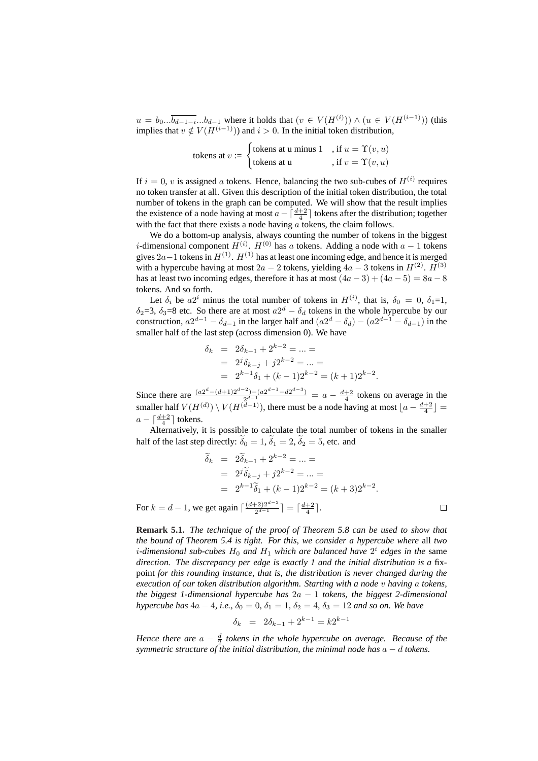$u = b_0... \overline{b_{d-1-i}}...b_{d-1}$  where it holds that  $(v \in V(H^{(i)})) \wedge (u \in V(H^{(i-1)}))$  (this implies that  $v \notin V(H^{(i-1)})$  and  $i > 0$ . In the initial token distribution,

6.11.66 shows that 
$$
v := \begin{cases} \text{6} & \text{if } u = \Upsilon(v, u) \\ \text{6} & \text{if } v = \Upsilon(v, u) \end{cases}
$$

If  $i = 0$ , v is assigned a tokens. Hence, balancing the two sub-cubes of  $H^{(i)}$  requires no token transfer at all. Given this description of the initial token distribution, the total number of tokens in the graph can be computed. We will show that the result implies the existence of a node having at most  $a - \lceil \frac{d+2}{4} \rceil$  tokens after the distribution; together with the fact that there exists a node having  $\alpha$  tokens, the claim follows.

We do a bottom-up analysis, always counting the number of tokens in the biggest *i*-dimensional component  $H^{(i)}$ .  $H^{(0)}$  has a tokens. Adding a node with  $a - 1$  tokens gives  $2a-1$  tokens in  $H^{(1)}$ .  $H^{(1)}$  has at least one incoming edge, and hence it is merged with a hypercube having at most  $2a - 2$  tokens, yielding  $4a - 3$  tokens in  $H^{(2)}$ .  $H^{(3)}$ has at least two incoming edges, therefore it has at most  $(4a-3) + (4a-5) = 8a-8$ tokens. And so forth.

Let  $\delta_i$  be  $a2^i$  minus the total number of tokens in  $H^{(i)}$ , that is,  $\delta_0 = 0$ ,  $\delta_1 = 1$ ,  $\delta_2$ =3,  $\delta_3$ =8 etc. So there are at most  $a2^d - \delta_d$  tokens in the whole hypercube by our construction,  $a2^{d-1} - \delta_{d-1}$  in the larger half and  $(a2^d - \delta_d) - (a2^{d-1} - \delta_{d-1})$  in the smaller half of the last step (across dimension 0). We have

$$
\delta_k = 2\delta_{k-1} + 2^{k-2} = \dots =
$$
  
=  $2^j \delta_{k-j} + j2^{k-2} = \dots =$   
=  $2^{k-1} \delta_1 + (k-1)2^{k-2} = (k+1)2^{k-2}$ 

.

Since there are  $\frac{(a2^d-(d+1)2^{d-2})-(a2^{d-1}-d2^{d-3})}{2^{d-1}}$  $\frac{a^{2}-2}{2^{d-1}}$  =  $a - \frac{d+2}{4}$  tokens on average in the smaller half  $V(H^{(d)}) \setminus V(H^{(d-1)})$ , there must be a node having at most  $\lfloor a - \frac{d+2}{4} \rfloor =$  $a - \lceil \frac{d+2}{4} \rceil$  tokens.

Alternatively, it is possible to calculate the total number of tokens in the smaller half of the last step directly:  $\tilde{\delta}_0 = 1$ ,  $\tilde{\delta}_1 = 2$ ,  $\tilde{\delta}_2 = 5$ , etc. and

$$
\widetilde{\delta}_k = 2\widetilde{\delta}_{k-1} + 2^{k-2} = \dots =
$$
\n
$$
= 2^j \widetilde{\delta}_{k-j} + j2^{k-2} = \dots =
$$
\n
$$
= 2^{k-1} \widetilde{\delta}_1 + (k-1)2^{k-2} = (k+3)2^{k-2}.
$$
\nFor  $k = d - 1$ , we get again  $\lceil \frac{(d+2)2^{d-3}}{2^{d-1}} \rceil = \lceil \frac{d+2}{4} \rceil$ .

**Remark 5.1.** *The technique of the proof of Theorem 5.8 can be used to show that the bound of Theorem 5.4 is tight. For this, we consider a hypercube where* all *two i*-dimensional sub-cubes  $H_0$  and  $H_1$  which are balanced have  $2^i$  edges in the same *direction. The discrepancy per edge is exactly 1 and the initial distribution is a* fixpoint *for this rounding instance, that is, the distribution is never changed during the execution of our token distribution algorithm. Starting with a node* v *having* a *tokens, the biggest 1-dimensional hypercube has* 2a − 1 *tokens, the biggest 2-dimensional hypercube has*  $4a - 4$ *, i.e.,*  $\delta_0 = 0$ *,*  $\delta_1 = 1$ *,*  $\delta_2 = 4$ *,*  $\delta_3 = 12$  *and so on. We have* 

$$
\delta_k = 2\delta_{k-1} + 2^{k-1} = k2^{k-1}
$$

*Hence there are*  $a - \frac{d}{2}$  tokens in the whole hypercube on average. Because of the *symmetric structure of the initial distribution, the minimal node has* a − d *tokens.*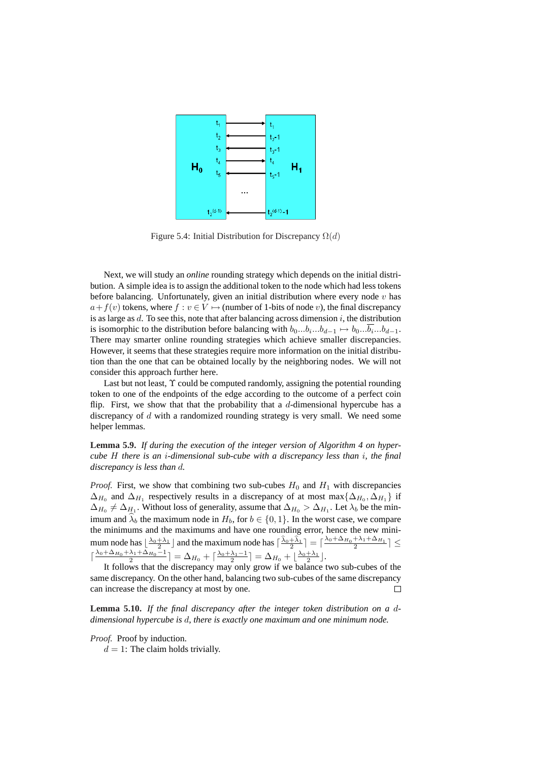

Figure 5.4: Initial Distribution for Discrepancy  $\Omega(d)$ 

Next, we will study an *online* rounding strategy which depends on the initial distribution. A simple idea is to assign the additional token to the node which had less tokens before balancing. Unfortunately, given an initial distribution where every node  $v$  has  $a+f(v)$  tokens, where  $f : v \in V \mapsto$  (number of 1-bits of node v), the final discrepancy is as large as  $d$ . To see this, note that after balancing across dimension  $i$ , the distribution is isomorphic to the distribution before balancing with  $b_0...b_i...b_{d-1} \mapsto b_0...\overline{b_i}...b_{d-1}$ . There may smarter online rounding strategies which achieve smaller discrepancies. However, it seems that these strategies require more information on the initial distribution than the one that can be obtained locally by the neighboring nodes. We will not consider this approach further here.

Last but not least,  $\Upsilon$  could be computed randomly, assigning the potential rounding token to one of the endpoints of the edge according to the outcome of a perfect coin flip. First, we show that that the probability that a  $d$ -dimensional hypercube has a discrepancy of d with a randomized rounding strategy is very small. We need some helper lemmas.

**Lemma 5.9.** *If during the execution of the integer version of Algorithm 4 on hypercube* H *there is an* i*-dimensional sub-cube with a discrepancy less than* i*, the final discrepancy is less than* d*.*

*Proof.* First, we show that combining two sub-cubes  $H_0$  and  $H_1$  with discrepancies  $\Delta_{H_0}$  and  $\Delta_{H_1}$  respectively results in a discrepancy of at most max $\{\Delta_{H_0}, \Delta_{H_1}\}\$ if  $\Delta_{H_0} \neq \Delta_{H_1}$ . Without loss of generality, assume that  $\Delta_{H_0} > \Delta_{H_1}$ . Let  $\lambda_b$  be the minimum and  $\lambda_b$  the maximum node in  $H_b$ , for  $b \in \{0, 1\}$ . In the worst case, we compare the minimums and the maximums and have one rounding error, hence the new minimum node has  $\lfloor \frac{\lambda_0 + \lambda_1}{2} \rfloor$  and the maximum node has  $\lceil \frac{\hat{\lambda}_0 + \hat{\lambda}_1}{2} \rceil = \lceil \frac{\lambda_0 + \Delta_{H_0} + \lambda_1 + \Delta_{H_1}}{2} \rceil \le$  $\lceil \frac{\lambda_0 + \Delta_{H_0} + \lambda_1 + \Delta_{H_0} - 1}{2} \rceil = \Delta_{H_0} + \lceil \frac{\lambda_0 + \lambda_1 - 1}{2} \rceil = \Delta_{H_0} + \lfloor \frac{\lambda_0 + \lambda_1}{2} \rfloor$ .

It follows that the discrepancy may only grow if we balance two sub-cubes of the same discrepancy. On the other hand, balancing two sub-cubes of the same discrepancy can increase the discrepancy at most by one.  $\Box$ 

**Lemma 5.10.** *If the final discrepancy after the integer token distribution on a* d*dimensional hypercube is* d*, there is exactly one maximum and one minimum node.*

*Proof.* Proof by induction.

 $d = 1$ : The claim holds trivially.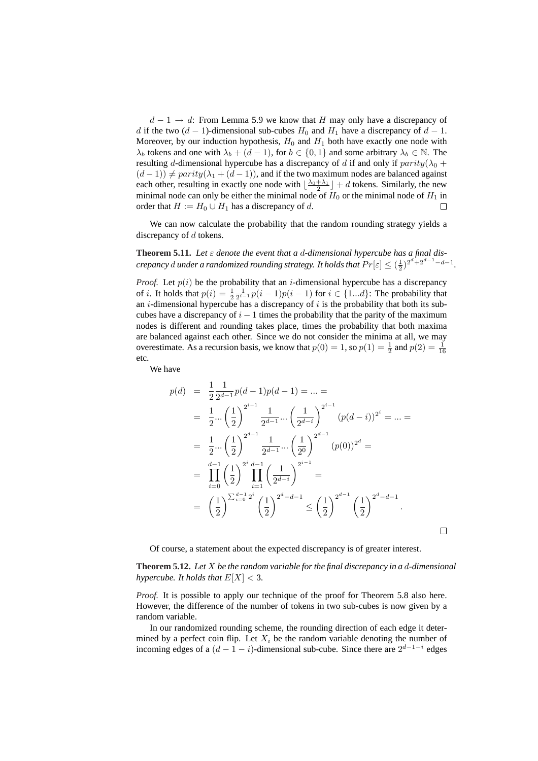$d - 1 \rightarrow d$ : From Lemma 5.9 we know that H may only have a discrepancy of d if the two  $(d - 1)$ -dimensional sub-cubes  $H_0$  and  $H_1$  have a discrepancy of  $d - 1$ . Moreover, by our induction hypothesis,  $H_0$  and  $H_1$  both have exactly one node with  $\lambda_b$  tokens and one with  $\lambda_b + (d-1)$ , for  $b \in \{0,1\}$  and some arbitrary  $\lambda_b \in \mathbb{N}$ . The resulting d-dimensional hypercube has a discrepancy of d if and only if  $parity(\lambda_0 +$  $(d-1)$   $\neq$  parity( $\lambda_1 + (d-1)$ ), and if the two maximum nodes are balanced against each other, resulting in exactly one node with  $\lfloor \frac{\lambda_0 + \lambda_1}{2} \rfloor + d$  tokens. Similarly, the new minimal node can only be either the minimal node of  $H_0$  or the minimal node of  $H_1$  in order that  $H := H_0 \cup H_1$  has a discrepancy of d.  $\Box$ 

We can now calculate the probability that the random rounding strategy yields a discrepancy of d tokens.

**Theorem 5.11.** Let  $\varepsilon$  denote the event that a d-dimensional hypercube has a final dis*crepancy* d under a randomized rounding strategy. It holds that  $Pr[\varepsilon] \leq (\frac{1}{2})^{2^d + 2^{d-1} - d - 1}$ .

*Proof.* Let  $p(i)$  be the probability that an *i*-dimensional hypercube has a discrepancy of *i*. It holds that  $p(i) = \frac{1}{2} \frac{1}{2^{i-1}} p(i-1)p(i-1)$  for  $i \in \{1...d\}$ : The probability that an  $i$ -dimensional hypercube has a discrepancy of  $i$  is the probability that both its subcubes have a discrepancy of  $i - 1$  times the probability that the parity of the maximum nodes is different and rounding takes place, times the probability that both maxima are balanced against each other. Since we do not consider the minima at all, we may overestimate. As a recursion basis, we know that  $p(0) = 1$ , so  $p(1) = \frac{1}{2}$  and  $p(2) = \frac{1}{16}$ etc.

We have

$$
p(d) = \frac{1}{2} \frac{1}{2^{d-1}} p(d-1)p(d-1) = \dots =
$$
  
\n
$$
= \frac{1}{2} \dots \left(\frac{1}{2}\right)^{2^{i-1}} \frac{1}{2^{d-1}} \dots \left(\frac{1}{2^{d-i}}\right)^{2^{i-1}} (p(d-i))^{2^i} = \dots =
$$
  
\n
$$
= \frac{1}{2} \dots \left(\frac{1}{2}\right)^{2^{d-1}} \frac{1}{2^{d-1}} \dots \left(\frac{1}{2^0}\right)^{2^{d-1}} (p(0))^{2^d} =
$$
  
\n
$$
= \prod_{i=0}^{d-1} \left(\frac{1}{2}\right)^{2^i} \prod_{i=1}^{d-1} \left(\frac{1}{2^{d-i}}\right)^{2^{i-1}} =
$$
  
\n
$$
= \left(\frac{1}{2}\right)^{\sum_{i=0}^{d-1} 2^i} \left(\frac{1}{2}\right)^{2^d - d - 1} \le \left(\frac{1}{2}\right)^{2^{d-1}} \left(\frac{1}{2}\right)^{2^d - d - 1}.
$$

Of course, a statement about the expected discrepancy is of greater interest.

**Theorem 5.12.** *Let* X *be the random variable for the final discrepancy in a* d*-dimensional hypercube. It holds that*  $E[X] < 3$ *.* 

 $\Box$ 

*Proof.* It is possible to apply our technique of the proof for Theorem 5.8 also here. However, the difference of the number of tokens in two sub-cubes is now given by a random variable.

In our randomized rounding scheme, the rounding direction of each edge it determined by a perfect coin flip. Let  $X_i$  be the random variable denoting the number of incoming edges of a  $(d-1-i)$ -dimensional sub-cube. Since there are  $2^{d-1-i}$  edges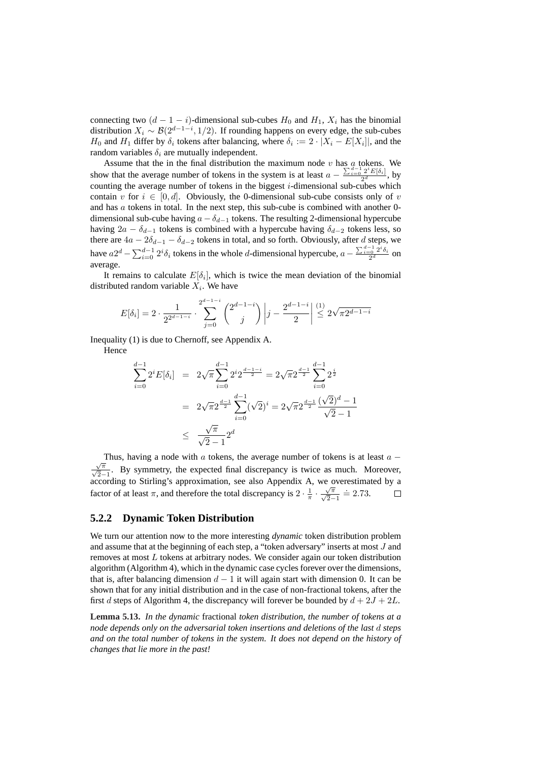connecting two  $(d - 1 - i)$ -dimensional sub-cubes  $H_0$  and  $H_1$ ,  $X_i$  has the binomial distribution  $X_i \sim \mathcal{B}(2^{d-1-i}, 1/2)$ . If rounding happens on every edge, the sub-cubes  $H_0$  and  $H_1$  differ by  $\delta_i$  tokens after balancing, where  $\delta_i := 2 \cdot |X_i - E[X_i]|$ , and the random variables  $\delta_i$  are mutually independent.

Assume that the in the final distribution the maximum node v has a tokens. We show that the average number of tokens in the system is at least  $a - \frac{\sum_{i=0}^{d-1} 2^i E[\delta_i]}{2^d}$  $\frac{2}{2^d}$  by counting the average number of tokens in the biggest  $i$ -dimensional sub-cubes which contain v for  $i \in [0, d]$ . Obviously, the 0-dimensional sub-cube consists only of v and has  $\alpha$  tokens in total. In the next step, this sub-cube is combined with another 0dimensional sub-cube having  $a - \delta_{d-1}$  tokens. The resulting 2-dimensional hypercube having  $2a - \delta_{d-1}$  tokens is combined with a hypercube having  $\delta_{d-2}$  tokens less, so there are  $4a - 2\delta_{d-1} - \delta_{d-2}$  tokens in total, and so forth. Obviously, after d steps, we have  $a2^d - \sum_{i=0}^{d-1} 2^i \delta_i$  tokens in the whole d-dimensional hypercube,  $a \sum_{i=0}^{d-1} 2^i \delta_i$  $\frac{a_{i}^{2} - a_{i}^{2}}{2^{d}}$  on average.

It remains to calculate  $E[\delta_i]$ , which is twice the mean deviation of the binomial distributed random variable  $X_i$ . We have

$$
E[\delta_i] = 2 \cdot \frac{1}{2^{2^{d-1-i}}} \cdot \sum_{j=0}^{2^{d-1-i}} \binom{2^{d-1-i}}{j} \left| j - \frac{2^{d-1-i}}{2} \right| \stackrel{(1)}{\leq} 2\sqrt{\pi 2^{d-1-i}}
$$

Inequality (1) is due to Chernoff, see Appendix A. Hence

$$
\sum_{i=0}^{d-1} 2^i E[\delta_i] = 2\sqrt{\pi} \sum_{i=0}^{d-1} 2^i 2^{\frac{d-1-i}{2}} = 2\sqrt{\pi} 2^{\frac{d-1}{2}} \sum_{i=0}^{d-1} 2^{\frac{i}{2}}
$$

$$
= 2\sqrt{\pi} 2^{\frac{d-1}{2}} \sum_{i=0}^{d-1} (\sqrt{2})^i = 2\sqrt{\pi} 2^{\frac{d-1}{2}} \frac{(\sqrt{2})^d - 1}{\sqrt{2} - 1}
$$

$$
\leq \frac{\sqrt{\pi}}{\sqrt{2} - 1} 2^d
$$

Thus, having a node with  $a$  tokens, the average number of tokens is at least  $a -$ Thus, having a node with a tokens, the average nambel of tokens is at least a  $\frac{\sqrt{\pi}}{\sqrt{2}-1}$ . By symmetry, the expected final discrepancy is twice as much. Moreover, according to Stirling's approximation, see also Appendix A, we overestimated by a factor of at least  $\pi$ , and therefore the total discrepancy is  $2 \cdot \frac{1}{\pi} \cdot \frac{\sqrt{\pi}}{\sqrt{2}-1} = 2.73$ .  $\Box$ 

## **5.2.2 Dynamic Token Distribution**

We turn our attention now to the more interesting *dynamic* token distribution problem and assume that at the beginning of each step, a "token adversary" inserts at most J and removes at most L tokens at arbitrary nodes. We consider again our token distribution algorithm (Algorithm 4), which in the dynamic case cycles forever over the dimensions, that is, after balancing dimension  $d - 1$  it will again start with dimension 0. It can be shown that for any initial distribution and in the case of non-fractional tokens, after the first d steps of Algorithm 4, the discrepancy will forever be bounded by  $d + 2J + 2L$ .

**Lemma 5.13.** *In the dynamic* fractional *token distribution, the number of tokens at a node depends only on the adversarial token insertions and deletions of the last* d *steps and on the total number of tokens in the system. It does not depend on the history of changes that lie more in the past!*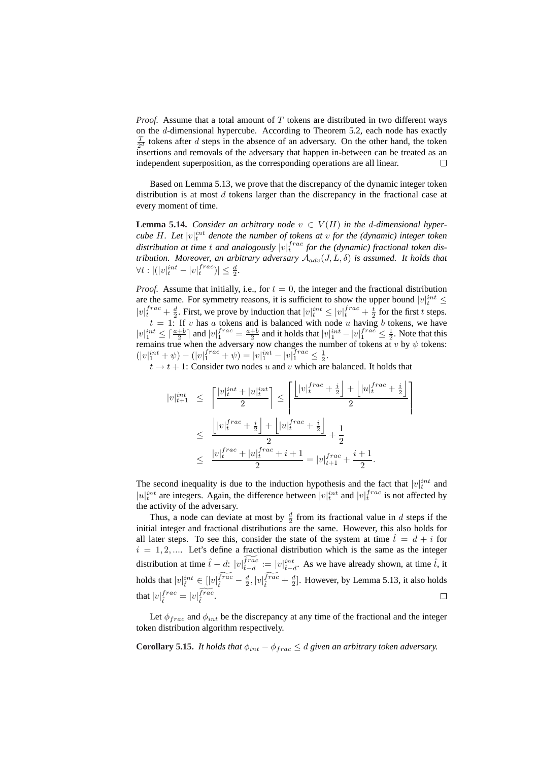*Proof.* Assume that a total amount of T tokens are distributed in two different ways on the d-dimensional hypercube. According to Theorem 5.2, each node has exactly  $\frac{T}{2^d}$  tokens after d steps in the absence of an adversary. On the other hand, the token insertions and removals of the adversary that happen in-between can be treated as an independent superposition, as the corresponding operations are all linear.  $\Box$ 

Based on Lemma 5.13, we prove that the discrepancy of the dynamic integer token distribution is at most  $d$  tokens larger than the discrepancy in the fractional case at every moment of time.

**Lemma 5.14.** *Consider an arbitrary node*  $v \in V(H)$  *in the d-dimensional hypercube H. Let*  $|v|_t^{int}$  denote the number of tokens at v for the (dynamic) integer token distribution at time  $t$  and analogously  $|v|_t^{frac}$  for the (dynamic) fractional token dis*tribution. Moreover, an arbitrary adversary*  $A_{adv}(J, L, \delta)$  *is assumed. It holds that*  $\forall t : |(|v|_t^{int} - |v|_t^{frac})| \leq \frac{d}{2}.$ 

*Proof.* Assume that initially, i.e., for  $t = 0$ , the integer and the fractional distribution are the same. For symmetry reasons, it is sufficient to show the upper bound  $|v|_t^{int} \leq$  $|v|_t^{frac}$  +  $\frac{d}{2}$ . First, we prove by induction that  $|v|_t^{int} \leq |v|_t^{frac}$  +  $\frac{t}{2}$  for the first t steps.  $\tau = \frac{1}{2}$ . First, we prove by model that  $|v|_t \ge |v|_t + \frac{1}{2}$  for the first v steps.<br>  $t = 1$ : If v has a tokens and is balanced with node u having b tokens, we have  $|v|_1^{int} \leq \lceil \frac{a+b}{2} \rceil$  and  $|v|_1^{frac} = \frac{a+b}{2}$  and it holds that  $|v|_1^{int} - |v|_1^{frac} \leq \frac{1}{2}$ . Note that this remains true when the adversary now changes the number of tokens at  $v$  by  $\psi$  tokens:  $(|v|_1^{int} + \psi) - (|v|_1^{frac} + \psi) = |v|_1^{int} - |v|_1^{frac} \leq \frac{1}{2}.$ 

 $t \to t + 1$ : Consider two nodes u and v which are balanced. It holds that

$$
\begin{array}{rcl} |v|_{t+1}^{int} & \leq & \left\lceil \frac{|v|_{t}^{int} + |u|_{t}^{int}|}{2} \right\rceil \leq & \left\lceil \frac{|v|_{t}^{frac} + \frac{i}{2}}{2} + \left\lfloor |u|_{t}^{frac} + \frac{i}{2} \right\rfloor}{2} \right\rceil \\ & \leq & \frac{\left\lfloor |v|_{t}^{frac} + \frac{i}{2} \right\rfloor + \left\lfloor |u|_{t}^{frac} + \frac{i}{2} \right\rfloor}{2} + \frac{1}{2} \\ & \leq & \frac{|v|_{t}^{frac} + |u|_{t}^{frac} + i + 1}{2} = |v|_{t+1}^{frac} + \frac{i + 1}{2} .\end{array}
$$

The second inequality is due to the induction hypothesis and the fact that  $|v|_t^{int}$  and  $|u|_t^{int}$  are integers. Again, the difference between  $|v|_t^{int}$  and  $|v|_t^{frac}$  is not affected by the activity of the adversary.

Thus, a node can deviate at most by  $\frac{d}{2}$  from its fractional value in d steps if the initial integer and fractional distributions are the same. However, this also holds for all later steps. To see this, consider the state of the system at time  $\hat{t} = d + i$  for  $i = 1, 2, \dots$  Let's define a fractional distribution which is the same as the integer distribution at time  $\hat{t} - d$ :  $|v|_{\hat{t}}^{\text{frac}}$  $f^{rac}_{\hat{t}-d} := |v|_{\hat{t}-d}^{int}$ . As we have already shown, at time  $\hat{t}$ , it holds that  $|v|_t^{int} \in [|v|_t^{\overline{frac}} - \frac{d}{2}, |v|_t^{\overline{frac}} - \frac{d}{2}]$ . However, by Lemma 5.13, it also holds that  $|v|_{\hat{t}}^{frac} = |v|_{\hat{t}}^{\widetilde{frac}}$  $_{\hat{t}}^{frac}$  .  $\Box$ 

Let  $\phi_{frac}$  and  $\phi_{int}$  be the discrepancy at any time of the fractional and the integer token distribution algorithm respectively.

**Corollary 5.15.** *It holds that*  $\phi_{int} - \phi_{frac} \le d$  *given an arbitrary token adversary.*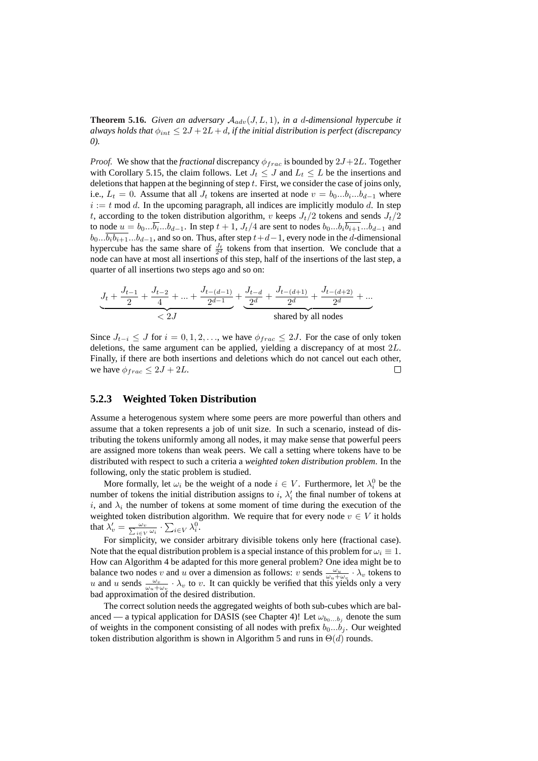**Theorem 5.16.** *Given an adversary*  $A_{adv}(J, L, 1)$ *, in a d-dimensional hypercube it always holds that*  $\phi_{int} \leq 2J + 2L + d$ , *if the initial distribution is perfect (discrepancy 0).*

*Proof.* We show that the *fractional* discrepancy  $\phi_{frac}$  is bounded by  $2J+2L$ . Together with Corollary 5.15, the claim follows. Let  $J_t \leq J$  and  $L_t \leq L$  be the insertions and deletions that happen at the beginning of step  $t$ . First, we consider the case of joins only, i.e.,  $L_t = 0$ . Assume that all  $J_t$  tokens are inserted at node  $v = b_0...b_i...b_{d-1}$  where  $i := t \mod d$ . In the upcoming paragraph, all indices are implicitly modulo d. In step t, according to the token distribution algorithm, v keeps  $J_t/2$  tokens and sends  $J_t/2$ to node  $u = b_0... \overline{b_i} ... b_{d-1}$ . In step  $t + 1$ ,  $J_t/4$  are sent to nodes  $b_0...b_i \overline{b_{i+1}} ... b_{d-1}$  and  $b_0... \overline{b_i b_{i+1}}...b_{d-1}$ , and so on. Thus, after step  $t+d-1$ , every node in the d-dimensional hypercube has the same share of  $\frac{J_t}{2^d}$  tokens from that insertion. We conclude that a node can have at most all insertions of this step, half of the insertions of the last step, a quarter of all insertions two steps ago and so on:

$$
\underbrace{J_t+\frac{J_{t-1}}{2}+\frac{J_{t-2}}{4}+...+\frac{J_{t-(d-1)}}{2^{d-1}}}_{<\ 2J}+\underbrace{\frac{J_{t-d}}{2^d}+\frac{J_{t-(d+1)}}{2^d}+\frac{J_{t-(d+2)}}{2^d}}_{\text{shared by all nodes}}+...\\
$$

Since  $J_{t-i} \leq J$  for  $i = 0, 1, 2, \ldots$ , we have  $\phi_{frac} \leq 2J$ . For the case of only token deletions, the same argument can be applied, yielding a discrepancy of at most 2L. Finally, if there are both insertions and deletions which do not cancel out each other, we have  $\phi_{frac} \leq 2J + 2L$ .  $\Box$ 

### **5.2.3 Weighted Token Distribution**

Assume a heterogenous system where some peers are more powerful than others and assume that a token represents a job of unit size. In such a scenario, instead of distributing the tokens uniformly among all nodes, it may make sense that powerful peers are assigned more tokens than weak peers. We call a setting where tokens have to be distributed with respect to such a criteria a *weighted token distribution problem*. In the following, only the static problem is studied.

More formally, let  $\omega_i$  be the weight of a node  $i \in V$ . Furthermore, let  $\lambda_i^0$  be the number of tokens the initial distribution assigns to i,  $\lambda_i$  the final number of tokens at i, and  $\lambda_i$  the number of tokens at some moment of time during the execution of the weighted token distribution algorithm. We require that for every node  $v \in V$  it holds that  $\lambda'_v = \frac{\omega_v}{\sum_{i \in V} \omega_i} \cdot \sum_{i \in V} \lambda_i^0$ .

For simplicity, we consider arbitrary divisible tokens only here (fractional case). Note that the equal distribution problem is a special instance of this problem for  $\omega_i \equiv 1$ . How can Algorithm 4 be adapted for this more general problem? One idea might be to balance two nodes v and u over a dimension as follows: v sends  $\frac{\omega_u}{\omega_u + \omega_v} \cdot \lambda_v$  tokens to u and u sends  $\frac{\omega_v}{\omega_u+\omega_v} \cdot \lambda_v$  to v. It can quickly be verified that this yields only a very bad approximation of the desired distribution.

The correct solution needs the aggregated weights of both sub-cubes which are balanced — a typical application for DASIS (see Chapter 4)! Let  $\omega_{b_0...b_j}$  denote the sum of weights in the component consisting of all nodes with prefix  $b_0...b_i$ . Our weighted token distribution algorithm is shown in Algorithm 5 and runs in  $\Theta(d)$  rounds.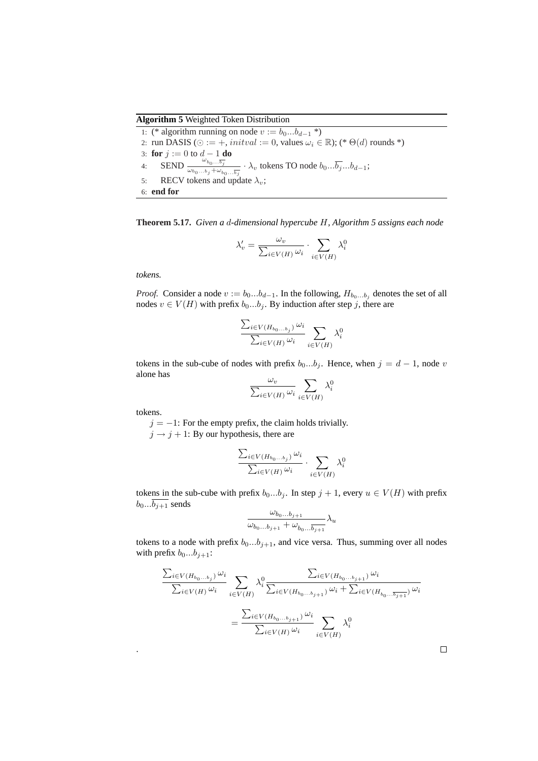### **Algorithm 5** Weighted Token Distribution

1: (\* algorithm running on node  $v := b_0...b_{d-1}$  \*) 2: run DASIS ( $\odot := +$ , *initval* := 0, values  $\omega_i \in \mathbb{R}$ ); (\*  $\Theta(d)$  rounds \*) 3: **for**  $j := 0$  to  $d - 1$  **do** 4: SEND  $\frac{\omega_{b_0...b_j}}{\omega_b \omega_b}$  $\frac{b_0...b_j}{\omega_{b_0...b_j}+\omega_{b_0...b_j}}$   $\lambda_v$  tokens TO node  $b_0...\overline{b_j}...\overline{b_d}$ . 5: RECV tokens and update  $\lambda_v$ ; 6: **end for**

**Theorem 5.17.** *Given a* d*-dimensional hypercube* H*, Algorithm 5 assigns each node*

$$
\lambda'_{v} = \frac{\omega_{v}}{\sum_{i \in V(H)} \omega_{i}} \cdot \sum_{i \in V(H)} \lambda_{i}^{0}
$$

*tokens.*

*Proof.* Consider a node  $v := b_0...b_{d-1}$ . In the following,  $H_{b_0...b_j}$  denotes the set of all nodes  $v \in V(H)$  with prefix  $b_0...b_j$ . By induction after step j, there are

$$
\frac{\sum_{i\in V(H_{b_0...b_j})}\omega_i}{\sum_{i\in V(H)}\omega_i}\sum_{i\in V(H)}\lambda_i^0
$$

tokens in the sub-cube of nodes with prefix  $b_0...b_j$ . Hence, when  $j = d - 1$ , node v alone has  $\overline{\phantom{a}}$ 

$$
\frac{\omega_v}{\sum_{i \in V(H)} \omega_i} \sum_{i \in V(H)} \lambda_i^0
$$

tokens.

.

 $j = -1$ : For the empty prefix, the claim holds trivially.

 $j \rightarrow j + 1$ : By our hypothesis, there are

$$
\frac{\sum_{i \in V(H_{b_0...b_j})} \omega_i}{\sum_{i \in V(H)} \omega_i} \cdot \sum_{i \in V(H)} \lambda_i^0
$$

tokens in the sub-cube with prefix  $b_0...b_j$ . In step  $j + 1$ , every  $u \in V(H)$  with prefix  $b_0... \overline{b_{j+1}}$  sends  $\mathcal{L}$ 

$$
\frac{\omega_{b_0...b_{j+1}}}{\omega_{b_0...b_{j+1}} + \omega_{b_0...\overline{b_{j+1}}}} \lambda_u
$$

tokens to a node with prefix  $b_0...b_{j+1}$ , and vice versa. Thus, summing over all nodes with prefix  $b_0...b_{j+1}$ :

$$
\frac{\sum_{i\in V(H_{b_0...b_j})}\omega_i}{\sum_{i\in V(H)}\omega_i} \sum_{i\in V(H)} \lambda_i^0 \frac{\sum_{i\in V(H_{b_0...b_{j+1}})}\omega_i}{\sum_{i\in V(H_{b_0...b_{j+1}})}\omega_i + \sum_{i\in V(H_{b_0...b_{j+1}})}\omega_i}
$$
\n
$$
= \frac{\sum_{i\in V(H_{b_0...b_{j+1}})}\omega_i}{\sum_{i\in V(H)}\omega_i} \sum_{i\in V(H)} \lambda_i^0
$$

 $\Box$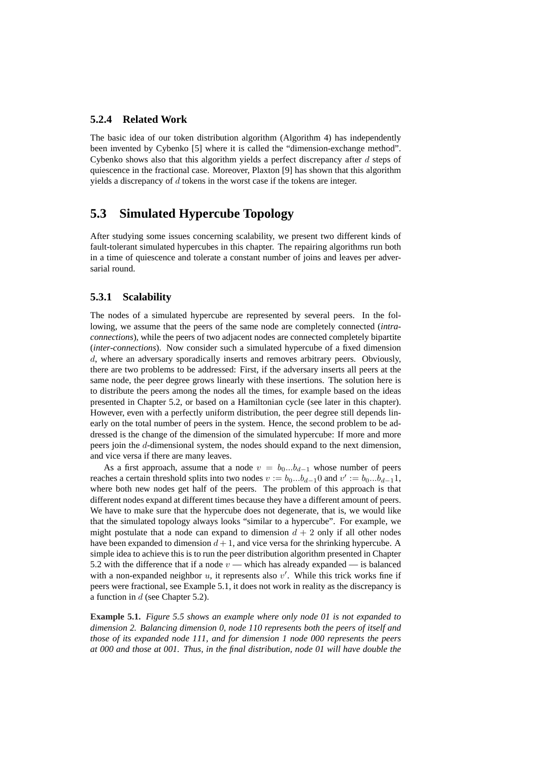### **5.2.4 Related Work**

The basic idea of our token distribution algorithm (Algorithm 4) has independently been invented by Cybenko [5] where it is called the "dimension-exchange method". Cybenko shows also that this algorithm yields a perfect discrepancy after  $d$  steps of quiescence in the fractional case. Moreover, Plaxton [9] has shown that this algorithm yields a discrepancy of d tokens in the worst case if the tokens are integer.

## **5.3 Simulated Hypercube Topology**

After studying some issues concerning scalability, we present two different kinds of fault-tolerant simulated hypercubes in this chapter. The repairing algorithms run both in a time of quiescence and tolerate a constant number of joins and leaves per adversarial round.

### **5.3.1 Scalability**

The nodes of a simulated hypercube are represented by several peers. In the following, we assume that the peers of the same node are completely connected (*intraconnections*), while the peers of two adjacent nodes are connected completely bipartite (*inter-connections*). Now consider such a simulated hypercube of a fixed dimension d, where an adversary sporadically inserts and removes arbitrary peers. Obviously, there are two problems to be addressed: First, if the adversary inserts all peers at the same node, the peer degree grows linearly with these insertions. The solution here is to distribute the peers among the nodes all the times, for example based on the ideas presented in Chapter 5.2, or based on a Hamiltonian cycle (see later in this chapter). However, even with a perfectly uniform distribution, the peer degree still depends linearly on the total number of peers in the system. Hence, the second problem to be addressed is the change of the dimension of the simulated hypercube: If more and more peers join the d-dimensional system, the nodes should expand to the next dimension, and vice versa if there are many leaves.

As a first approach, assume that a node  $v = b_0...b_{d-1}$  whose number of peers reaches a certain threshold splits into two nodes  $v := b_0...b_{d-1}0$  and  $v' := b_0...b_{d-1}1$ , where both new nodes get half of the peers. The problem of this approach is that different nodes expand at different times because they have a different amount of peers. We have to make sure that the hypercube does not degenerate, that is, we would like that the simulated topology always looks "similar to a hypercube". For example, we might postulate that a node can expand to dimension  $d + 2$  only if all other nodes have been expanded to dimension  $d+1$ , and vice versa for the shrinking hypercube. A simple idea to achieve this is to run the peer distribution algorithm presented in Chapter 5.2 with the difference that if a node  $v$  — which has already expanded — is balanced with a non-expanded neighbor  $u$ , it represents also  $v'$ . While this trick works fine if peers were fractional, see Example 5.1, it does not work in reality as the discrepancy is a function in d (see Chapter 5.2).

**Example 5.1.** *Figure 5.5 shows an example where only node 01 is not expanded to dimension 2. Balancing dimension 0, node 110 represents both the peers of itself and those of its expanded node 111, and for dimension 1 node 000 represents the peers at 000 and those at 001. Thus, in the final distribution, node 01 will have double the*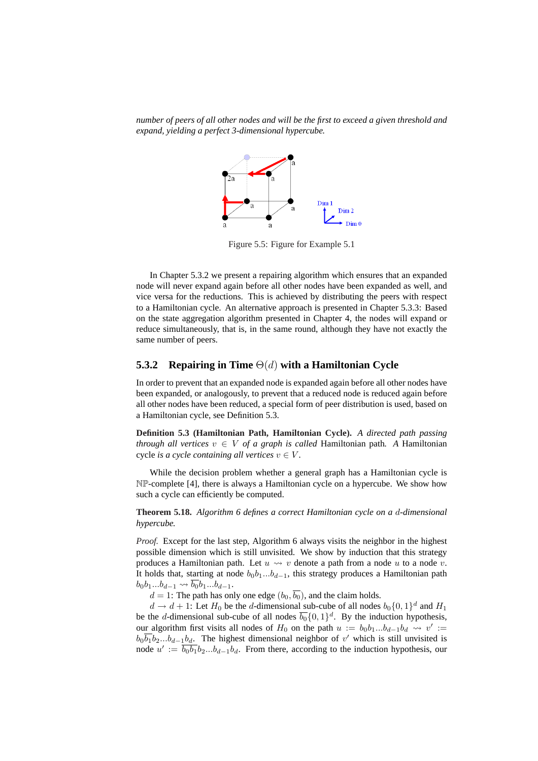*number of peers of all other nodes and will be the first to exceed a given threshold and expand, yielding a perfect 3-dimensional hypercube.*



Figure 5.5: Figure for Example 5.1

In Chapter 5.3.2 we present a repairing algorithm which ensures that an expanded node will never expand again before all other nodes have been expanded as well, and vice versa for the reductions. This is achieved by distributing the peers with respect to a Hamiltonian cycle. An alternative approach is presented in Chapter 5.3.3: Based on the state aggregation algorithm presented in Chapter 4, the nodes will expand or reduce simultaneously, that is, in the same round, although they have not exactly the same number of peers.

### **5.3.2 Repairing in Time** Θ(d) **with a Hamiltonian Cycle**

In order to prevent that an expanded node is expanded again before all other nodes have been expanded, or analogously, to prevent that a reduced node is reduced again before all other nodes have been reduced, a special form of peer distribution is used, based on a Hamiltonian cycle, see Definition 5.3.

**Definition 5.3 (Hamiltonian Path, Hamiltonian Cycle).** *A directed path passing through all vertices*  $v \in V$  *of a graph is called* Hamiltonian path. A Hamiltonian cycle *is a cycle containing all vertices*  $v \in V$ *.* 

While the decision problem whether a general graph has a Hamiltonian cycle is NP-complete [4], there is always a Hamiltonian cycle on a hypercube. We show how such a cycle can efficiently be computed.

**Theorem 5.18.** *Algorithm 6 defines a correct Hamiltonian cycle on a* d*-dimensional hypercube.*

*Proof.* Except for the last step, Algorithm 6 always visits the neighbor in the highest possible dimension which is still unvisited. We show by induction that this strategy produces a Hamiltonian path. Let  $u \leadsto v$  denote a path from a node u to a node v. It holds that, starting at node  $b_0b_1...b_{d-1}$ , this strategy produces a Hamiltonian path  $b_0b_1...b_{d-1} \leadsto \overline{b_0}b_1...b_{d-1}.$ 

 $d = 1$ : The path has only one edge  $(b_0, \overline{b_0})$ , and the claim holds.

 $d \to d + 1$ : Let  $H_0$  be the d-dimensional sub-cube of all nodes  $b_0 \{0, 1\}^d$  and  $H_1$ be the d-dimensional sub-cube of all nodes  $\overline{b_0} \{0, 1\}^d$ . By the induction hypothesis, our algorithm first visits all nodes of  $H_0$  on the path  $u := b_0b_1...b_{d-1}b_d \leadsto v' :=$  $b_0\overline{b_1}b_2...b_{d-1}b_d$ . The highest dimensional neighbor of v' which is still unvisited is node  $u' := \overline{b_0 b_1} b_2 ... b_{d-1} b_d$ . From there, according to the induction hypothesis, our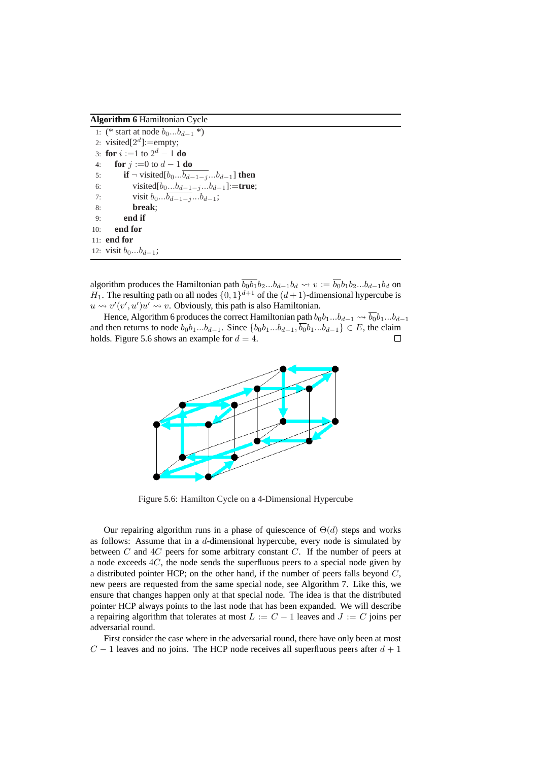**Algorithm 6** Hamiltonian Cycle

```
1: (* start at node b_0...b_{d-1} *)
 2: visited[2^d]:=empty;
 3: for i :=1 to 2^d - 1 do
4: for j := 0 to d - 1 do
5: if \neg visited[b_0...\overline{b_{d-1-j}}...b_{d-1}] then
6: visited[b_0...b_{d-1-j}...b_{d-1}]:=true;
7: visit b_0...b_{d-1-j}...b_{d-1};
8: break;
9: end if
10: end for
11: end for
12: visit b_0...b_{d-1};
```
algorithm produces the Hamiltonian path  $\overline{b_0b_1}b_2...b_{d-1}b_d \rightsquigarrow v := \overline{b_0}b_1b_2...b_{d-1}b_d$  on  $H_1$ . The resulting path on all nodes  $\{0, 1\}^{d+1}$  of the  $(d+1)$ -dimensional hypercube is  $u \rightsquigarrow v'(v', u')u' \rightsquigarrow v$ . Obviously, this path is also Hamiltonian.

Hence, Algorithm 6 produces the correct Hamiltonian path  $b_0b_1...b_{d-1} \leadsto \overline{b_0}b_1...b_{d-1}$ and then returns to node  $b_0b_1...b_{d-1}$ . Since  $\{b_0b_1...b_{d-1}, \overline{b_0}b_1...b_{d-1}\} \in E$ , the claim holds. Figure 5.6 shows an example for  $d = 4$ .  $\Box$ 



Figure 5.6: Hamilton Cycle on a 4-Dimensional Hypercube

Our repairing algorithm runs in a phase of quiescence of  $\Theta(d)$  steps and works as follows: Assume that in a d-dimensional hypercube, every node is simulated by between  $C$  and  $4C$  peers for some arbitrary constant  $C$ . If the number of peers at a node exceeds 4C, the node sends the superfluous peers to a special node given by a distributed pointer HCP; on the other hand, if the number of peers falls beyond  $C$ , new peers are requested from the same special node, see Algorithm 7. Like this, we ensure that changes happen only at that special node. The idea is that the distributed pointer HCP always points to the last node that has been expanded. We will describe a repairing algorithm that tolerates at most  $L := C - 1$  leaves and  $J := C$  joins per adversarial round.

First consider the case where in the adversarial round, there have only been at most  $C - 1$  leaves and no joins. The HCP node receives all superfluous peers after  $d + 1$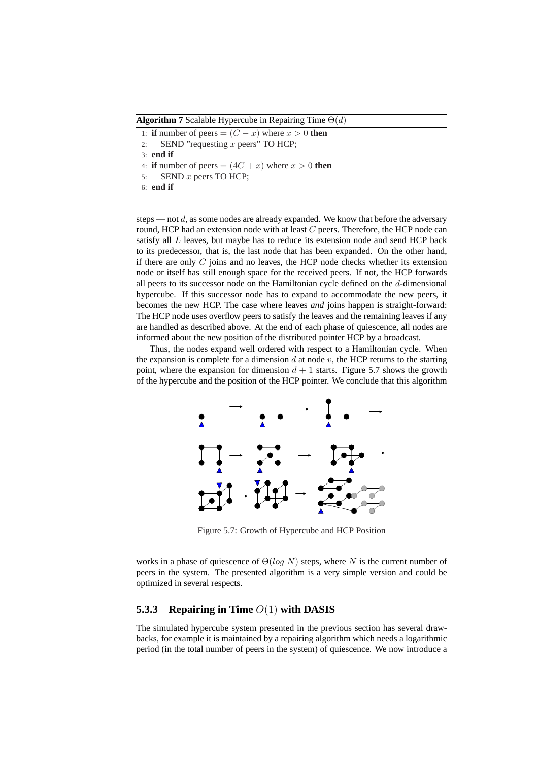**Algorithm 7** Scalable Hypercube in Repairing Time  $\Theta(d)$ 

1: **if** number of peers =  $(C - x)$  where  $x > 0$  **then** 2: SEND "requesting x peers" TO HCP; 3: **end if** 4: **if** number of peers  $=(4C + x)$  where  $x > 0$  **then** 5: SEND x peers TO HCP; 6: **end if**

steps — not  $d$ , as some nodes are already expanded. We know that before the adversary round, HCP had an extension node with at least  $C$  peers. Therefore, the HCP node can satisfy all  $L$  leaves, but maybe has to reduce its extension node and send HCP back to its predecessor, that is, the last node that has been expanded. On the other hand, if there are only  $C$  joins and no leaves, the HCP node checks whether its extension node or itself has still enough space for the received peers. If not, the HCP forwards all peers to its successor node on the Hamiltonian cycle defined on the d-dimensional hypercube. If this successor node has to expand to accommodate the new peers, it becomes the new HCP. The case where leaves *and* joins happen is straight-forward: The HCP node uses overflow peers to satisfy the leaves and the remaining leaves if any are handled as described above. At the end of each phase of quiescence, all nodes are informed about the new position of the distributed pointer HCP by a broadcast.

Thus, the nodes expand well ordered with respect to a Hamiltonian cycle. When the expansion is complete for a dimension  $d$  at node  $v$ , the HCP returns to the starting point, where the expansion for dimension  $d + 1$  starts. Figure 5.7 shows the growth of the hypercube and the position of the HCP pointer. We conclude that this algorithm



Figure 5.7: Growth of Hypercube and HCP Position

works in a phase of quiescence of  $\Theta(\log N)$  steps, where N is the current number of peers in the system. The presented algorithm is a very simple version and could be optimized in several respects.

## **5.3.3 Repairing in Time** O(1) **with DASIS**

The simulated hypercube system presented in the previous section has several drawbacks, for example it is maintained by a repairing algorithm which needs a logarithmic period (in the total number of peers in the system) of quiescence. We now introduce a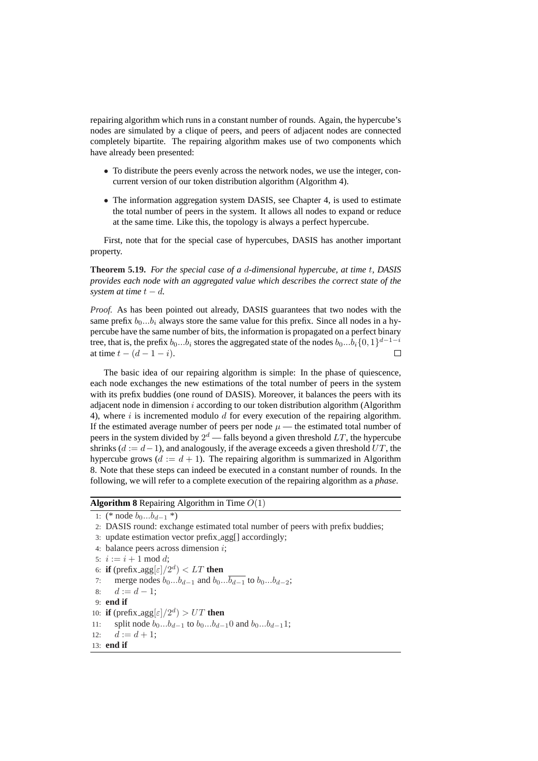repairing algorithm which runs in a constant number of rounds. Again, the hypercube's nodes are simulated by a clique of peers, and peers of adjacent nodes are connected completely bipartite. The repairing algorithm makes use of two components which have already been presented:

- To distribute the peers evenly across the network nodes, we use the integer, concurrent version of our token distribution algorithm (Algorithm 4).
- The information aggregation system DASIS, see Chapter 4, is used to estimate the total number of peers in the system. It allows all nodes to expand or reduce at the same time. Like this, the topology is always a perfect hypercube.

First, note that for the special case of hypercubes, DASIS has another important property.

**Theorem 5.19.** *For the special case of a* d*-dimensional hypercube, at time* t*, DASIS provides each node with an aggregated value which describes the correct state of the system at time*  $t - d$ .

*Proof.* As has been pointed out already, DASIS guarantees that two nodes with the same prefix  $b_0...b_i$  always store the same value for this prefix. Since all nodes in a hypercube have the same number of bits, the information is propagated on a perfect binary tree, that is, the prefix  $b_0...b_i$  stores the aggregated state of the nodes  $b_0...b_i\{0,1\}^{d-1-i}$ at time  $t - (d - 1 - i)$ .  $\Box$ 

The basic idea of our repairing algorithm is simple: In the phase of quiescence, each node exchanges the new estimations of the total number of peers in the system with its prefix buddies (one round of DASIS). Moreover, it balances the peers with its adjacent node in dimension  $i$  according to our token distribution algorithm (Algorithm 4), where i is incremented modulo  $d$  for every execution of the repairing algorithm. If the estimated average number of peers per node  $\mu$  — the estimated total number of peers in the system divided by  $2^d$  — falls beyond a given threshold  $LT$ , the hypercube shrinks ( $d := d - 1$ ), and analogously, if the average exceeds a given threshold UT, the hypercube grows ( $d := d + 1$ ). The repairing algorithm is summarized in Algorithm 8. Note that these steps can indeed be executed in a constant number of rounds. In the following, we will refer to a complete execution of the repairing algorithm as a *phase*.

### **Algorithm 8** Repairing Algorithm in Time O(1)

```
1: (* node b_0...b_{d-1} *)
```

```
2: DASIS round: exchange estimated total number of peers with prefix buddies;
```
- 3: update estimation vector prefix agg[] accordingly;
- 4: balance peers across dimension  $i$ ;

```
5: i := i + 1 \mod d;
```
- 6: **if** (prefix\_agg[ $\varepsilon$ ]/2<sup>*d*</sup>) < *LT* **then**
- 7: merge nodes  $b_0...b_{d-1}$  and  $b_0...\overline{b_{d-1}}$  to  $b_0...b_{d-2}$ ;
- 8:  $d := d 1$ :
- 9: **end if**
- 10: **if** (prefix\_agg $\left[\varepsilon\right]/2^d$ ) > UT **then**
- 11: split node  $b_0...b_{d-1}$  to  $b_0...b_{d-1}$  and  $b_0...b_{d-1}$ 1;
- 12:  $d := d + 1;$
- 13: **end if**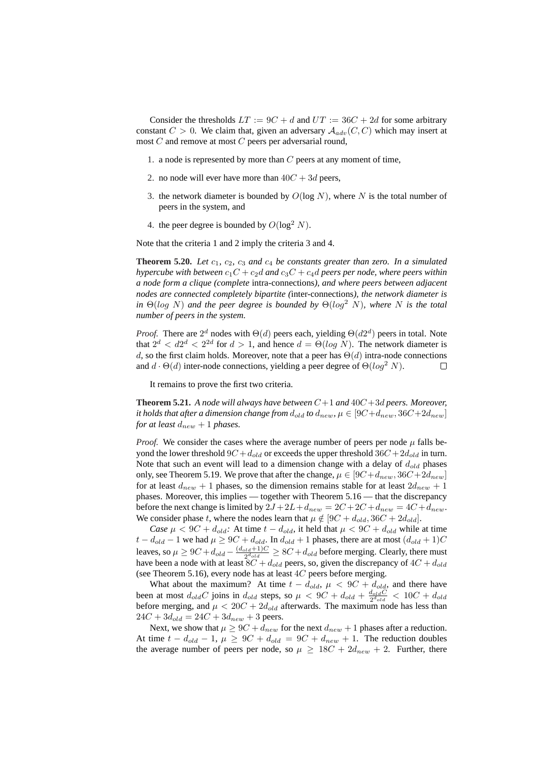Consider the thresholds  $LT := 9C + d$  and  $UT := 36C + 2d$  for some arbitrary constant  $C > 0$ . We claim that, given an adversary  $A_{adv}(C, C)$  which may insert at most C and remove at most C peers per adversarial round,

- 1. a node is represented by more than  $C$  peers at any moment of time,
- 2. no node will ever have more than  $40C + 3d$  peers,
- 3. the network diameter is bounded by  $O(\log N)$ , where N is the total number of peers in the system, and
- 4. the peer degree is bounded by  $O(\log^2 N)$ .

Note that the criteria 1 and 2 imply the criteria 3 and 4.

**Theorem 5.20.** *Let*  $c_1$ ,  $c_2$ ,  $c_3$  *and*  $c_4$  *be constants greater than zero. In a simulated hypercube with between*  $c_1C + c_2d$  *and*  $c_3C + c_4d$  *peers per node, where peers within a node form a clique (complete* intra-connections*), and where peers between adjacent nodes are connected completely bipartite (*inter-connections*), the network diameter is in*  $\Theta(\log N)$  *and the peer degree is bounded by*  $\Theta(\log^2 N)$ *, where* N *is the total number of peers in the system.*

*Proof.* There are  $2^d$  nodes with  $\Theta(d)$  peers each, yielding  $\Theta(d2^d)$  peers in total. Note that  $2^d < d2^d < 2^{2d}$  for  $d > 1$ , and hence  $d = \Theta(\log N)$ . The network diameter is d, so the first claim holds. Moreover, note that a peer has  $\Theta(d)$  intra-node connections and  $d \cdot \Theta(d)$  inter-node connections, yielding a peer degree of  $\Theta(log^2 N)$ .  $\Box$ 

It remains to prove the first two criteria.

**Theorem 5.21.** *A node will always have between* C+1 *and* 40C+3d *peers. Moreover, it holds that after a dimension change from*  $d_{old}$  *to*  $d_{new}$ ,  $\mu \in [9C + d_{new}, 36C + 2d_{new}]$ *for at least*  $d_{new} + 1$  *phases.* 

*Proof.* We consider the cases where the average number of peers per node  $\mu$  falls beyond the lower threshold  $9C + d_{old}$  or exceeds the upper threshold  $36C + 2d_{old}$  in turn. Note that such an event will lead to a dimension change with a delay of  $d_{old}$  phases only, see Theorem 5.19. We prove that after the change,  $\mu \in [9C+d_{new}, 36C+2d_{new}]$ for at least  $d_{new} + 1$  phases, so the dimension remains stable for at least  $2d_{new} + 1$ phases. Moreover, this implies — together with Theorem 5.16 — that the discrepancy before the next change is limited by  $2J + 2L + d_{new} = 2C + 2C + d_{new} = 4C + d_{new}$ . We consider phase t, where the nodes learn that  $\mu \notin [9C + d_{old}, 36C + 2d_{old}]$ .

*Case*  $\mu < 9C + d_{old}$ : At time  $t - d_{old}$ , it held that  $\mu < 9C + d_{old}$  while at time  $t - d_{old} - 1$  we had  $\mu \ge 9C + d_{old}$ . In  $d_{old} + 1$  phases, there are at most  $(d_{old} + 1)C$ leaves, so  $\mu \ge 9C + d_{old} - \frac{(d_{old}+1)C}{2d_{old}}$  $\frac{d^{old+1}C}{2^{d_{old}}} \geq 8C + d_{old}$  before merging. Clearly, there must have been a node with at least  $8C + d_{old}$  peers, so, given the discrepancy of  $4C + d_{old}$ (see Theorem 5.16), every node has at least  $4C$  peers before merging.

What about the maximum? At time  $t - d_{old}$ ,  $\mu < 9C + d_{old}$ , and there have been at most  $d_{old}C$  joins in  $d_{old}$  steps, so  $\mu < 9C + d_{old} + \frac{d_{old}C}{2^{d_{old}}} < 10C + d_{old}$ before merging, and  $\mu < 20C + 2d_{old}$  afterwards. The maximum node has less than  $24C + 3d_{old} = 24C + 3d_{new} + 3$  peers.

Next, we show that  $\mu \ge 9C + d_{new}$  for the next  $d_{new} + 1$  phases after a reduction. At time  $t - d_{old} - 1$ ,  $\mu \ge 9C + d_{old} = 9C + d_{new} + 1$ . The reduction doubles the average number of peers per node, so  $\mu \geq 18C + 2d_{new} + 2$ . Further, there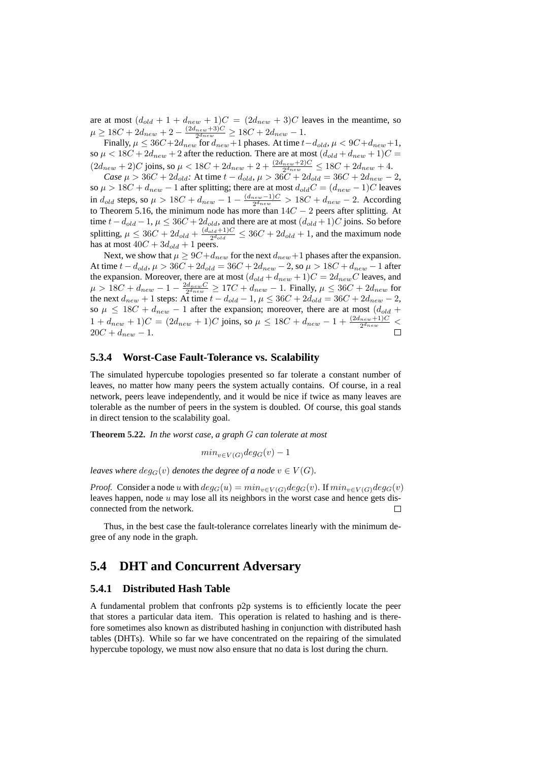are at most  $(d_{old} + 1 + d_{new} + 1)C = (2d_{new} + 3)C$  leaves in the meantime, so  $\mu \ge 18C + 2d_{new} + 2 - \frac{(2d_{new} + 3)C}{2d_{new}} \ge 18C + 2d_{new} - 1.$ 

Finally,  $\mu \leq 36C + 2d_{new}$  for  $d_{new} + 1$  phases. At time  $t - d_{old}$ ,  $\mu < 9C + d_{new} + 1$ , so  $\mu < 18C + 2d_{new} + 2$  after the reduction. There are at most  $(d_{old} + d_{new} + 1)C =$  $(2d_{new} + 2)C$  joins, so  $\mu < 18C + 2d_{new} + 2 + \frac{(2d_{new} + 2)C}{2d_{new}} \le 18C + 2d_{new} + 4$ .

*Case*  $\mu > 36C + 2d_{old}$ : At time  $t - d_{old}$ ,  $\mu > 36C + 2d_{old} = 36C + 2d_{new} - 2$ , so  $\mu > 18C + d_{new} - 1$  after splitting; there are at most  $d_{old}C = (d_{new} - 1)C$  leaves in  $d_{old}$  steps, so  $\mu > 18C + d_{new} - 1 - \frac{(d_{new}-1)C}{2^{d_{new}}} > 18C + d_{new} - 2$ . According to Theorem 5.16, the minimum node has more than  $14C - 2$  peers after splitting. At time  $t - d_{old} - 1$ ,  $\mu \leq 36C + 2d_{old}$ , and there are at most  $(d_{old} + 1)C$  joins. So before splitting,  $\mu \leq 36C + 2d_{old} + \frac{(d_{old}+1)C}{2d_{old}}$  $\frac{d^{2d+1}C}{2^{d_{old}}} \leq 36C + 2d_{old} + 1$ , and the maximum node has at most  $40C + 3d_{old} + 1$  peers.

Next, we show that  $\mu \ge 9C + d_{new}$  for the next  $d_{new} + 1$  phases after the expansion. At time  $t - d_{old}$ ,  $\mu > 36C + 2d_{old} = 36C + 2d_{new} - 2$ , so  $\mu > 18C + d_{new} - 1$  after the expansion. Moreover, there are at most  $(d_{old} + d_{new} + 1)C = 2d_{new}C$  leaves, and  $\mu > 18C + d_{new} - 1 - \frac{2d_{new}C}{2^{d_{new}}} \ge 17C + d_{new} - 1$ . Finally,  $\mu \le 36C + 2d_{new}$  for  $\mu > 100 + a_{new} + 1$  steps: At time  $t - d_{old} - 1$ ,  $\mu \le 36C + 2d_{old} = 36C + 2d_{new} - 2$ , so  $\mu \leq 18C + d_{new} - 1$  after the expansion; moreover, there are at most  $(d_{old} +$  $1 + d_{new} + 1)C = (2d_{new} + 1)C$  joins, so  $\mu \leq 18C + d_{new} - 1 + \frac{(2d_{new} + 1)C}{2d_{new}}$  $20C + d_{new} - 1.$ 

### **5.3.4 Worst-Case Fault-Tolerance vs. Scalability**

The simulated hypercube topologies presented so far tolerate a constant number of leaves, no matter how many peers the system actually contains. Of course, in a real network, peers leave independently, and it would be nice if twice as many leaves are tolerable as the number of peers in the system is doubled. Of course, this goal stands in direct tension to the scalability goal.

**Theorem 5.22.** *In the worst case, a graph* G *can tolerate at most*

$$
min_{v \in V(G)} deg_G(v) - 1
$$

*leaves where*  $deg_G(v)$  *denotes the degree of a node*  $v \in V(G)$ *.* 

*Proof.* Consider a node u with  $deg_G(u) = min_{v \in V(G)}deg_G(v)$ . If  $min_{v \in V(G)}deg_G(v)$ leaves happen, node  $u$  may lose all its neighbors in the worst case and hence gets disconnected from the network.  $\Box$ 

Thus, in the best case the fault-tolerance correlates linearly with the minimum degree of any node in the graph.

## **5.4 DHT and Concurrent Adversary**

### **5.4.1 Distributed Hash Table**

A fundamental problem that confronts p2p systems is to efficiently locate the peer that stores a particular data item. This operation is related to hashing and is therefore sometimes also known as distributed hashing in conjunction with distributed hash tables (DHTs). While so far we have concentrated on the repairing of the simulated hypercube topology, we must now also ensure that no data is lost during the churn.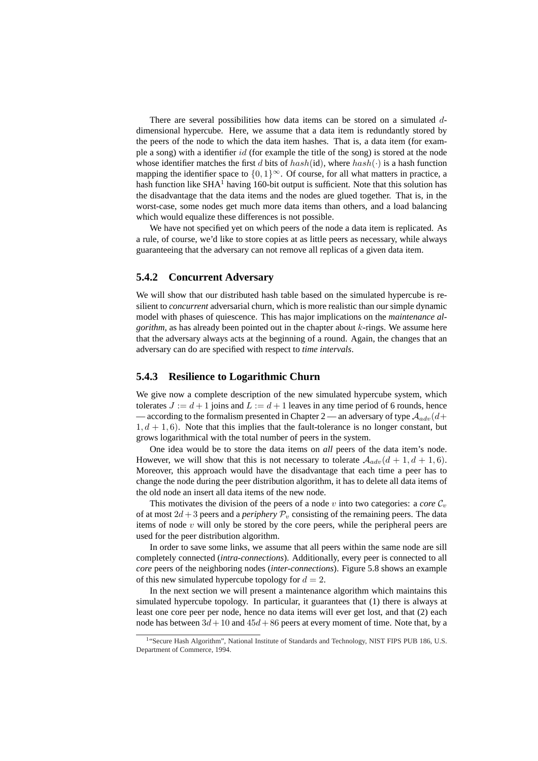There are several possibilities how data items can be stored on a simulated ddimensional hypercube. Here, we assume that a data item is redundantly stored by the peers of the node to which the data item hashes. That is, a data item (for example a song) with a identifier id (for example the title of the song) is stored at the node whose identifier matches the first d bits of  $hash(id)$ , where  $hash(\cdot)$  is a hash function mapping the identifier space to  $\{0, 1\}^{\infty}$ . Of course, for all what matters in practice, a hash function like  $SHA<sup>1</sup>$  having 160-bit output is sufficient. Note that this solution has the disadvantage that the data items and the nodes are glued together. That is, in the worst-case, some nodes get much more data items than others, and a load balancing which would equalize these differences is not possible.

We have not specified yet on which peers of the node a data item is replicated. As a rule, of course, we'd like to store copies at as little peers as necessary, while always guaranteeing that the adversary can not remove all replicas of a given data item.

### **5.4.2 Concurrent Adversary**

We will show that our distributed hash table based on the simulated hypercube is resilient to *concurrent* adversarial churn, which is more realistic than our simple dynamic model with phases of quiescence. This has major implications on the *maintenance algorithm*, as has already been pointed out in the chapter about  $k$ -rings. We assume here that the adversary always acts at the beginning of a round. Again, the changes that an adversary can do are specified with respect to *time intervals*.

### **5.4.3 Resilience to Logarithmic Churn**

We give now a complete description of the new simulated hypercube system, which tolerates  $J := d + 1$  joins and  $L := d + 1$  leaves in any time period of 6 rounds, hence — according to the formalism presented in Chapter 2 — an adversary of type  $A_{adv}(d+$  $1, d+1, 6$ ). Note that this implies that the fault-tolerance is no longer constant, but grows logarithmical with the total number of peers in the system.

One idea would be to store the data items on *all* peers of the data item's node. However, we will show that this is not necessary to tolerate  $\mathcal{A}_{adv}(d+1, d+1, 6)$ . Moreover, this approach would have the disadvantage that each time a peer has to change the node during the peer distribution algorithm, it has to delete all data items of the old node an insert all data items of the new node.

This motivates the division of the peers of a node v into two categories: a *core*  $C_v$ of at most  $2d + 3$  peers and a *periphery*  $\mathcal{P}_v$  consisting of the remaining peers. The data items of node  $v$  will only be stored by the core peers, while the peripheral peers are used for the peer distribution algorithm.

In order to save some links, we assume that all peers within the same node are sill completely connected (*intra-connections*). Additionally, every peer is connected to all *core* peers of the neighboring nodes (*inter-connections*). Figure 5.8 shows an example of this new simulated hypercube topology for  $d = 2$ .

In the next section we will present a maintenance algorithm which maintains this simulated hypercube topology. In particular, it guarantees that (1) there is always at least one core peer per node, hence no data items will ever get lost, and that (2) each node has between  $3d + 10$  and  $45d + 86$  peers at every moment of time. Note that, by a

<sup>&</sup>lt;sup>1</sup> 'Secure Hash Algorithm'', National Institute of Standards and Technology, NIST FIPS PUB 186, U.S. Department of Commerce, 1994.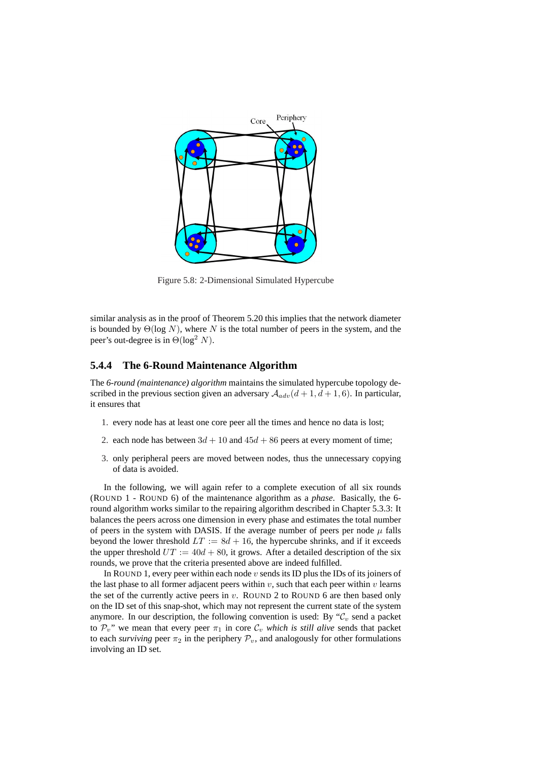

Figure 5.8: 2-Dimensional Simulated Hypercube

similar analysis as in the proof of Theorem 5.20 this implies that the network diameter is bounded by  $\Theta(\log N)$ , where N is the total number of peers in the system, and the peer's out-degree is in  $\Theta(\log^2 N)$ .

### **5.4.4 The 6-Round Maintenance Algorithm**

The *6-round (maintenance) algorithm* maintains the simulated hypercube topology described in the previous section given an adversary  $A_{adv}(d + 1, d + 1, 6)$ . In particular, it ensures that

- 1. every node has at least one core peer all the times and hence no data is lost;
- 2. each node has between  $3d + 10$  and  $45d + 86$  peers at every moment of time;
- 3. only peripheral peers are moved between nodes, thus the unnecessary copying of data is avoided.

In the following, we will again refer to a complete execution of all six rounds (ROUND 1 - ROUND 6) of the maintenance algorithm as a *phase*. Basically, the 6 round algorithm works similar to the repairing algorithm described in Chapter 5.3.3: It balances the peers across one dimension in every phase and estimates the total number of peers in the system with DASIS. If the average number of peers per node  $\mu$  falls beyond the lower threshold  $LT := 8d + 16$ , the hypercube shrinks, and if it exceeds the upper threshold  $UT := 40d + 80$ , it grows. After a detailed description of the six rounds, we prove that the criteria presented above are indeed fulfilled.

In ROUND 1, every peer within each node  $v$  sends its ID plus the IDs of its joiners of the last phase to all former adjacent peers within  $v$ , such that each peer within  $v$  learns the set of the currently active peers in  $v$ . ROUND 2 to ROUND 6 are then based only on the ID set of this snap-shot, which may not represent the current state of the system anymore. In our description, the following convention is used: By  $C_v$  send a packet to  $\mathcal{P}_v$ " we mean that every peer  $\pi_1$  in core  $\mathcal{C}_v$  *which is still alive* sends that packet to each *surviving* peer  $\pi_2$  in the periphery  $\mathcal{P}_v$ , and analogously for other formulations involving an ID set.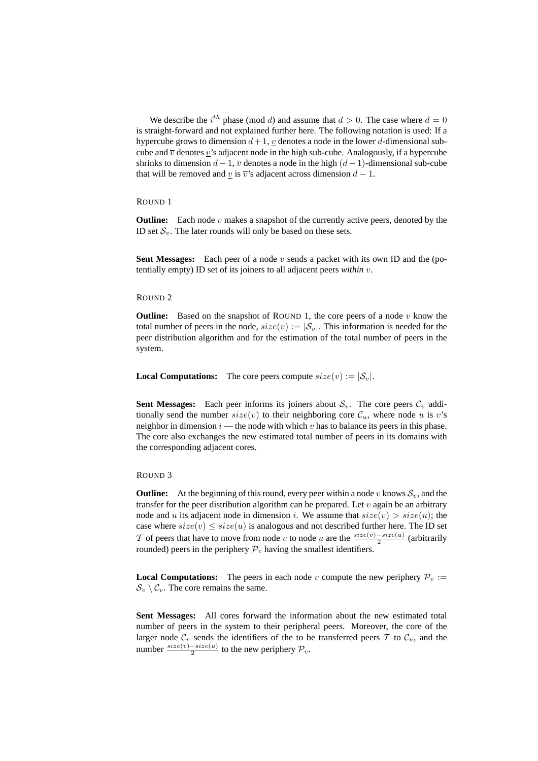We describe the  $i^{th}$  phase (mod d) and assume that  $d > 0$ . The case where  $d = 0$ is straight-forward and not explained further here. The following notation is used: If a hypercube grows to dimension  $d + 1$ , v denotes a node in the lower d-dimensional subcube and  $\overline{v}$  denotes v's adjacent node in the high sub-cube. Analogously, if a hypercube shrinks to dimension  $d-1$ ,  $\overline{v}$  denotes a node in the high  $(d-1)$ -dimensional sub-cube that will be removed and  $\underline{v}$  is  $\overline{v}$ 's adjacent across dimension  $d - 1$ .

#### ROUND 1

**Outline:** Each node  $v$  makes a snapshot of the currently active peers, denoted by the ID set  $S_v$ . The later rounds will only be based on these sets.

**Sent Messages:** Each peer of a node v sends a packet with its own ID and the (potentially empty) ID set of its joiners to all adjacent peers *within* v.

#### ROUND 2

**Outline:** Based on the snapshot of ROUND 1, the core peers of a node  $v$  know the total number of peers in the node,  $size(v) := |\mathcal{S}_v|$ . This information is needed for the peer distribution algorithm and for the estimation of the total number of peers in the system.

**Local Computations:** The core peers compute  $size(v) := |\mathcal{S}_v|$ .

**Sent Messages:** Each peer informs its joiners about  $S_v$ . The core peers  $C_v$  additionally send the number  $size(v)$  to their neighboring core  $\mathcal{C}_u$ , where node u is v's neighbor in dimension  $i$  — the node with which  $v$  has to balance its peers in this phase. The core also exchanges the new estimated total number of peers in its domains with the corresponding adjacent cores.

#### ROUND 3

**Outline:** At the beginning of this round, every peer within a node v knows  $S_v$ , and the transfer for the peer distribution algorithm can be prepared. Let  $v$  again be an arbitrary node and u its adjacent node in dimension i. We assume that  $size(v) > size(u)$ ; the case where  $size(v) \leq size(u)$  is analogous and not described further here. The ID set T of peers that have to move from node v to node u are the  $\frac{size(v)-size(u)}{2}$  (arbitrarily rounded) peers in the periphery  $P_v$  having the smallest identifiers.

**Local Computations:** The peers in each node v compute the new periphery  $P_v$  :=  $\mathcal{S}_v \setminus \mathcal{C}_v$ . The core remains the same.

**Sent Messages:** All cores forward the information about the new estimated total number of peers in the system to their peripheral peers. Moreover, the core of the larger node  $\mathcal{C}_v$  sends the identifiers of the to be transferred peers T to  $\mathcal{C}_u$ , and the number  $\frac{size(v)-size(u)}{2}$  to the new periphery  $\mathcal{P}_v$ .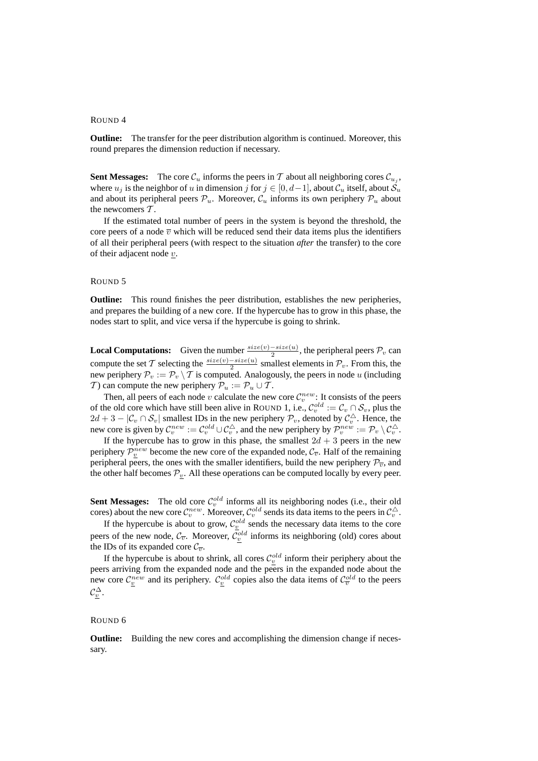#### ROUND 4

**Outline:** The transfer for the peer distribution algorithm is continued. Moreover, this round prepares the dimension reduction if necessary.

**Sent Messages:** The core  $\mathcal{C}_u$  informs the peers in T about all neighboring cores  $\mathcal{C}_{u_j}$ , where  $u_j$  is the neighbor of u in dimension j for  $j \in [0, d-1]$ , about  $\mathcal{C}_u$  itself, about  $\mathcal{S}_u$ and about its peripheral peers  $\mathcal{P}_u$ . Moreover,  $\mathcal{C}_u$  informs its own periphery  $\mathcal{P}_u$  about the newcomers  $T$ .

If the estimated total number of peers in the system is beyond the threshold, the core peers of a node  $\overline{v}$  which will be reduced send their data items plus the identifiers of all their peripheral peers (with respect to the situation *after* the transfer) to the core of their adjacent node  $v$ .

### ROUND 5

**Outline:** This round finishes the peer distribution, establishes the new peripheries, and prepares the building of a new core. If the hypercube has to grow in this phase, the nodes start to split, and vice versa if the hypercube is going to shrink.

**Local Computations:** Given the number  $\frac{size(v)-size(u)}{2}$ , the peripheral peers  $\mathcal{P}_v$  can **Example 2** computations. Cover the number  $\frac{1}{2}$ , the peripheral peers  $P_v$  can<br>compute the set T selecting the  $\frac{size(v)-size(u)}{2}$  smallest elements in  $\mathcal{P}_v$ . From this, the new periphery  $\mathcal{P}_v := \mathcal{P}_v \setminus \mathcal{T}$  is computed. Analogously, the peers in node u (including T) can compute the new periphery  $P_u := P_u \cup T$ .

Then, all peers of each node v calculate the new core  $\mathcal{C}_v^{new}$ : It consists of the peers of the old core which have still been alive in ROUND 1, i.e.,  $\mathcal{C}_v^{old} := \mathcal{C}_v \cap \mathcal{S}_v$ , plus the  $2d + 3 - |\mathcal{C}_v \cap \mathcal{S}_v|$  smallest IDs in the new periphery  $\mathcal{P}_v$ , denoted by  $\mathcal{C}_v^{\triangle}$ . Hence, the new core is given by  $\mathcal{C}_v^{new} := \mathcal{C}_v^{old} \cup \mathcal{C}_v^{\triangle}$ , and the new periphery by  $\mathcal{P}_v^{new} := \mathcal{P}_v \setminus \mathcal{C}_v^{\triangle}$ .

If the hypercube has to grow in this phase, the smallest  $2d + 3$  peers in the new periphery  $\mathcal{P}_v^{new}$  become the new core of the expanded node,  $\mathcal{C}_{\overline{v}}$ . Half of the remaining peripheral peers, the ones with the smaller identifiers, build the new periphery  $\mathcal{P}_{\overline{v}}$ , and the other half becomes  $P_v$ . All these operations can be computed locally by every peer.

**Sent Messages:** The old core  $C_v^{old}$  informs all its neighboring nodes (i.e., their old cores) about the new core  $\mathcal{C}_v^{new}$ . Moreover,  $\mathcal{C}_v^{old}$  sends its data items to the peers in  $\mathcal{C}_v^{\triangle}$ .

If the hypercube is about to grow,  $C_v^{old}$  sends the necessary data items to the core peers of the new node,  $\mathcal{C}_{\overline{v}}$ . Moreover,  $\mathcal{C}_v^{old}$  informs its neighboring (old) cores about the IDs of its expanded core  $\mathcal{C}_{\overline{v}}$ .

If the hypercube is about to shrink, all cores  $C_v^{old}$  inform their periphery about the peers arriving from the expanded node and the peers in the expanded node about the new core  $C_{\underline{v}}^{new}$  and its periphery.  $C_{\underline{v}}^{old}$  copies also the data items of  $C_{\overline{v}}^{old}$  to the peers  $\mathcal{C}^{\Delta}_v.$ 

#### ROUND 6

**Outline:** Building the new cores and accomplishing the dimension change if necessary.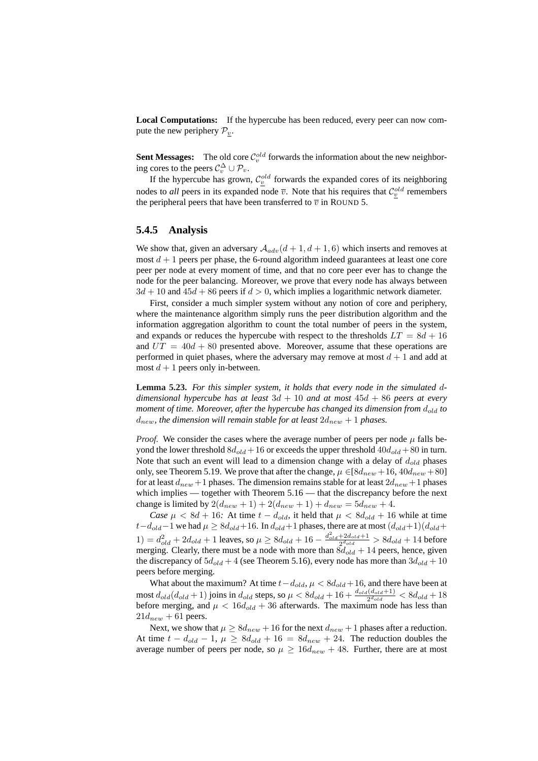**Local Computations:** If the hypercube has been reduced, every peer can now compute the new periphery  $\mathcal{P}_v$ .

**Sent Messages:** The old core  $\mathcal{C}_v^{old}$  forwards the information about the new neighboring cores to the peers  $C_v^{\Delta} \cup \mathcal{P}_v$ .

If the hypercube has grown,  $C_v^{old}$  forwards the expanded cores of its neighboring nodes to *all* peers in its expanded node  $\bar{v}$ . Note that his requires that  $\mathcal{C}_v^{old}$  remembers the peripheral peers that have been transferred to  $\overline{v}$  in ROUND 5.

#### **5.4.5 Analysis**

We show that, given an adversary  $A_{adv}(d + 1, d + 1, 6)$  which inserts and removes at most  $d + 1$  peers per phase, the 6-round algorithm indeed guarantees at least one core peer per node at every moment of time, and that no core peer ever has to change the node for the peer balancing. Moreover, we prove that every node has always between  $3d + 10$  and  $45d + 86$  peers if  $d > 0$ , which implies a logarithmic network diameter.

First, consider a much simpler system without any notion of core and periphery, where the maintenance algorithm simply runs the peer distribution algorithm and the information aggregation algorithm to count the total number of peers in the system, and expands or reduces the hypercube with respect to the thresholds  $LT = 8d + 16$ and  $UT = 40d + 80$  presented above. Moreover, assume that these operations are performed in quiet phases, where the adversary may remove at most  $d + 1$  and add at most  $d + 1$  peers only in-between.

**Lemma 5.23.** *For this simpler system, it holds that every node in the simulated* d*dimensional hypercube has at least* 3d + 10 *and at most* 45d + 86 *peers at every moment of time. Moreover, after the hypercube has changed its dimension from*  $d_{old}$  to  $d_{new}$ , the dimension will remain stable for at least  $2d_{new} + 1$  phases.

*Proof.* We consider the cases where the average number of peers per node  $\mu$  falls beyond the lower threshold  $8d_{old} + 16$  or exceeds the upper threshold  $40d_{old} + 80$  in turn. Note that such an event will lead to a dimension change with a delay of  $d_{old}$  phases only, see Theorem 5.19. We prove that after the change,  $\mu \in [8d_{new} + 16, 40d_{new} + 80]$ for at least  $d_{new}$  +1 phases. The dimension remains stable for at least  $2d_{new}$  +1 phases which implies — together with Theorem 5.16 — that the discrepancy before the next change is limited by  $2(d_{new} + 1) + 2(d_{new} + 1) + d_{new} = 5d_{new} + 4$ .

*Case*  $\mu < 8d + 16$ : At time  $t - d_{old}$ , it held that  $\mu < 8d_{old} + 16$  while at time  $t-d_{old}-1$  we had  $\mu \geq 8d_{old}+16$ . In  $d_{old}+1$  phases, there are at most  $(d_{old}+1)(d_{old}+1)$ 1) =  $d_{old}^2 + 2d_{old} + 1$  leaves, so  $\mu \ge 8d_{old} + 16 - \frac{d_{old}^2 + 2d_{old} + 1}{2d_{old}} > 8d_{old} + 14$  before merging. Clearly, there must be a node with more than  $\delta d_{old} + 14$  peers, hence, given the discrepancy of  $5d_{old} + 4$  (see Theorem 5.16), every node has more than  $3d_{old} + 10$ peers before merging.

What about the maximum? At time  $t-d_{old}$ ,  $\mu < 8d_{old}+16$ , and there have been at most  $d_{old}(d_{old}+1)$  joins in  $d_{old}$  steps, so  $\mu < 8d_{old}+16+\frac{d_{old}(d_{old}+1)}{2^{d_{old}}}< 8d_{old}+18$ before merging, and  $\mu < 16d_{old} + 36$  afterwards. The maximum node has less than  $21d_{new} + 61$  peers.

Next, we show that  $\mu \ge 8d_{new} + 16$  for the next  $d_{new} + 1$  phases after a reduction. At time  $t - d_{old} - 1$ ,  $\mu \geq 8d_{old} + 16 = 8d_{new} + 24$ . The reduction doubles the average number of peers per node, so  $\mu \ge 16d_{new} + 48$ . Further, there are at most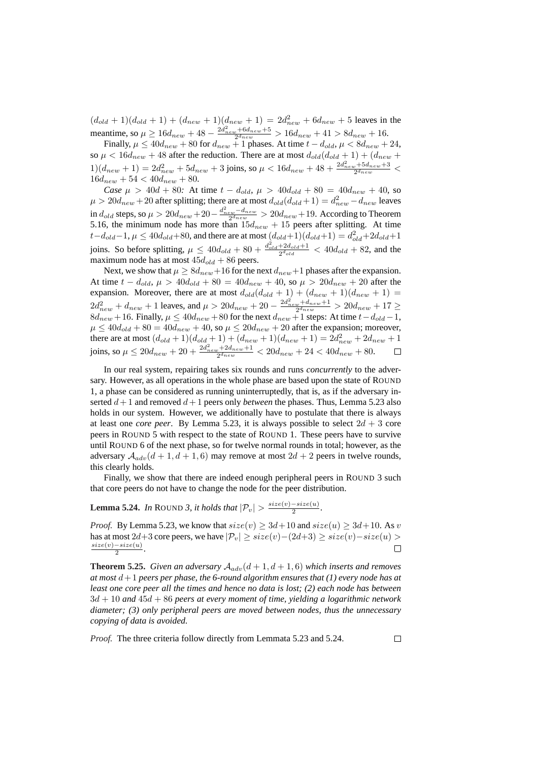$(d_{old} + 1)(d_{old} + 1) + (d_{new} + 1)(d_{new} + 1) = 2d_{new}^2 + 6d_{new} + 5$  leaves in the meantime, so  $\mu \ge 16d_{new} + 48 - \frac{2d_{new}^2 + 6d_{new} + 5}{2^{d_{new}}} > 16d_{new} + 41 > 8d_{new} + 16.$ 

Finally,  $\mu \le 40d_{new} + 80$  for  $d_{new} + 1$  phases. At time  $t - d_{old}$ ,  $\mu < 8d_{new} + 24$ , so  $\mu < 16d_{new} + 48$  after the reduction. There are at most  $d_{old}(d_{old} + 1) + (d_{new} + 1)$  $1)(d_{new} + 1) = 2d_{new}^2 + 5d_{new} + 3$  joins, so  $\mu < 16d_{new} + 48 + \frac{2d_{new}^2 + 5d_{new} + 3}{2^{d_{new}}} <$  $16d_{new} + 54 < 40d_{new} + 80$ .

*Case*  $\mu > 40d + 80$ : At time  $t - d_{old}$ ,  $\mu > 40d_{old} + 80 = 40d_{new} + 40$ , so  $\mu > 20d_{new} + 20$  after splitting; there are at most  $d_{old}(d_{old} + 1) = d_{new}^2 - d_{new}$  leaves in  $d_{old}$  steps, so  $\mu>20d_{new}+20-\frac{d_{new}^2-d_{new}}{2^{d_{new}}}>20d_{new}+19.$  According to Theorem 5.16, the minimum node has more than  $15d_{new} + 15$  peers after splitting. At time  $t-d_{old}-1, \mu \leq 40d_{old}+80$ , and there are at most  $(d_{old}+1)(d_{old}+1) = d_{old}^2+2d_{old}+1$ joins. So before splitting,  $\mu \leq 40d_{old} + 80 + \frac{d_{old}^2 + 2d_{old} + 1}{2d_{old}} < 40d_{old} + 82$ , and the maximum node has at most  $45d_{old} + 86$  peers.

Next, we show that  $\mu \ge 8d_{new} + 16$  for the next  $d_{new} + 1$  phases after the expansion. At time  $t - d_{old}$ ,  $\mu > 40d_{old} + 80 = 40d_{new} + 40$ , so  $\mu > 20d_{new} + 20$  after the expansion. Moreover, there are at most  $d_{old}(d_{old} + 1) + (d_{new} + 1)(d_{new} + 1) =$  $2d_{new}^2 + d_{new} + 1$  leaves, and  $\mu > 20d_{new} + 20 - \frac{2d_{new}^2 + d_{new} + 1}{2d_{new}} > 20d_{new} + 17 \ge$  $8d_{new} + 16$ . Finally,  $\mu \leq 40d_{new} + 80$  for the next  $d_{new} + 1$  steps: At time  $t - d_{old} - 1$ ,  $\mu \leq 40d_{old} + 80 = 40d_{new} + 40$ , so  $\mu \leq 20d_{new} + 20$  after the expansion; moreover, there are at most  $(d_{old} + 1)(d_{old} + 1) + (d_{new} + 1)(d_{new} + 1) = 2d_{new}^2 + 2d_{new} + 1$ joins, so  $\mu \leq 20d_{new} + 20 + \frac{2d_{new}^2 + 2d_{new} + 1}{2^{d_{new}}} < 20d_{new} + 24 < 40d_{new} + 80$ .  $\Box$ 

In our real system, repairing takes six rounds and runs *concurrently* to the adversary. However, as all operations in the whole phase are based upon the state of ROUND 1, a phase can be considered as running uninterruptedly, that is, as if the adversary inserted  $d+1$  and removed  $d+1$  peers only *between* the phases. Thus, Lemma 5.23 also holds in our system. However, we additionally have to postulate that there is always at least one *core peer*. By Lemma 5.23, it is always possible to select  $2d + 3$  core peers in ROUND 5 with respect to the state of ROUND 1. These peers have to survive until ROUND 6 of the next phase, so for twelve normal rounds in total; however, as the adversary  $\mathcal{A}_{adv}(d + 1, d + 1, 6)$  may remove at most  $2d + 2$  peers in twelve rounds, this clearly holds.

Finally, we show that there are indeed enough peripheral peers in ROUND 3 such that core peers do not have to change the node for the peer distribution.

**Lemma 5.24.** *In* ROUND 3, it holds that  $|\mathcal{P}_v| > \frac{size(v) - size(u)}{2}$  $\frac{-size(u)}{2}$ .

*Proof.* By Lemma 5.23, we know that  $size(v) \geq 3d+10$  and  $size(u) \geq 3d+10$ . As v has at most 2d+3 core peers, we have  $|\mathcal{P}_v| \geq size(v) - (2d+3) \geq size(v) - size(u) >$  $size(v) - size(u)$  $\Box$  $\frac{-size(u)}{2}$ .

**Theorem 5.25.** *Given an adversary*  $A_{adv}(d+1, d+1, 6)$  *which inserts and removes at most* d+ 1 *peers per phase, the 6-round algorithm ensures that (1) every node has at least one core peer all the times and hence no data is lost; (2) each node has between* 3d + 10 *and* 45d + 86 *peers at every moment of time, yielding a logarithmic network diameter; (3) only peripheral peers are moved between nodes, thus the unnecessary copying of data is avoided.*

*Proof.* The three criteria follow directly from Lemmata 5.23 and 5.24.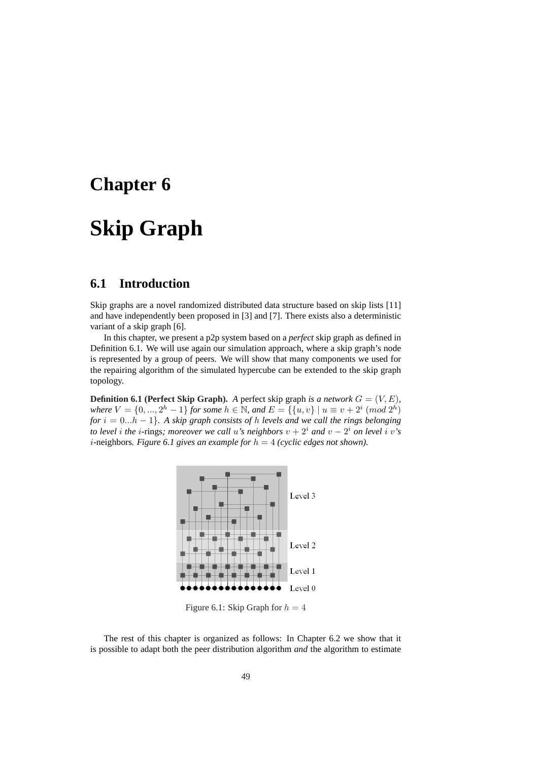## **Chapter 6**

## **Skip Graph**

## **6.1 Introduction**

Skip graphs are a novel randomized distributed data structure based on skip lists [11] and have independently been proposed in [3] and [7]. There exists also a deterministic variant of a skip graph [6].

In this chapter, we present a p2p system based on a *perfect* skip graph as defined in Definition 6.1. We will use again our simulation approach, where a skip graph's node is represented by a group of peers. We will show that many components we used for the repairing algorithm of the simulated hypercube can be extended to the skip graph topology.

**Definition 6.1 (Perfect Skip Graph).** *A* perfect skip graph *is a network*  $G = (V, E)$ *, where*  $V = \{0, ..., 2<sup>h</sup> - 1\}$  *for some*  $h \in \mathbb{N}$ *, and*  $E = \{\{u, v\} | u \equiv v + 2<sup>i</sup> \pmod{2<sup>h</sup>}$  $for i = 0...h - 1$ *}. A skip graph consists of h levels and we call the rings belonging to level i the i-rings; moreover we call u's neighbors*  $v + 2^i$  *and*  $v - 2^i$  *on level i v's i*-neighbors. Figure 6.1 gives an example for  $h = 4$  (cyclic edges not shown).



Figure 6.1: Skip Graph for  $h = 4$ 

The rest of this chapter is organized as follows: In Chapter 6.2 we show that it is possible to adapt both the peer distribution algorithm *and* the algorithm to estimate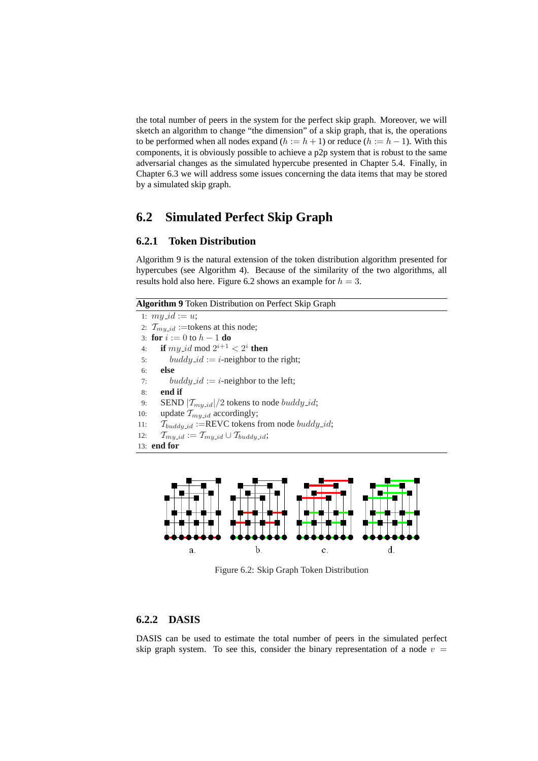the total number of peers in the system for the perfect skip graph. Moreover, we will sketch an algorithm to change "the dimension" of a skip graph, that is, the operations to be performed when all nodes expand  $(h := h + 1)$  or reduce  $(h := h - 1)$ . With this components, it is obviously possible to achieve a p2p system that is robust to the same adversarial changes as the simulated hypercube presented in Chapter 5.4. Finally, in Chapter 6.3 we will address some issues concerning the data items that may be stored by a simulated skip graph.

## **6.2 Simulated Perfect Skip Graph**

### **6.2.1 Token Distribution**

Algorithm 9 is the natural extension of the token distribution algorithm presented for hypercubes (see Algorithm 4). Because of the similarity of the two algorithms, all results hold also here. Figure 6.2 shows an example for  $h = 3$ .

| Algorithm 9 Token Distribution on Perfect Skip Graph |  |  |  |
|------------------------------------------------------|--|--|--|
|------------------------------------------------------|--|--|--|

1:  $my_id := u;$ 2:  $T_{m*y_id*}$  :=tokens at this node; 3: **for**  $i := 0$  to  $h - 1$  **do** 4: **if**  $my\_id \text{ mod } 2^{i+1} < 2^i$  **then** 5: buddy\_id := i-neighbor to the right; 6: **else** 7: buddy  $id := i$ -neighbor to the left; 8: **end if** 9: SEND  $|\mathcal{T}_{m\mu \text{,} id}|/2$  tokens to node *buddy\_id*; 10: update  $\mathcal{T}_{my\_id}$  accordingly; 11:  $\mathcal{T}_{\text{buddu_id}}$  :=REVC tokens from node  $\text{buddy_id}$ ; 12:  $\mathcal{T}_{my\_id} := \mathcal{T}_{my\_id} \cup \mathcal{T}_{buddy\_id};$ 13: **end for**



Figure 6.2: Skip Graph Token Distribution

## **6.2.2 DASIS**

DASIS can be used to estimate the total number of peers in the simulated perfect skip graph system. To see this, consider the binary representation of a node  $v =$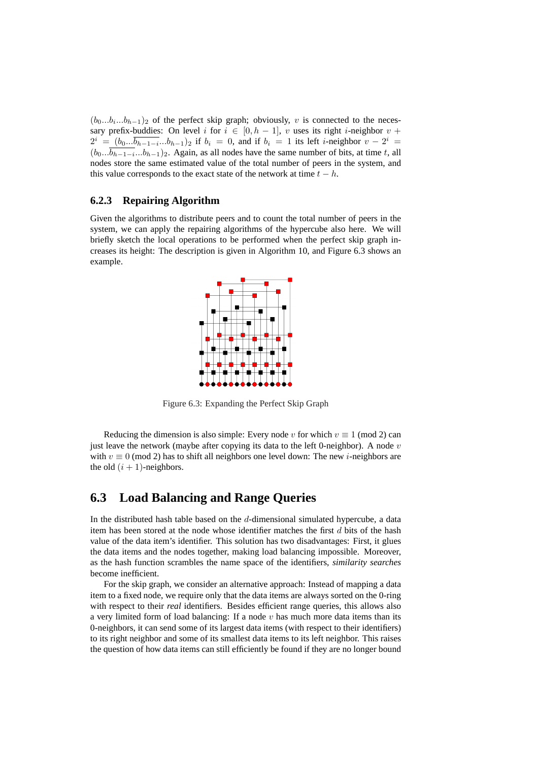$(b_0...b_i...b_{h-1})_2$  of the perfect skip graph; obviously, v is connected to the necessary prefix-buddies: On level i for  $i \in [0, h - 1]$ , v uses its right i-neighbor  $v +$  $2^i = (b_0... \overline{b_{h-1-i}}...b_{h-1})_2$  if  $b_i = 0$ , and if  $b_i = 1$  its left *i*-neighbor  $v - 2^i =$  $(b_0...b_{h-1-i}...b_{h-1})_2$ . Again, as all nodes have the same number of bits, at time t, all nodes store the same estimated value of the total number of peers in the system, and this value corresponds to the exact state of the network at time  $t - h$ .

### **6.2.3 Repairing Algorithm**

Given the algorithms to distribute peers and to count the total number of peers in the system, we can apply the repairing algorithms of the hypercube also here. We will briefly sketch the local operations to be performed when the perfect skip graph increases its height: The description is given in Algorithm 10, and Figure 6.3 shows an example.



Figure 6.3: Expanding the Perfect Skip Graph

Reducing the dimension is also simple: Every node v for which  $v \equiv 1 \pmod{2}$  can just leave the network (maybe after copying its data to the left 0-neighbor). A node  $v$ with  $v \equiv 0 \pmod{2}$  has to shift all neighbors one level down: The new *i*-neighbors are the old  $(i + 1)$ -neighbors.

## **6.3 Load Balancing and Range Queries**

In the distributed hash table based on the  $d$ -dimensional simulated hypercube, a data item has been stored at the node whose identifier matches the first  $d$  bits of the hash value of the data item's identifier. This solution has two disadvantages: First, it glues the data items and the nodes together, making load balancing impossible. Moreover, as the hash function scrambles the name space of the identifiers, *similarity searches* become inefficient.

For the skip graph, we consider an alternative approach: Instead of mapping a data item to a fixed node, we require only that the data items are always sorted on the 0-ring with respect to their *real* identifiers. Besides efficient range queries, this allows also a very limited form of load balancing: If a node  $v$  has much more data items than its 0-neighbors, it can send some of its largest data items (with respect to their identifiers) to its right neighbor and some of its smallest data items to its left neighbor. This raises the question of how data items can still efficiently be found if they are no longer bound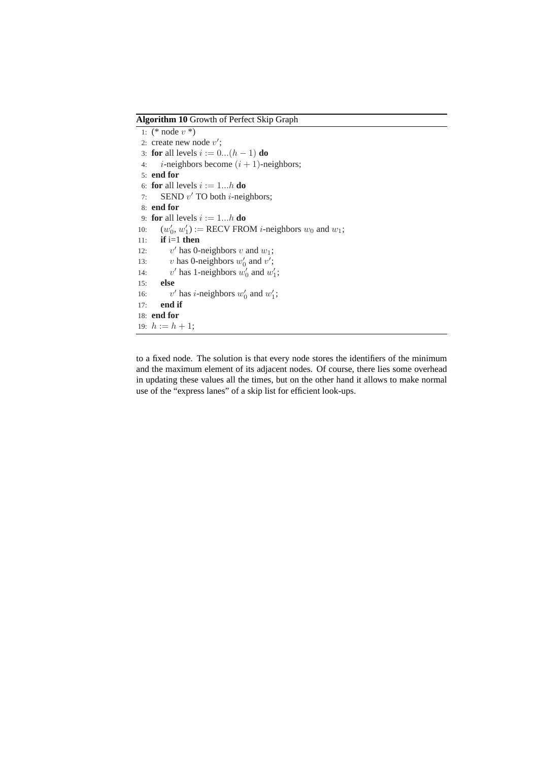**Algorithm 10** Growth of Perfect Skip Graph

```
1: (* node v^*)
 2: create new node v';
3: for all levels i := 0...(h - 1) do
4: i-neighbors become (i + 1)-neighbors;
5: end for
 6: for all levels i := 1...h do
 7: SEND v' TO both i-neighbors;
8: end for
9: for all levels i := 1...h do
10: (w'_0, w'_1) := \text{RECV FROM } i\text{-neighbors } w_0 \text{ and } w_1;11: if i=1 then
12:v' has 0-neighbors v and w_1;
13: v has 0-neighbors w'_0 and v';
14:' has 1-neighbors w'_0 and w'_1;
15: else
16:' has i-neighbors w'_0 and w'_1;
17: end if
18: end for
19: h := h + 1;
```
to a fixed node. The solution is that every node stores the identifiers of the minimum and the maximum element of its adjacent nodes. Of course, there lies some overhead in updating these values all the times, but on the other hand it allows to make normal use of the "express lanes" of a skip list for efficient look-ups.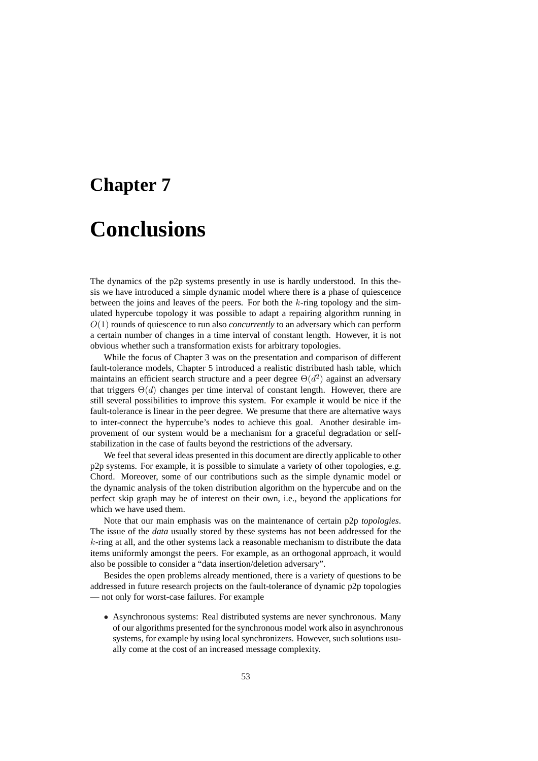# **Chapter 7 Conclusions**

The dynamics of the p2p systems presently in use is hardly understood. In this thesis we have introduced a simple dynamic model where there is a phase of quiescence between the joins and leaves of the peers. For both the  $k$ -ring topology and the simulated hypercube topology it was possible to adapt a repairing algorithm running in O(1) rounds of quiescence to run also *concurrently* to an adversary which can perform a certain number of changes in a time interval of constant length. However, it is not obvious whether such a transformation exists for arbitrary topologies.

While the focus of Chapter 3 was on the presentation and comparison of different fault-tolerance models, Chapter 5 introduced a realistic distributed hash table, which maintains an efficient search structure and a peer degree  $\Theta(d^2)$  against an adversary that triggers  $\Theta(d)$  changes per time interval of constant length. However, there are still several possibilities to improve this system. For example it would be nice if the fault-tolerance is linear in the peer degree. We presume that there are alternative ways to inter-connect the hypercube's nodes to achieve this goal. Another desirable improvement of our system would be a mechanism for a graceful degradation or selfstabilization in the case of faults beyond the restrictions of the adversary.

We feel that several ideas presented in this document are directly applicable to other p2p systems. For example, it is possible to simulate a variety of other topologies, e.g. Chord. Moreover, some of our contributions such as the simple dynamic model or the dynamic analysis of the token distribution algorithm on the hypercube and on the perfect skip graph may be of interest on their own, i.e., beyond the applications for which we have used them.

Note that our main emphasis was on the maintenance of certain p2p *topologies*. The issue of the *data* usually stored by these systems has not been addressed for the  $k$ -ring at all, and the other systems lack a reasonable mechanism to distribute the data items uniformly amongst the peers. For example, as an orthogonal approach, it would also be possible to consider a "data insertion/deletion adversary".

Besides the open problems already mentioned, there is a variety of questions to be addressed in future research projects on the fault-tolerance of dynamic p2p topologies — not only for worst-case failures. For example

• Asynchronous systems: Real distributed systems are never synchronous. Many of our algorithms presented for the synchronous model work also in asynchronous systems, for example by using local synchronizers. However, such solutions usually come at the cost of an increased message complexity.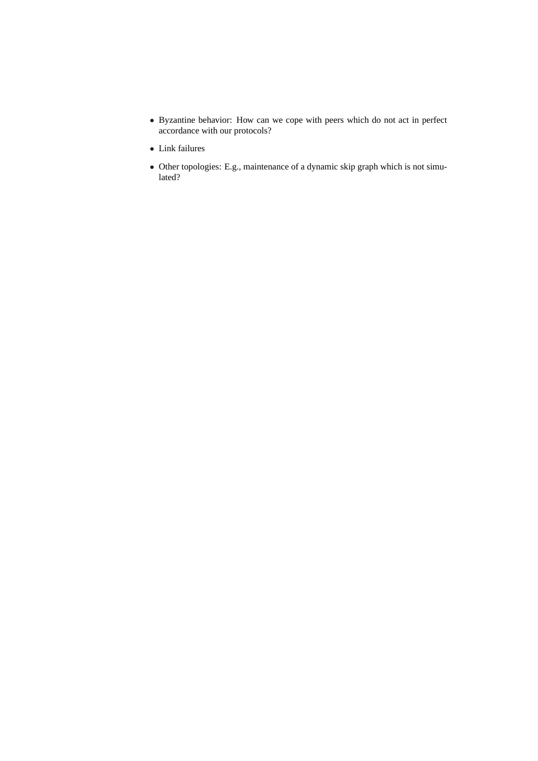- Byzantine behavior: How can we cope with peers which do not act in perfect accordance with our protocols?
- Link failures
- Other topologies: E.g., maintenance of a dynamic skip graph which is not simulated?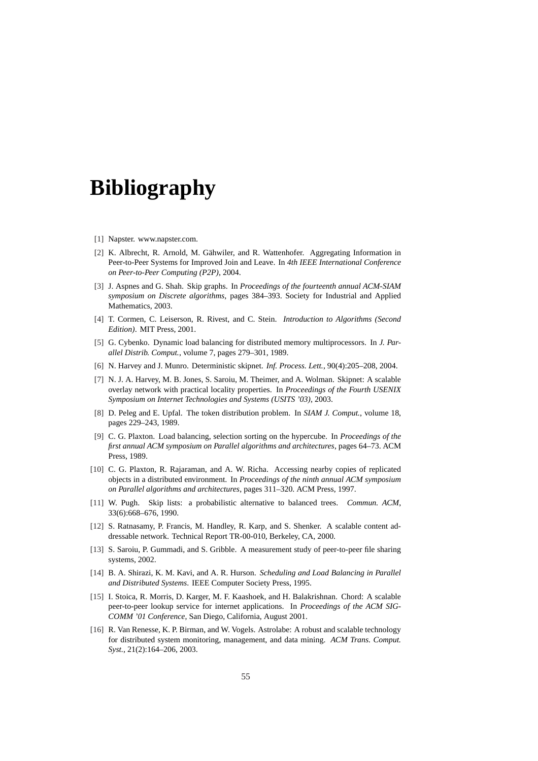## **Bibliography**

- [1] Napster. www.napster.com.
- [2] K. Albrecht, R. Arnold, M. Gähwiler, and R. Wattenhofer. Aggregating Information in Peer-to-Peer Systems for Improved Join and Leave. In *4th IEEE International Conference on Peer-to-Peer Computing (P2P)*, 2004.
- [3] J. Aspnes and G. Shah. Skip graphs. In *Proceedings of the fourteenth annual ACM-SIAM symposium on Discrete algorithms*, pages 384–393. Society for Industrial and Applied Mathematics, 2003.
- [4] T. Cormen, C. Leiserson, R. Rivest, and C. Stein. *Introduction to Algorithms (Second Edition)*. MIT Press, 2001.
- [5] G. Cybenko. Dynamic load balancing for distributed memory multiprocessors. In *J. Parallel Distrib. Comput.*, volume 7, pages 279–301, 1989.
- [6] N. Harvey and J. Munro. Deterministic skipnet. *Inf. Process. Lett.*, 90(4):205–208, 2004.
- [7] N. J. A. Harvey, M. B. Jones, S. Saroiu, M. Theimer, and A. Wolman. Skipnet: A scalable overlay network with practical locality properties. In *Proceedings of the Fourth USENIX Symposium on Internet Technologies and Systems (USITS '03)*, 2003.
- [8] D. Peleg and E. Upfal. The token distribution problem. In *SIAM J. Comput.*, volume 18, pages 229–243, 1989.
- [9] C. G. Plaxton. Load balancing, selection sorting on the hypercube. In *Proceedings of the first annual ACM symposium on Parallel algorithms and architectures*, pages 64–73. ACM Press, 1989.
- [10] C. G. Plaxton, R. Rajaraman, and A. W. Richa. Accessing nearby copies of replicated objects in a distributed environment. In *Proceedings of the ninth annual ACM symposium on Parallel algorithms and architectures*, pages 311–320. ACM Press, 1997.
- [11] W. Pugh. Skip lists: a probabilistic alternative to balanced trees. *Commun. ACM*, 33(6):668–676, 1990.
- [12] S. Ratnasamy, P. Francis, M. Handley, R. Karp, and S. Shenker. A scalable content addressable network. Technical Report TR-00-010, Berkeley, CA, 2000.
- [13] S. Saroiu, P. Gummadi, and S. Gribble. A measurement study of peer-to-peer file sharing systems, 2002.
- [14] B. A. Shirazi, K. M. Kavi, and A. R. Hurson. *Scheduling and Load Balancing in Parallel and Distributed Systems*. IEEE Computer Society Press, 1995.
- [15] I. Stoica, R. Morris, D. Karger, M. F. Kaashoek, and H. Balakrishnan. Chord: A scalable peer-to-peer lookup service for internet applications. In *Proceedings of the ACM SIG-COMM '01 Conference*, San Diego, California, August 2001.
- [16] R. Van Renesse, K. P. Birman, and W. Vogels. Astrolabe: A robust and scalable technology for distributed system monitoring, management, and data mining. *ACM Trans. Comput. Syst.*, 21(2):164–206, 2003.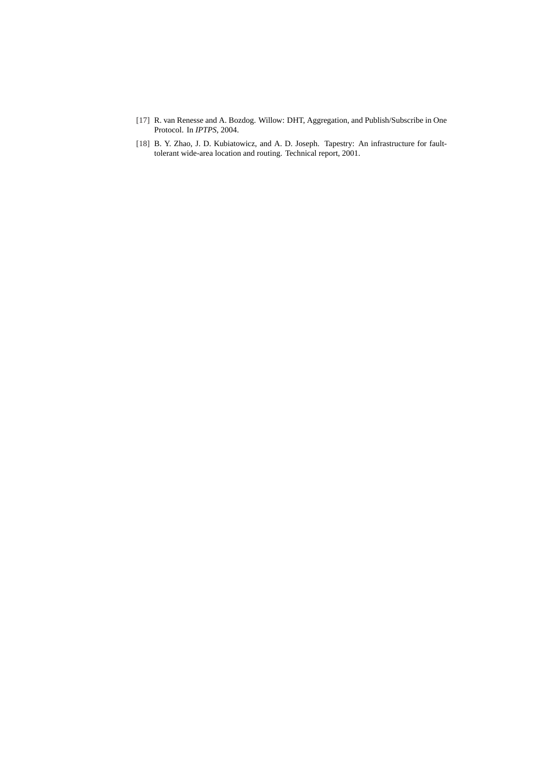- [17] R. van Renesse and A. Bozdog. Willow: DHT, Aggregation, and Publish/Subscribe in One Protocol. In *IPTPS*, 2004.
- [18] B. Y. Zhao, J. D. Kubiatowicz, and A. D. Joseph. Tapestry: An infrastructure for faulttolerant wide-area location and routing. Technical report, 2001.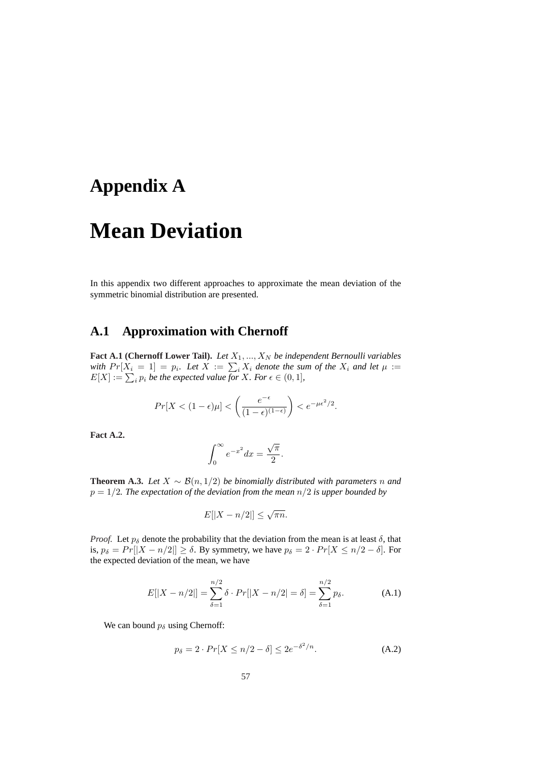## **Appendix A**

## **Mean Deviation**

In this appendix two different approaches to approximate the mean deviation of the symmetric binomial distribution are presented.

## **A.1 Approximation with Chernoff**

**Fact A.1 (Chernoff Lower Tail).** *Let*  $X_1, ..., X_N$  *be independent Bernoulli variables* **ract A.1 (Chernon Lower Tan).** Let  $X_1, ..., X_N$  be independent bermoduli variables with  $Pr[X_i = 1] = p_i$ . Let  $X := \sum_i X_i$  denote the sum of the  $X_i$  and let  $\mu :=$ win  $Pr[X_i = 1] = p_i$ . Let  $X := \sum_i X_i$  denote the sub-<br> $E[X] := \sum_i p_i$  be the expected value for X. For  $\epsilon \in (0, 1]$ ,

$$
Pr[X < (1 - \epsilon)\mu] < \left(\frac{e^{-\epsilon}}{(1 - \epsilon)^{(1 - \epsilon)}}\right) < e^{-\mu \epsilon^2/2}.
$$

**Fact A.2.**

$$
\int_0^\infty e^{-x^2} dx = \frac{\sqrt{\pi}}{2}.
$$

**Theorem A.3.** *Let*  $X ∼ B(n, 1/2)$  *be binomially distributed with parameters n and* p = 1/2*. The expectation of the deviation from the mean* n/2 *is upper bounded by*

$$
E[|X - n/2|] \le \sqrt{\pi n}.
$$

*Proof.* Let  $p_{\delta}$  denote the probability that the deviation from the mean is at least  $\delta$ , that is,  $p_{\delta} = Pr[|X - n/2|] \ge \delta$ . By symmetry, we have  $p_{\delta} = 2 \cdot Pr[X \le n/2 - \delta]$ . For the expected deviation of the mean, we have

$$
E[|X - n/2|] = \sum_{\delta=1}^{n/2} \delta \cdot Pr[|X - n/2| = \delta] = \sum_{\delta=1}^{n/2} p_{\delta}.
$$
 (A.1)

We can bound  $p_{\delta}$  using Chernoff:

$$
p_{\delta} = 2 \cdot Pr[X \le n/2 - \delta] \le 2e^{-\delta^2/n}.
$$
 (A.2)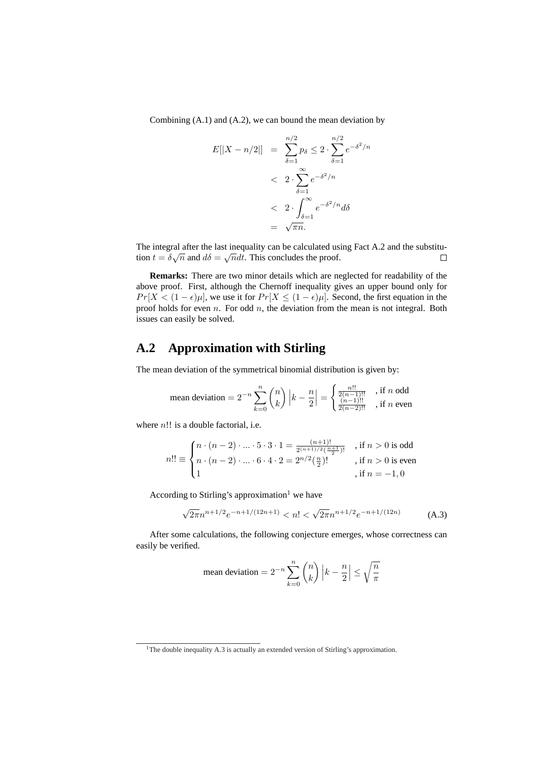Combining (A.1) and (A.2), we can bound the mean deviation by

$$
E[|X - n/2|] = \sum_{\delta=1}^{n/2} p_{\delta} \le 2 \cdot \sum_{\delta=1}^{n/2} e^{-\delta^2/n}
$$
  
< 
$$
< 2 \cdot \sum_{\delta=1}^{\infty} e^{-\delta^2/n}
$$
  
< 
$$
< 2 \cdot \int_{\delta=1}^{\infty} e^{-\delta^2/n} d\delta
$$
  
< 
$$
= \sqrt{\pi n}.
$$

The integral after the last inequality can be calculated using Fact A.2 and the substitution  $t = \delta \sqrt{n}$  and  $d\delta = \sqrt{n} dt$ . This concludes the proof.  $\Box$ 

**Remarks:** There are two minor details which are neglected for readability of the above proof. First, although the Chernoff inequality gives an upper bound only for  $Pr[X < (1 - \epsilon)\mu]$ , we use it for  $Pr[X \le (1 - \epsilon)\mu]$ . Second, the first equation in the proof holds for even  $n$ . For odd  $n$ , the deviation from the mean is not integral. Both issues can easily be solved.

## **A.2 Approximation with Stirling**

The mean deviation of the symmetrical binomial distribution is given by:

$$
\text{mean deviation} = 2^{-n} \sum_{k=0}^{n} \binom{n}{k} \left| k - \frac{n}{2} \right| = \begin{cases} \frac{n!!}{2(n-1)!!} & \text{if } n \text{ odd} \\ \frac{(n-1)!!}{2(n-2)!!} & \text{if } n \text{ even} \end{cases}
$$

where  $n!!$  is a double factorial, i.e.

$$
n!! \equiv \begin{cases} n\cdot (n-2)\cdot \ldots \cdot 5\cdot 3\cdot 1 = \frac{(n+1)!}{2^{(n+1)/2}(\frac{n+1}{2})!} & \text{, if $n>0$ is odd} \\ n\cdot (n-2)\cdot \ldots \cdot 6\cdot 4\cdot 2 = 2^{n/2}(\frac{n}{2})! & \text{, if $n>0$ is even} \\ 1 & \text{, if $n=-1,0$} \end{cases}
$$

According to Stirling's approximation<sup>1</sup> we have

$$
\sqrt{2\pi}n^{n+1/2}e^{-n+1/(12n+1)} < n! < \sqrt{2\pi}n^{n+1/2}e^{-n+1/(12n)}\tag{A.3}
$$

After some calculations, the following conjecture emerges, whose correctness can easily be verified.

mean deviation = 
$$
2^{-n} \sum_{k=0}^{n} {n \choose k} k - \frac{n}{2} \le \sqrt{\frac{n}{\pi}}
$$

<sup>&</sup>lt;sup>1</sup>The double inequality A.3 is actually an extended version of Stirling's approximation.